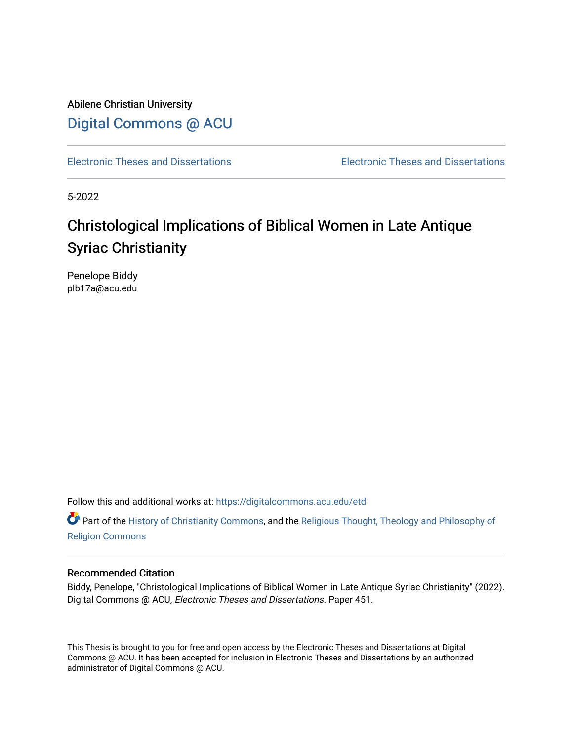Abilene Christian University [Digital Commons @ ACU](https://digitalcommons.acu.edu/)

[Electronic Theses and Dissertations](https://digitalcommons.acu.edu/etd) [Electronic Theses and Dissertations](https://digitalcommons.acu.edu/graduate_works) 

5-2022

# Christological Implications of Biblical Women in Late Antique Syriac Christianity

Penelope Biddy plb17a@acu.edu

Follow this and additional works at: [https://digitalcommons.acu.edu/etd](https://digitalcommons.acu.edu/etd?utm_source=digitalcommons.acu.edu%2Fetd%2F451&utm_medium=PDF&utm_campaign=PDFCoverPages) 

**C** Part of the [History of Christianity Commons,](http://network.bepress.com/hgg/discipline/1182?utm_source=digitalcommons.acu.edu%2Fetd%2F451&utm_medium=PDF&utm_campaign=PDFCoverPages) and the Religious Thought, Theology and Philosophy of [Religion Commons](http://network.bepress.com/hgg/discipline/544?utm_source=digitalcommons.acu.edu%2Fetd%2F451&utm_medium=PDF&utm_campaign=PDFCoverPages)

#### Recommended Citation

Biddy, Penelope, "Christological Implications of Biblical Women in Late Antique Syriac Christianity" (2022). Digital Commons @ ACU, Electronic Theses and Dissertations. Paper 451.

This Thesis is brought to you for free and open access by the Electronic Theses and Dissertations at Digital Commons @ ACU. It has been accepted for inclusion in Electronic Theses and Dissertations by an authorized administrator of Digital Commons @ ACU.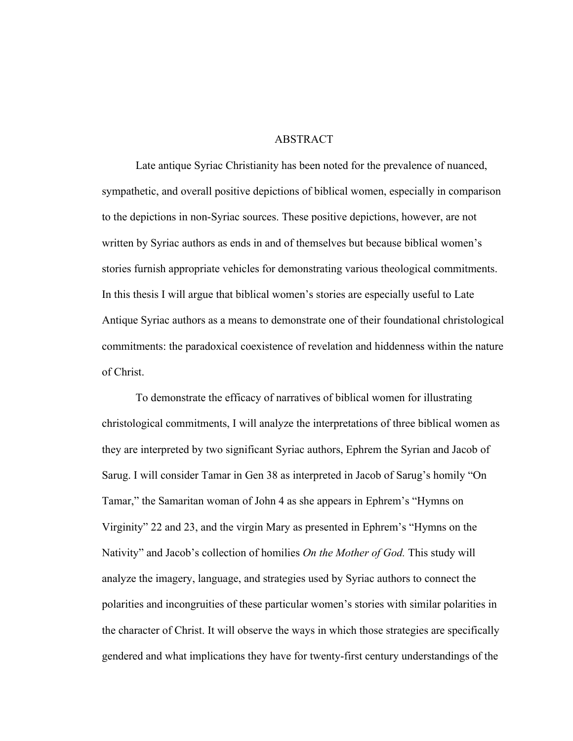#### ABSTRACT

Late antique Syriac Christianity has been noted for the prevalence of nuanced, sympathetic, and overall positive depictions of biblical women, especially in comparison to the depictions in non-Syriac sources. These positive depictions, however, are not written by Syriac authors as ends in and of themselves but because biblical women's stories furnish appropriate vehicles for demonstrating various theological commitments. In this thesis I will argue that biblical women's stories are especially useful to Late Antique Syriac authors as a means to demonstrate one of their foundational christological commitments: the paradoxical coexistence of revelation and hiddenness within the nature of Christ.

To demonstrate the efficacy of narratives of biblical women for illustrating christological commitments, I will analyze the interpretations of three biblical women as they are interpreted by two significant Syriac authors, Ephrem the Syrian and Jacob of Sarug. I will consider Tamar in Gen 38 as interpreted in Jacob of Sarug's homily "On Tamar," the Samaritan woman of John 4 as she appears in Ephrem's "Hymns on Virginity" 22 and 23, and the virgin Mary as presented in Ephrem's "Hymns on the Nativity" and Jacob's collection of homilies *On the Mother of God.* This study will analyze the imagery, language, and strategies used by Syriac authors to connect the polarities and incongruities of these particular women's stories with similar polarities in the character of Christ. It will observe the ways in which those strategies are specifically gendered and what implications they have for twenty-first century understandings of the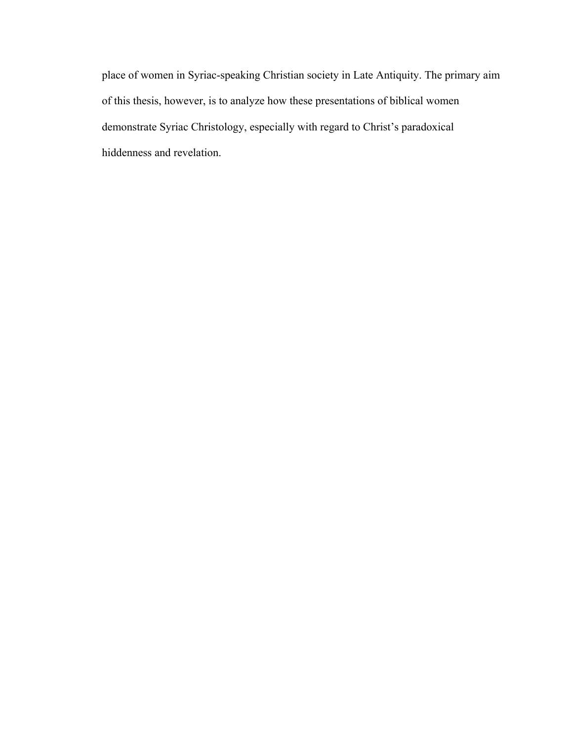place of women in Syriac-speaking Christian society in Late Antiquity. The primary aim of this thesis, however, is to analyze how these presentations of biblical women demonstrate Syriac Christology, especially with regard to Christ's paradoxical hiddenness and revelation.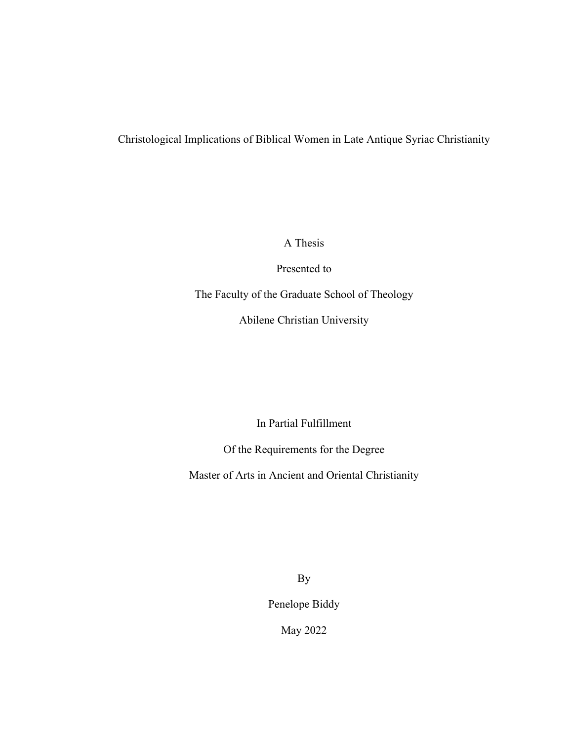# Christological Implications of Biblical Women in Late Antique Syriac Christianity

A Thesis

Presented to

The Faculty of the Graduate School of Theology

Abilene Christian University

In Partial Fulfillment

Of the Requirements for the Degree

Master of Arts in Ancient and Oriental Christianity

By

Penelope Biddy

May 2022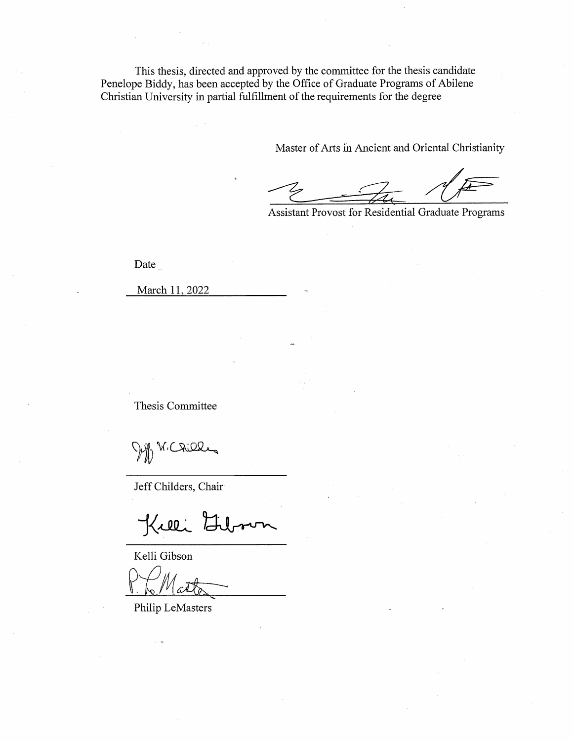This thesis, directed and approved by the committee for the thesis candidate Penelope Biddy, has been accepted by the Office of Graduate Programs of Abilene Christian University in partial fulfillment of the requirements for the degree

Master of Arts in Ancient and Oriental Christianity

**Assistant Provost for Residential Graduate Programs** 

Date

March 11, 2022

Thesis Committee

Dopp W. Criek

Jeff Childers, Chair

Kuli Lib ron

Kelli Gibson

Philip LeMasters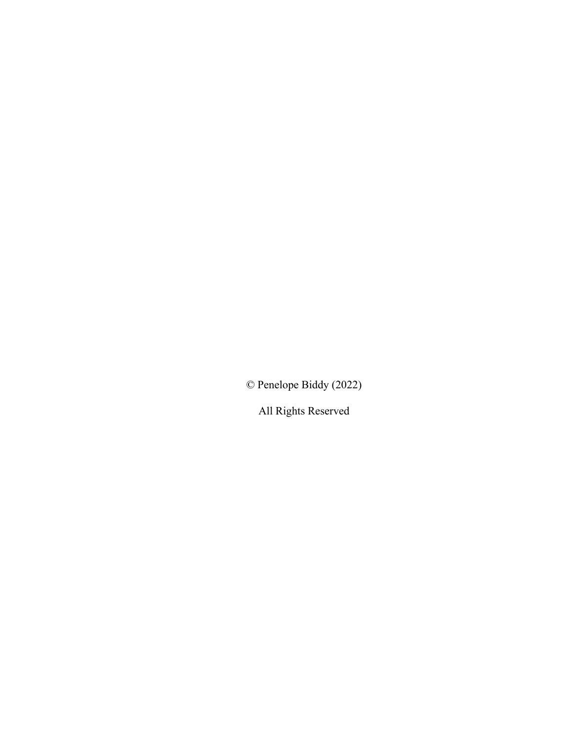© Penelope Biddy (2022)

All Rights Reserved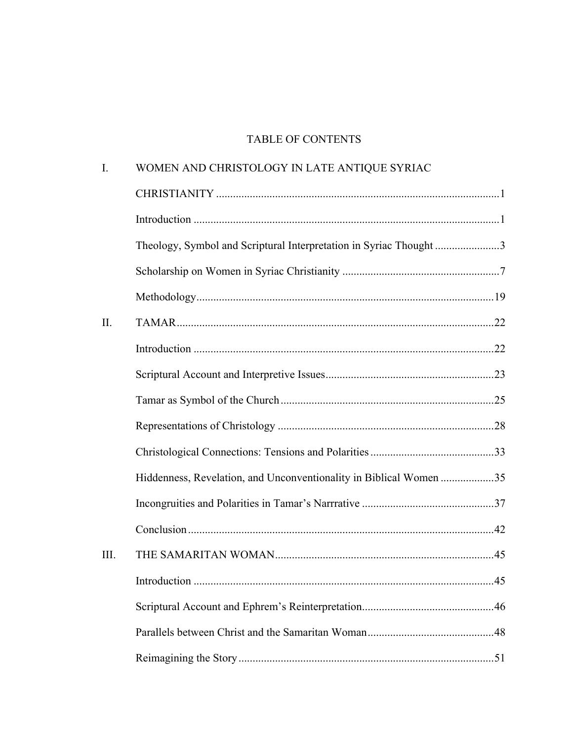# TABLE OF CONTENTS

| I.   | WOMEN AND CHRISTOLOGY IN LATE ANTIQUE SYRIAC                       |     |
|------|--------------------------------------------------------------------|-----|
|      |                                                                    |     |
|      |                                                                    |     |
|      | Theology, Symbol and Scriptural Interpretation in Syriac Thought3  |     |
|      |                                                                    |     |
|      |                                                                    |     |
| II.  |                                                                    |     |
|      |                                                                    |     |
|      |                                                                    |     |
|      |                                                                    |     |
|      |                                                                    |     |
| III. |                                                                    |     |
|      | Hiddenness, Revelation, and Unconventionality in Biblical Women 35 |     |
|      |                                                                    |     |
|      |                                                                    |     |
|      |                                                                    |     |
|      | Introduction                                                       | .45 |
|      |                                                                    |     |
|      |                                                                    |     |
|      |                                                                    |     |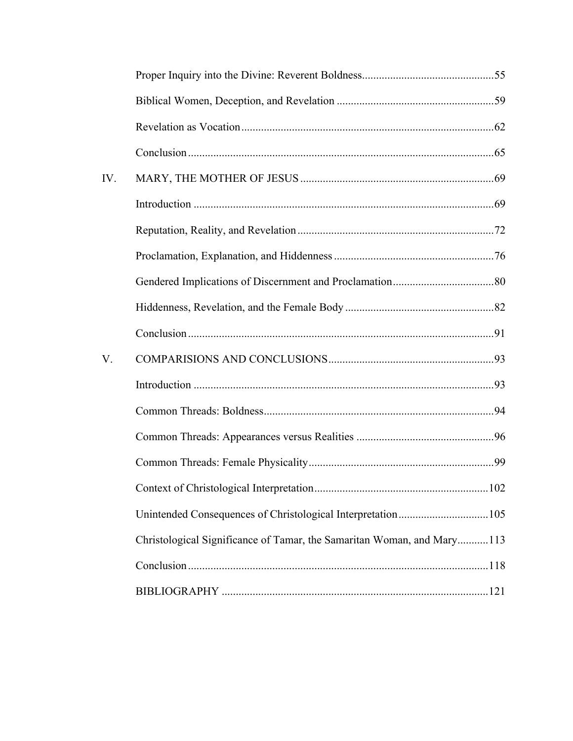| IV. |                                                                        |  |
|-----|------------------------------------------------------------------------|--|
|     |                                                                        |  |
|     |                                                                        |  |
|     |                                                                        |  |
|     |                                                                        |  |
|     |                                                                        |  |
|     |                                                                        |  |
| V.  |                                                                        |  |
|     |                                                                        |  |
|     |                                                                        |  |
|     |                                                                        |  |
|     |                                                                        |  |
|     |                                                                        |  |
|     | Unintended Consequences of Christological Interpretation105            |  |
|     | Christological Significance of Tamar, the Samaritan Woman, and Mary113 |  |
|     |                                                                        |  |
|     |                                                                        |  |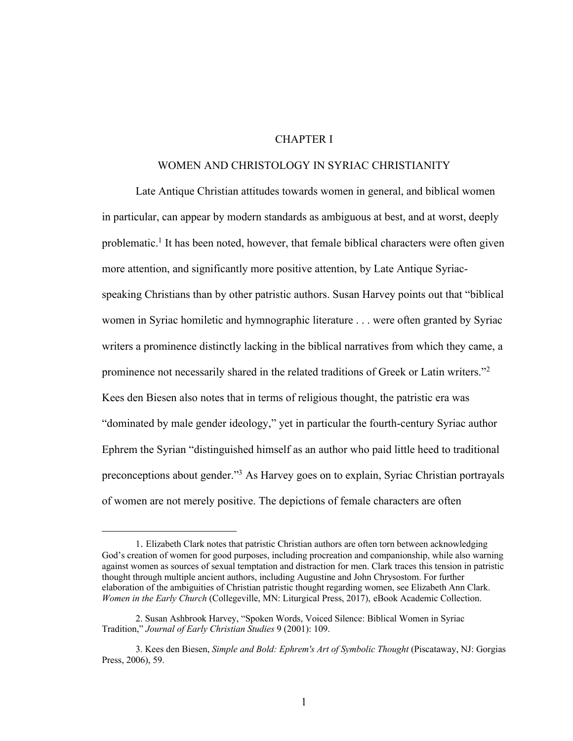## CHAPTER I

#### WOMEN AND CHRISTOLOGY IN SYRIAC CHRISTIANITY

Late Antique Christian attitudes towards women in general, and biblical women in particular, can appear by modern standards as ambiguous at best, and at worst, deeply problematic.<sup>1</sup> It has been noted, however, that female biblical characters were often given more attention, and significantly more positive attention, by Late Antique Syriacspeaking Christians than by other patristic authors. Susan Harvey points out that "biblical women in Syriac homiletic and hymnographic literature . . . were often granted by Syriac writers a prominence distinctly lacking in the biblical narratives from which they came, a prominence not necessarily shared in the related traditions of Greek or Latin writers."2 Kees den Biesen also notes that in terms of religious thought, the patristic era was "dominated by male gender ideology," yet in particular the fourth-century Syriac author Ephrem the Syrian "distinguished himself as an author who paid little heed to traditional preconceptions about gender."3 As Harvey goes on to explain, Syriac Christian portrayals of women are not merely positive. The depictions of female characters are often

<sup>1.</sup> Elizabeth Clark notes that patristic Christian authors are often torn between acknowledging God's creation of women for good purposes, including procreation and companionship, while also warning against women as sources of sexual temptation and distraction for men. Clark traces this tension in patristic thought through multiple ancient authors, including Augustine and John Chrysostom. For further elaboration of the ambiguities of Christian patristic thought regarding women, see Elizabeth Ann Clark. *Women in the Early Church* (Collegeville, MN: Liturgical Press, 2017), eBook Academic Collection.

<sup>2.</sup> Susan Ashbrook Harvey, "Spoken Words, Voiced Silence: Biblical Women in Syriac Tradition," *Journal of Early Christian Studies* 9 (2001): 109.

<sup>3.</sup> Kees den Biesen, *Simple and Bold: Ephrem's Art of Symbolic Thought* (Piscataway, NJ: Gorgias Press, 2006), 59.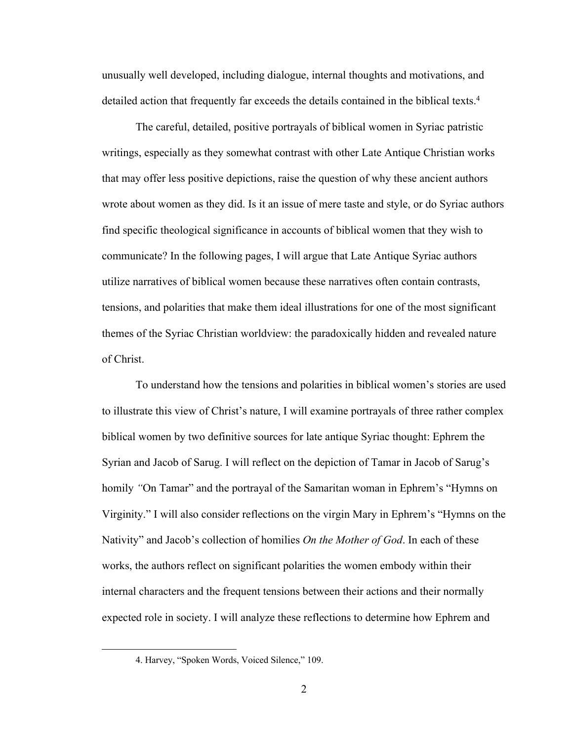unusually well developed, including dialogue, internal thoughts and motivations, and detailed action that frequently far exceeds the details contained in the biblical texts.4

The careful, detailed, positive portrayals of biblical women in Syriac patristic writings, especially as they somewhat contrast with other Late Antique Christian works that may offer less positive depictions, raise the question of why these ancient authors wrote about women as they did. Is it an issue of mere taste and style, or do Syriac authors find specific theological significance in accounts of biblical women that they wish to communicate? In the following pages, I will argue that Late Antique Syriac authors utilize narratives of biblical women because these narratives often contain contrasts, tensions, and polarities that make them ideal illustrations for one of the most significant themes of the Syriac Christian worldview: the paradoxically hidden and revealed nature of Christ.

To understand how the tensions and polarities in biblical women's stories are used to illustrate this view of Christ's nature, I will examine portrayals of three rather complex biblical women by two definitive sources for late antique Syriac thought: Ephrem the Syrian and Jacob of Sarug. I will reflect on the depiction of Tamar in Jacob of Sarug's homily *"*On Tamar" and the portrayal of the Samaritan woman in Ephrem's "Hymns on Virginity." I will also consider reflections on the virgin Mary in Ephrem's "Hymns on the Nativity" and Jacob's collection of homilies *On the Mother of God*. In each of these works, the authors reflect on significant polarities the women embody within their internal characters and the frequent tensions between their actions and their normally expected role in society. I will analyze these reflections to determine how Ephrem and

<sup>4.</sup> Harvey, "Spoken Words, Voiced Silence," 109.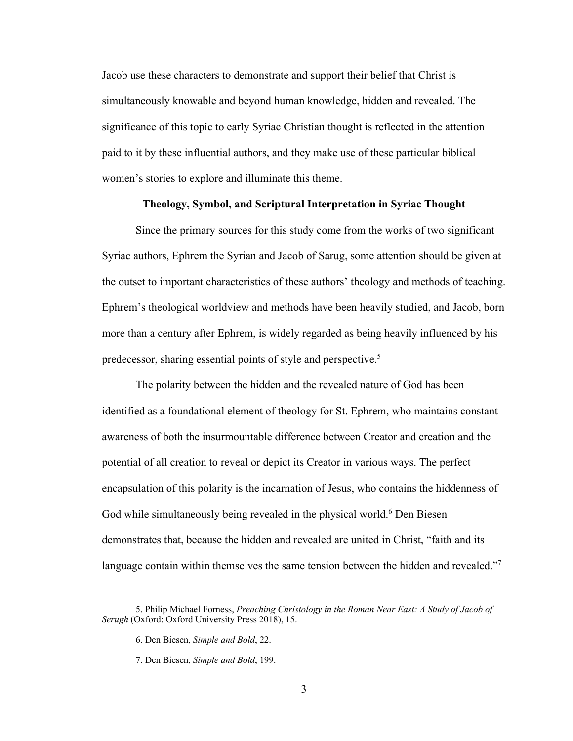Jacob use these characters to demonstrate and support their belief that Christ is simultaneously knowable and beyond human knowledge, hidden and revealed. The significance of this topic to early Syriac Christian thought is reflected in the attention paid to it by these influential authors, and they make use of these particular biblical women's stories to explore and illuminate this theme.

#### **Theology, Symbol, and Scriptural Interpretation in Syriac Thought**

Since the primary sources for this study come from the works of two significant Syriac authors, Ephrem the Syrian and Jacob of Sarug, some attention should be given at the outset to important characteristics of these authors' theology and methods of teaching. Ephrem's theological worldview and methods have been heavily studied, and Jacob, born more than a century after Ephrem, is widely regarded as being heavily influenced by his predecessor, sharing essential points of style and perspective.5

The polarity between the hidden and the revealed nature of God has been identified as a foundational element of theology for St. Ephrem, who maintains constant awareness of both the insurmountable difference between Creator and creation and the potential of all creation to reveal or depict its Creator in various ways. The perfect encapsulation of this polarity is the incarnation of Jesus, who contains the hiddenness of God while simultaneously being revealed in the physical world.<sup>6</sup> Den Biesen demonstrates that, because the hidden and revealed are united in Christ, "faith and its language contain within themselves the same tension between the hidden and revealed."<sup>7</sup>

<sup>5.</sup> Philip Michael Forness, *Preaching Christology in the Roman Near East: A Study of Jacob of Serugh* (Oxford: Oxford University Press 2018), 15.

<sup>6.</sup> Den Biesen, *Simple and Bold*, 22.

<sup>7.</sup> Den Biesen, *Simple and Bold*, 199.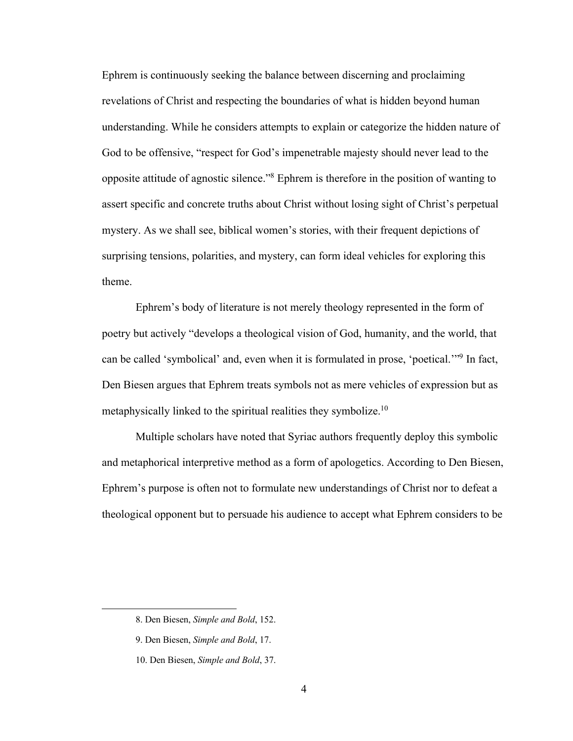Ephrem is continuously seeking the balance between discerning and proclaiming revelations of Christ and respecting the boundaries of what is hidden beyond human understanding. While he considers attempts to explain or categorize the hidden nature of God to be offensive, "respect for God's impenetrable majesty should never lead to the opposite attitude of agnostic silence."8 Ephrem is therefore in the position of wanting to assert specific and concrete truths about Christ without losing sight of Christ's perpetual mystery. As we shall see, biblical women's stories, with their frequent depictions of surprising tensions, polarities, and mystery, can form ideal vehicles for exploring this theme.

Ephrem's body of literature is not merely theology represented in the form of poetry but actively "develops a theological vision of God, humanity, and the world, that can be called 'symbolical' and, even when it is formulated in prose, 'poetical.'"9 In fact, Den Biesen argues that Ephrem treats symbols not as mere vehicles of expression but as metaphysically linked to the spiritual realities they symbolize.10

Multiple scholars have noted that Syriac authors frequently deploy this symbolic and metaphorical interpretive method as a form of apologetics. According to Den Biesen, Ephrem's purpose is often not to formulate new understandings of Christ nor to defeat a theological opponent but to persuade his audience to accept what Ephrem considers to be

<sup>8.</sup> Den Biesen, *Simple and Bold*, 152.

<sup>9.</sup> Den Biesen, *Simple and Bold*, 17.

<sup>10.</sup> Den Biesen, *Simple and Bold*, 37.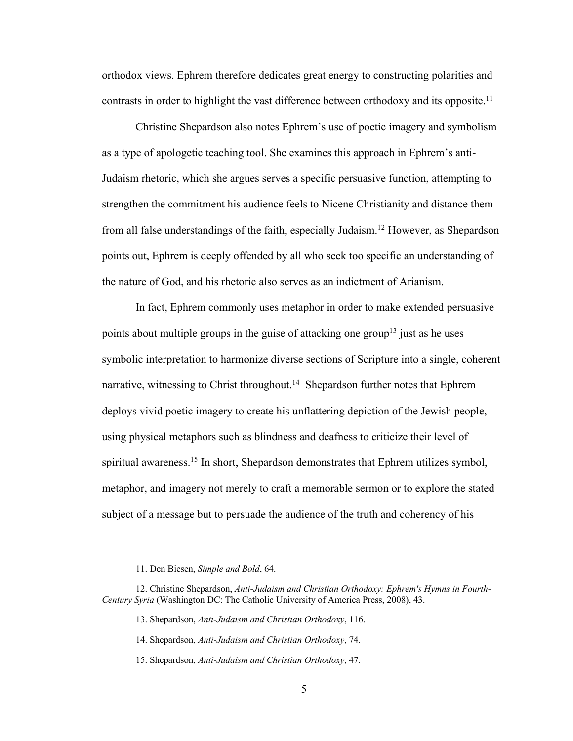orthodox views. Ephrem therefore dedicates great energy to constructing polarities and contrasts in order to highlight the vast difference between orthodoxy and its opposite.<sup>11</sup>

Christine Shepardson also notes Ephrem's use of poetic imagery and symbolism as a type of apologetic teaching tool. She examines this approach in Ephrem's anti-Judaism rhetoric, which she argues serves a specific persuasive function, attempting to strengthen the commitment his audience feels to Nicene Christianity and distance them from all false understandings of the faith, especially Judaism.12 However, as Shepardson points out, Ephrem is deeply offended by all who seek too specific an understanding of the nature of God, and his rhetoric also serves as an indictment of Arianism.

In fact, Ephrem commonly uses metaphor in order to make extended persuasive points about multiple groups in the guise of attacking one group<sup>13</sup> just as he uses symbolic interpretation to harmonize diverse sections of Scripture into a single, coherent narrative, witnessing to Christ throughout.<sup>14</sup> Shepardson further notes that Ephrem deploys vivid poetic imagery to create his unflattering depiction of the Jewish people, using physical metaphors such as blindness and deafness to criticize their level of spiritual awareness.<sup>15</sup> In short, Shepardson demonstrates that Ephrem utilizes symbol, metaphor, and imagery not merely to craft a memorable sermon or to explore the stated subject of a message but to persuade the audience of the truth and coherency of his

<sup>11.</sup> Den Biesen, *Simple and Bold*, 64.

<sup>12.</sup> Christine Shepardson, *Anti-Judaism and Christian Orthodoxy: Ephrem's Hymns in Fourth-Century Syria* (Washington DC: The Catholic University of America Press, 2008), 43.

<sup>13.</sup> Shepardson, *Anti-Judaism and Christian Orthodoxy*, 116.

<sup>14.</sup> Shepardson, *Anti-Judaism and Christian Orthodoxy*, 74.

<sup>15.</sup> Shepardson, *Anti-Judaism and Christian Orthodoxy*, 47*.*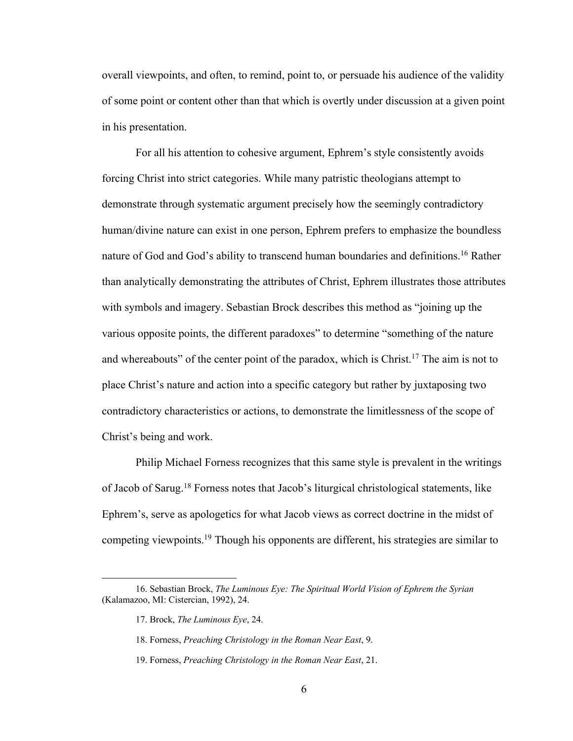overall viewpoints, and often, to remind, point to, or persuade his audience of the validity of some point or content other than that which is overtly under discussion at a given point in his presentation.

For all his attention to cohesive argument, Ephrem's style consistently avoids forcing Christ into strict categories. While many patristic theologians attempt to demonstrate through systematic argument precisely how the seemingly contradictory human/divine nature can exist in one person, Ephrem prefers to emphasize the boundless nature of God and God's ability to transcend human boundaries and definitions.16 Rather than analytically demonstrating the attributes of Christ, Ephrem illustrates those attributes with symbols and imagery. Sebastian Brock describes this method as "joining up the various opposite points, the different paradoxes" to determine "something of the nature and whereabouts" of the center point of the paradox, which is Christ.<sup>17</sup> The aim is not to place Christ's nature and action into a specific category but rather by juxtaposing two contradictory characteristics or actions, to demonstrate the limitlessness of the scope of Christ's being and work.

Philip Michael Forness recognizes that this same style is prevalent in the writings of Jacob of Sarug.18 Forness notes that Jacob's liturgical christological statements, like Ephrem's, serve as apologetics for what Jacob views as correct doctrine in the midst of competing viewpoints.19 Though his opponents are different, his strategies are similar to

<sup>16.</sup> Sebastian Brock, *The Luminous Eye: The Spiritual World Vision of Ephrem the Syrian* (Kalamazoo, MI: Cistercian, 1992), 24.

<sup>17.</sup> Brock, *The Luminous Eye*, 24.

<sup>18.</sup> Forness, *Preaching Christology in the Roman Near East*, 9.

<sup>19.</sup> Forness, *Preaching Christology in the Roman Near East*, 21.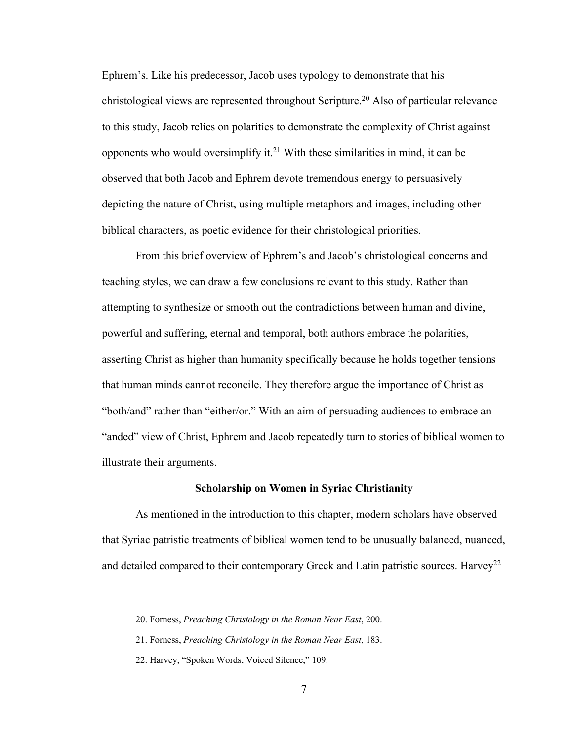Ephrem's. Like his predecessor, Jacob uses typology to demonstrate that his christological views are represented throughout Scripture. <sup>20</sup> Also of particular relevance to this study, Jacob relies on polarities to demonstrate the complexity of Christ against opponents who would oversimplify it.<sup>21</sup> With these similarities in mind, it can be observed that both Jacob and Ephrem devote tremendous energy to persuasively depicting the nature of Christ, using multiple metaphors and images, including other biblical characters, as poetic evidence for their christological priorities.

From this brief overview of Ephrem's and Jacob's christological concerns and teaching styles, we can draw a few conclusions relevant to this study. Rather than attempting to synthesize or smooth out the contradictions between human and divine, powerful and suffering, eternal and temporal, both authors embrace the polarities, asserting Christ as higher than humanity specifically because he holds together tensions that human minds cannot reconcile. They therefore argue the importance of Christ as "both/and" rather than "either/or." With an aim of persuading audiences to embrace an "anded" view of Christ, Ephrem and Jacob repeatedly turn to stories of biblical women to illustrate their arguments.

#### **Scholarship on Women in Syriac Christianity**

As mentioned in the introduction to this chapter, modern scholars have observed that Syriac patristic treatments of biblical women tend to be unusually balanced, nuanced, and detailed compared to their contemporary Greek and Latin patristic sources. Harvey<sup>22</sup>

<sup>20.</sup> Forness, *Preaching Christology in the Roman Near East*, 200.

<sup>21.</sup> Forness, *Preaching Christology in the Roman Near East*, 183.

<sup>22.</sup> Harvey, "Spoken Words, Voiced Silence," 109.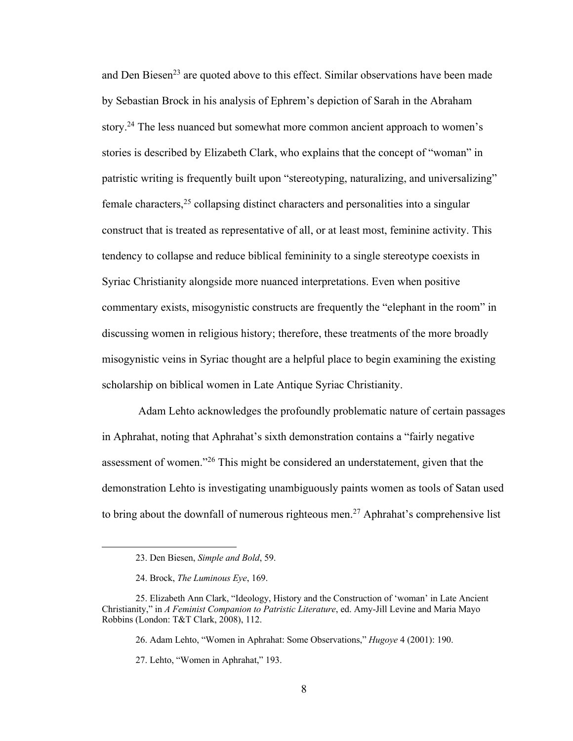and Den Biesen<sup>23</sup> are quoted above to this effect. Similar observations have been made by Sebastian Brock in his analysis of Ephrem's depiction of Sarah in the Abraham story.<sup>24</sup> The less nuanced but somewhat more common ancient approach to women's stories is described by Elizabeth Clark, who explains that the concept of "woman" in patristic writing is frequently built upon "stereotyping, naturalizing, and universalizing" female characters,  $25$  collapsing distinct characters and personalities into a singular construct that is treated as representative of all, or at least most, feminine activity. This tendency to collapse and reduce biblical femininity to a single stereotype coexists in Syriac Christianity alongside more nuanced interpretations. Even when positive commentary exists, misogynistic constructs are frequently the "elephant in the room" in discussing women in religious history; therefore, these treatments of the more broadly misogynistic veins in Syriac thought are a helpful place to begin examining the existing scholarship on biblical women in Late Antique Syriac Christianity.

Adam Lehto acknowledges the profoundly problematic nature of certain passages in Aphrahat, noting that Aphrahat's sixth demonstration contains a "fairly negative assessment of women."26 This might be considered an understatement, given that the demonstration Lehto is investigating unambiguously paints women as tools of Satan used to bring about the downfall of numerous righteous men.<sup>27</sup> Aphrahat's comprehensive list

<sup>23.</sup> Den Biesen, *Simple and Bold*, 59.

<sup>24.</sup> Brock, *The Luminous Eye*, 169.

<sup>25.</sup> Elizabeth Ann Clark, "Ideology, History and the Construction of 'woman' in Late Ancient Christianity," in *A Feminist Companion to Patristic Literature*, ed. Amy-Jill Levine and Maria Mayo Robbins (London: T&T Clark, 2008), 112.

<sup>26.</sup> Adam Lehto, "Women in Aphrahat: Some Observations," *Hugoye* 4 (2001): 190.

<sup>27.</sup> Lehto, "Women in Aphrahat," 193.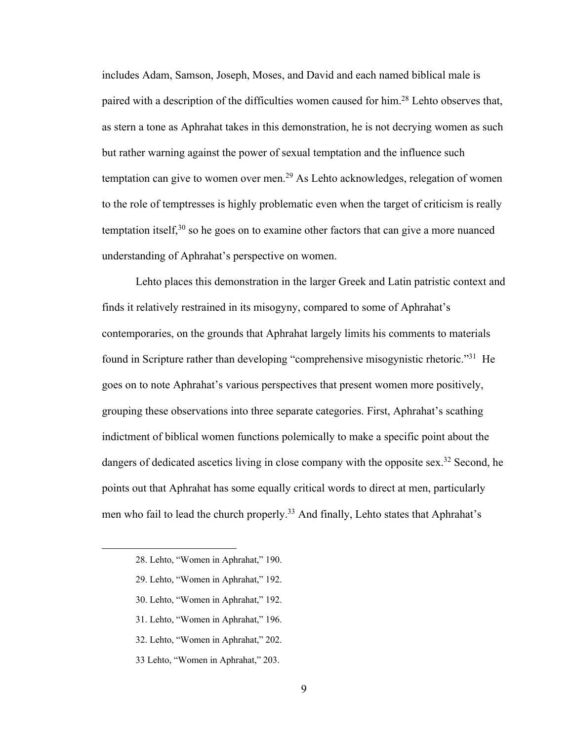includes Adam, Samson, Joseph, Moses, and David and each named biblical male is paired with a description of the difficulties women caused for him.28 Lehto observes that, as stern a tone as Aphrahat takes in this demonstration, he is not decrying women as such but rather warning against the power of sexual temptation and the influence such temptation can give to women over men.<sup>29</sup> As Lehto acknowledges, relegation of women to the role of temptresses is highly problematic even when the target of criticism is really temptation itself, $30$  so he goes on to examine other factors that can give a more nuanced understanding of Aphrahat's perspective on women.

Lehto places this demonstration in the larger Greek and Latin patristic context and finds it relatively restrained in its misogyny, compared to some of Aphrahat's contemporaries, on the grounds that Aphrahat largely limits his comments to materials found in Scripture rather than developing "comprehensive misogynistic rhetoric."31 He goes on to note Aphrahat's various perspectives that present women more positively, grouping these observations into three separate categories. First, Aphrahat's scathing indictment of biblical women functions polemically to make a specific point about the dangers of dedicated ascetics living in close company with the opposite sex.<sup>32</sup> Second, he points out that Aphrahat has some equally critical words to direct at men, particularly men who fail to lead the church properly.<sup>33</sup> And finally, Lehto states that Aphrahat's

- 30. Lehto, "Women in Aphrahat," 192.
- 31. Lehto, "Women in Aphrahat," 196.
- 32. Lehto, "Women in Aphrahat," 202.
- 33 Lehto, "Women in Aphrahat," 203.

<sup>28.</sup> Lehto, "Women in Aphrahat," 190.

<sup>29.</sup> Lehto, "Women in Aphrahat," 192.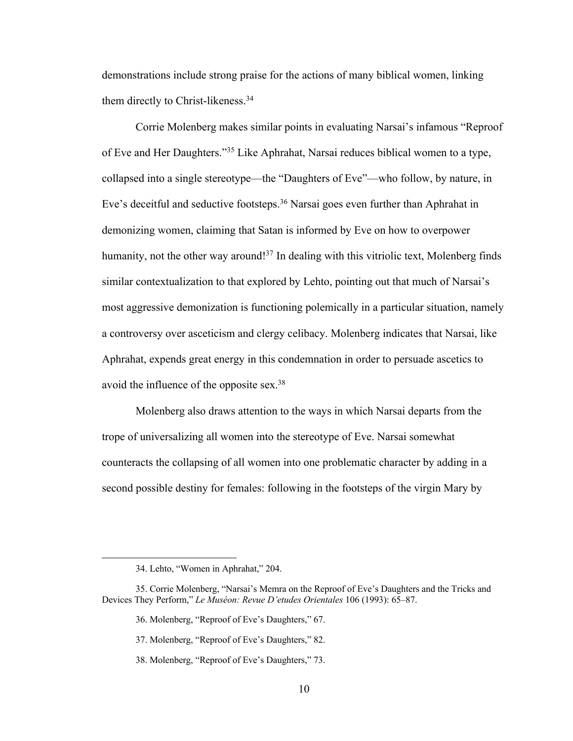demonstrations include strong praise for the actions of many biblical women, linking them directly to Christ-likeness.<sup>34</sup>

Corrie Molenberg makes similar points in evaluating Narsai's infamous "Reproof of Eve and Her Daughters."35 Like Aphrahat, Narsai reduces biblical women to a type, collapsed into a single stereotype—the "Daughters of Eve"—who follow, by nature, in Eve's deceitful and seductive footsteps.<sup>36</sup> Narsai goes even further than Aphrahat in demonizing women, claiming that Satan is informed by Eve on how to overpower humanity, not the other way around!<sup>37</sup> In dealing with this vitriolic text, Molenberg finds similar contextualization to that explored by Lehto, pointing out that much of Narsai's most aggressive demonization is functioning polemically in a particular situation, namely a controversy over asceticism and clergy celibacy. Molenberg indicates that Narsai, like Aphrahat, expends great energy in this condemnation in order to persuade ascetics to avoid the influence of the opposite sex.38

Molenberg also draws attention to the ways in which Narsai departs from the trope of universalizing all women into the stereotype of Eve. Narsai somewhat counteracts the collapsing of all women into one problematic character by adding in a second possible destiny for females: following in the footsteps of the virgin Mary by

<sup>34.</sup> Lehto, "Women in Aphrahat," 204.

<sup>35.</sup> Corrie Molenberg, "Narsai's Memra on the Reproof of Eve's Daughters and the Tricks and Devices They Perform," *Le Muséon: Revue D'etudes Orientales* 106 (1993): 65–87.

<sup>36.</sup> Molenberg, "Reproof of Eve's Daughters," 67.

<sup>37.</sup> Molenberg, "Reproof of Eve's Daughters," 82.

<sup>38.</sup> Molenberg, "Reproof of Eve's Daughters," 73.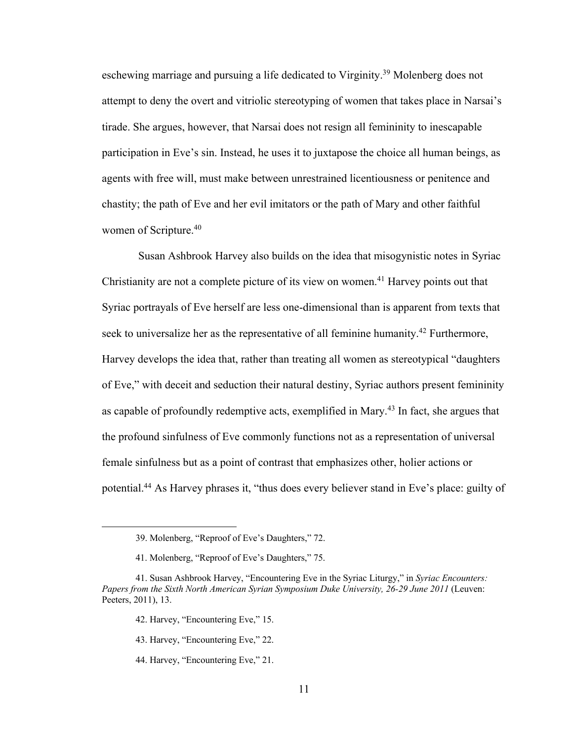eschewing marriage and pursuing a life dedicated to Virginity.39 Molenberg does not attempt to deny the overt and vitriolic stereotyping of women that takes place in Narsai's tirade. She argues, however, that Narsai does not resign all femininity to inescapable participation in Eve's sin. Instead, he uses it to juxtapose the choice all human beings, as agents with free will, must make between unrestrained licentiousness or penitence and chastity; the path of Eve and her evil imitators or the path of Mary and other faithful women of Scripture. 40

Susan Ashbrook Harvey also builds on the idea that misogynistic notes in Syriac Christianity are not a complete picture of its view on women.41 Harvey points out that Syriac portrayals of Eve herself are less one-dimensional than is apparent from texts that seek to universalize her as the representative of all feminine humanity.<sup>42</sup> Furthermore, Harvey develops the idea that, rather than treating all women as stereotypical "daughters of Eve," with deceit and seduction their natural destiny, Syriac authors present femininity as capable of profoundly redemptive acts, exemplified in Mary.43 In fact, she argues that the profound sinfulness of Eve commonly functions not as a representation of universal female sinfulness but as a point of contrast that emphasizes other, holier actions or potential.44 As Harvey phrases it, "thus does every believer stand in Eve's place: guilty of

44. Harvey, "Encountering Eve," 21.

<sup>39.</sup> Molenberg, "Reproof of Eve's Daughters," 72.

<sup>41.</sup> Molenberg, "Reproof of Eve's Daughters," 75.

<sup>41.</sup> Susan Ashbrook Harvey, "Encountering Eve in the Syriac Liturgy," in *Syriac Encounters: Papers from the Sixth North American Syrian Symposium Duke University, 26-29 June 2011* (Leuven: Peeters, 2011), 13.

<sup>42.</sup> Harvey, "Encountering Eve," 15.

<sup>43.</sup> Harvey, "Encountering Eve," 22.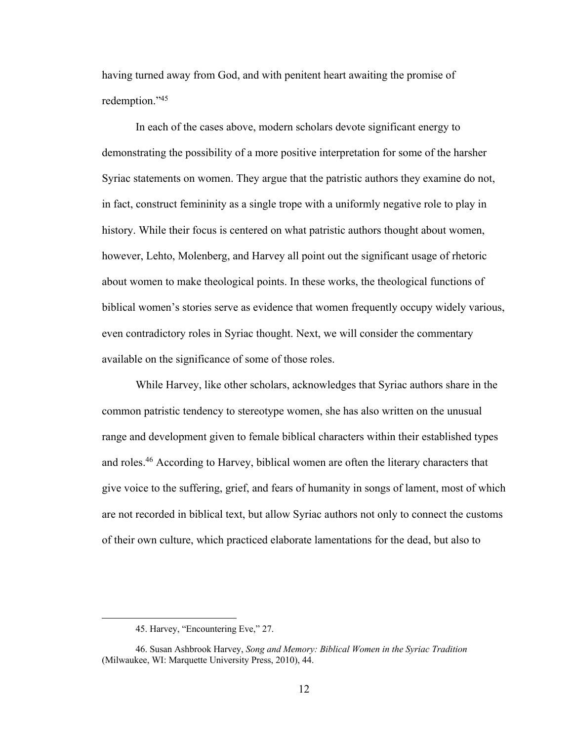having turned away from God, and with penitent heart awaiting the promise of redemption."45

In each of the cases above, modern scholars devote significant energy to demonstrating the possibility of a more positive interpretation for some of the harsher Syriac statements on women. They argue that the patristic authors they examine do not, in fact, construct femininity as a single trope with a uniformly negative role to play in history. While their focus is centered on what patristic authors thought about women, however, Lehto, Molenberg, and Harvey all point out the significant usage of rhetoric about women to make theological points. In these works, the theological functions of biblical women's stories serve as evidence that women frequently occupy widely various, even contradictory roles in Syriac thought. Next, we will consider the commentary available on the significance of some of those roles.

While Harvey, like other scholars, acknowledges that Syriac authors share in the common patristic tendency to stereotype women, she has also written on the unusual range and development given to female biblical characters within their established types and roles.46 According to Harvey, biblical women are often the literary characters that give voice to the suffering, grief, and fears of humanity in songs of lament, most of which are not recorded in biblical text, but allow Syriac authors not only to connect the customs of their own culture, which practiced elaborate lamentations for the dead, but also to

<sup>45.</sup> Harvey, "Encountering Eve," 27.

<sup>46.</sup> Susan Ashbrook Harvey, *Song and Memory: Biblical Women in the Syriac Tradition* (Milwaukee, WI: Marquette University Press, 2010), 44.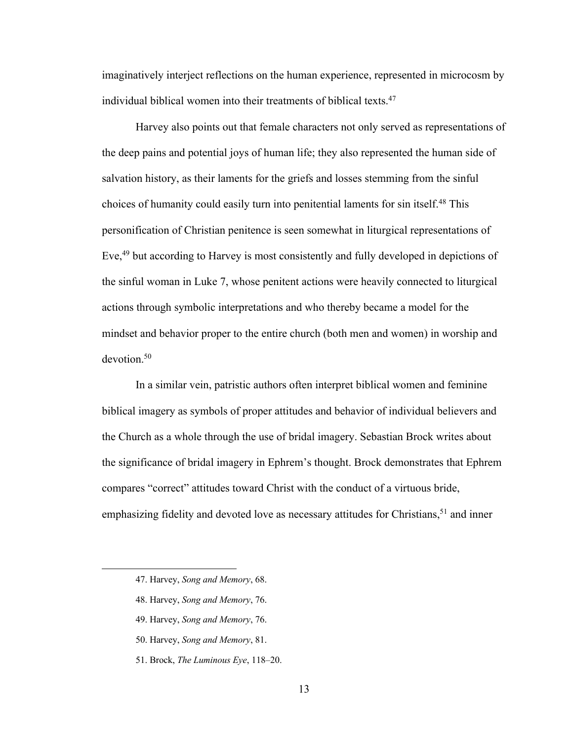imaginatively interject reflections on the human experience, represented in microcosm by individual biblical women into their treatments of biblical texts.<sup>47</sup>

Harvey also points out that female characters not only served as representations of the deep pains and potential joys of human life; they also represented the human side of salvation history, as their laments for the griefs and losses stemming from the sinful choices of humanity could easily turn into penitential laments for sin itself.48 This personification of Christian penitence is seen somewhat in liturgical representations of Eve,<sup>49</sup> but according to Harvey is most consistently and fully developed in depictions of the sinful woman in Luke 7, whose penitent actions were heavily connected to liturgical actions through symbolic interpretations and who thereby became a model for the mindset and behavior proper to the entire church (both men and women) in worship and devotion.<sup>50</sup>

In a similar vein, patristic authors often interpret biblical women and feminine biblical imagery as symbols of proper attitudes and behavior of individual believers and the Church as a whole through the use of bridal imagery. Sebastian Brock writes about the significance of bridal imagery in Ephrem's thought. Brock demonstrates that Ephrem compares "correct" attitudes toward Christ with the conduct of a virtuous bride, emphasizing fidelity and devoted love as necessary attitudes for Christians,  $51$  and inner

- 49. Harvey, *Song and Memory*, 76.
- 50. Harvey, *Song and Memory*, 81.
- 51. Brock, *The Luminous Eye*, 118–20.

<sup>47.</sup> Harvey, *Song and Memory*, 68.

<sup>48.</sup> Harvey, *Song and Memory*, 76.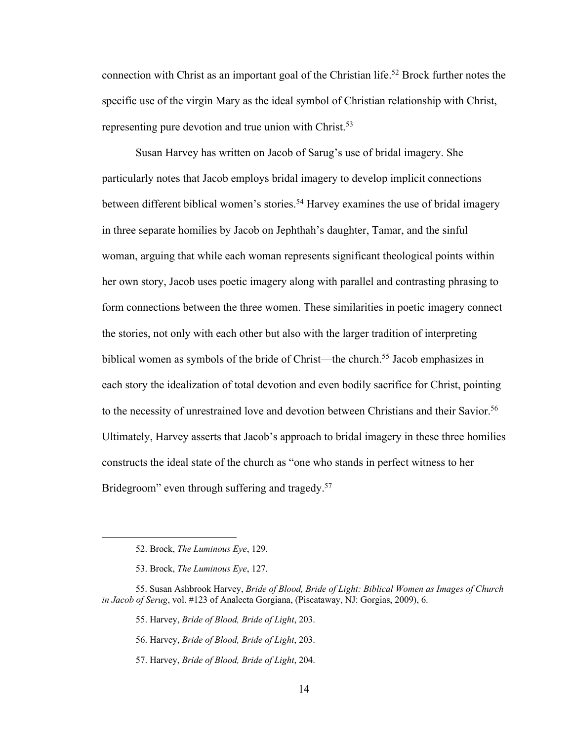connection with Christ as an important goal of the Christian life.<sup>52</sup> Brock further notes the specific use of the virgin Mary as the ideal symbol of Christian relationship with Christ, representing pure devotion and true union with Christ.<sup>53</sup>

Susan Harvey has written on Jacob of Sarug's use of bridal imagery. She particularly notes that Jacob employs bridal imagery to develop implicit connections between different biblical women's stories. <sup>54</sup> Harvey examines the use of bridal imagery in three separate homilies by Jacob on Jephthah's daughter, Tamar, and the sinful woman, arguing that while each woman represents significant theological points within her own story, Jacob uses poetic imagery along with parallel and contrasting phrasing to form connections between the three women. These similarities in poetic imagery connect the stories, not only with each other but also with the larger tradition of interpreting biblical women as symbols of the bride of Christ—the church.<sup>55</sup> Jacob emphasizes in each story the idealization of total devotion and even bodily sacrifice for Christ, pointing to the necessity of unrestrained love and devotion between Christians and their Savior.<sup>56</sup> Ultimately, Harvey asserts that Jacob's approach to bridal imagery in these three homilies constructs the ideal state of the church as "one who stands in perfect witness to her Bridegroom" even through suffering and tragedy.<sup>57</sup>

- 55. Harvey, *Bride of Blood, Bride of Light*, 203.
- 56. Harvey, *Bride of Blood, Bride of Light*, 203.
- 57. Harvey, *Bride of Blood, Bride of Light*, 204.

<sup>52.</sup> Brock, *The Luminous Eye*, 129.

<sup>53.</sup> Brock, *The Luminous Eye*, 127.

<sup>55.</sup> Susan Ashbrook Harvey, *Bride of Blood, Bride of Light: Biblical Women as Images of Church in Jacob of Serug*, vol. #123 of Analecta Gorgiana, (Piscataway, NJ: Gorgias, 2009), 6.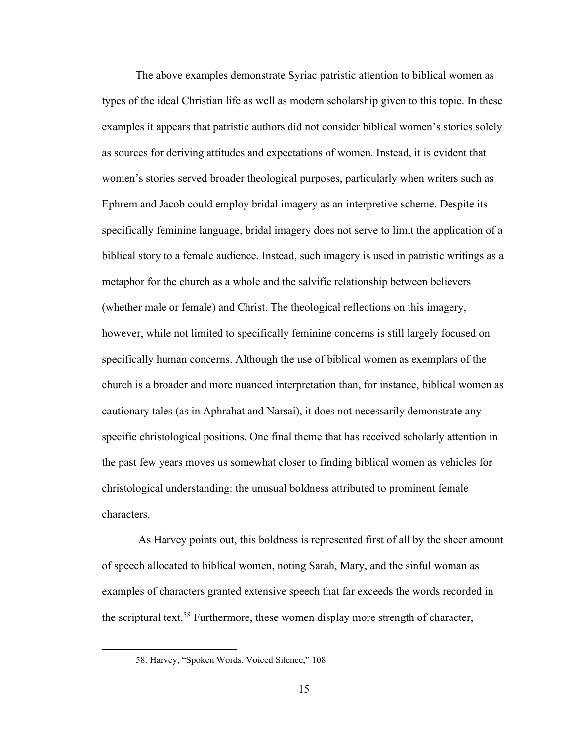The above examples demonstrate Syriac patristic attention to biblical women as types of the ideal Christian life as well as modern scholarship given to this topic. In these examples it appears that patristic authors did not consider biblical women's stories solely as sources for deriving attitudes and expectations of women. Instead, it is evident that women's stories served broader theological purposes, particularly when writers such as Ephrem and Jacob could employ bridal imagery as an interpretive scheme. Despite its specifically feminine language, bridal imagery does not serve to limit the application of a biblical story to a female audience. Instead, such imagery is used in patristic writings as a metaphor for the church as a whole and the salvific relationship between believers (whether male or female) and Christ. The theological reflections on this imagery, however, while not limited to specifically feminine concerns is still largely focused on specifically human concerns. Although the use of biblical women as exemplars of the church is a broader and more nuanced interpretation than, for instance, biblical women as cautionary tales (as in Aphrahat and Narsai), it does not necessarily demonstrate any specific christological positions. One final theme that has received scholarly attention in the past few years moves us somewhat closer to finding biblical women as vehicles for christological understanding: the unusual boldness attributed to prominent female characters.

As Harvey points out, this boldness is represented first of all by the sheer amount of speech allocated to biblical women, noting Sarah, Mary, and the sinful woman as examples of characters granted extensive speech that far exceeds the words recorded in the scriptural text.58 Furthermore, these women display more strength of character,

<sup>58.</sup> Harvey, "Spoken Words, Voiced Silence," 108.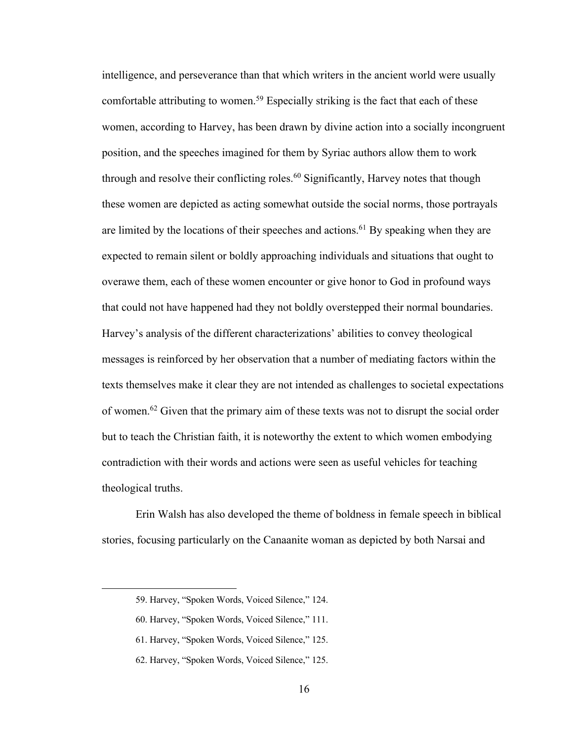intelligence, and perseverance than that which writers in the ancient world were usually comfortable attributing to women.<sup>59</sup> Especially striking is the fact that each of these women, according to Harvey, has been drawn by divine action into a socially incongruent position, and the speeches imagined for them by Syriac authors allow them to work through and resolve their conflicting roles.<sup>60</sup> Significantly, Harvey notes that though these women are depicted as acting somewhat outside the social norms, those portrayals are limited by the locations of their speeches and actions.<sup>61</sup> By speaking when they are expected to remain silent or boldly approaching individuals and situations that ought to overawe them, each of these women encounter or give honor to God in profound ways that could not have happened had they not boldly overstepped their normal boundaries. Harvey's analysis of the different characterizations' abilities to convey theological messages is reinforced by her observation that a number of mediating factors within the texts themselves make it clear they are not intended as challenges to societal expectations of women.62 Given that the primary aim of these texts was not to disrupt the social order but to teach the Christian faith, it is noteworthy the extent to which women embodying contradiction with their words and actions were seen as useful vehicles for teaching theological truths.

Erin Walsh has also developed the theme of boldness in female speech in biblical stories, focusing particularly on the Canaanite woman as depicted by both Narsai and

<sup>59.</sup> Harvey, "Spoken Words, Voiced Silence," 124.

<sup>60.</sup> Harvey, "Spoken Words, Voiced Silence," 111.

<sup>61.</sup> Harvey, "Spoken Words, Voiced Silence," 125.

<sup>62.</sup> Harvey, "Spoken Words, Voiced Silence," 125.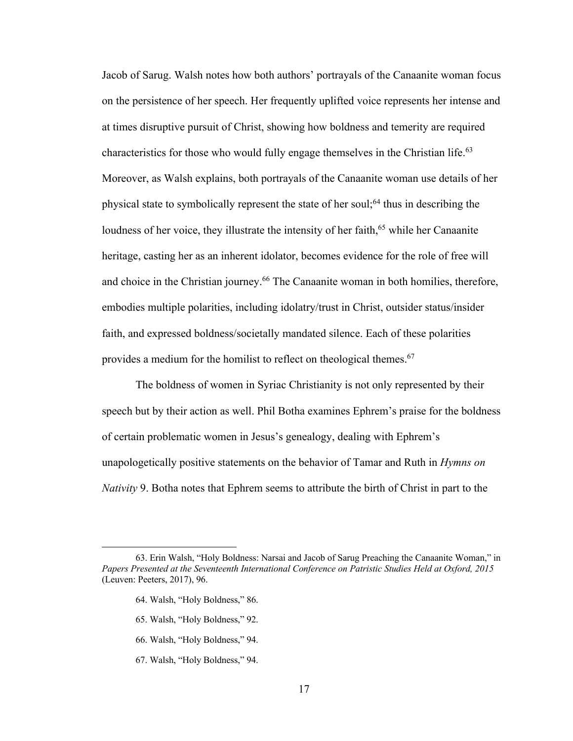Jacob of Sarug. Walsh notes how both authors' portrayals of the Canaanite woman focus on the persistence of her speech. Her frequently uplifted voice represents her intense and at times disruptive pursuit of Christ, showing how boldness and temerity are required characteristics for those who would fully engage themselves in the Christian life.63 Moreover, as Walsh explains, both portrayals of the Canaanite woman use details of her physical state to symbolically represent the state of her soul;<sup>64</sup> thus in describing the loudness of her voice, they illustrate the intensity of her faith, $65$  while her Canaanite heritage, casting her as an inherent idolator, becomes evidence for the role of free will and choice in the Christian journey.<sup>66</sup> The Canaanite woman in both homilies, therefore, embodies multiple polarities, including idolatry/trust in Christ, outsider status/insider faith, and expressed boldness/societally mandated silence. Each of these polarities provides a medium for the homilist to reflect on theological themes.<sup>67</sup>

The boldness of women in Syriac Christianity is not only represented by their speech but by their action as well. Phil Botha examines Ephrem's praise for the boldness of certain problematic women in Jesus's genealogy, dealing with Ephrem's unapologetically positive statements on the behavior of Tamar and Ruth in *Hymns on Nativity* 9. Botha notes that Ephrem seems to attribute the birth of Christ in part to the

- 66. Walsh, "Holy Boldness," 94.
- 67. Walsh, "Holy Boldness," 94.

<sup>63.</sup> Erin Walsh, "Holy Boldness: Narsai and Jacob of Sarug Preaching the Canaanite Woman," in *Papers Presented at the Seventeenth International Conference on Patristic Studies Held at Oxford, 2015* (Leuven: Peeters, 2017), 96.

<sup>64.</sup> Walsh, "Holy Boldness," 86.

<sup>65.</sup> Walsh, "Holy Boldness," 92.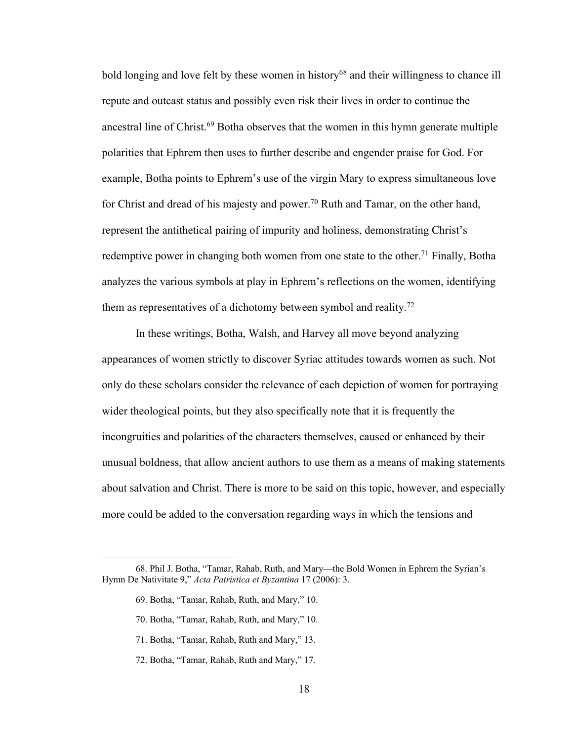bold longing and love felt by these women in history<sup>68</sup> and their willingness to chance ill repute and outcast status and possibly even risk their lives in order to continue the ancestral line of Christ.<sup>69</sup> Botha observes that the women in this hymn generate multiple polarities that Ephrem then uses to further describe and engender praise for God. For example, Botha points to Ephrem's use of the virgin Mary to express simultaneous love for Christ and dread of his majesty and power.<sup>70</sup> Ruth and Tamar, on the other hand, represent the antithetical pairing of impurity and holiness, demonstrating Christ's redemptive power in changing both women from one state to the other.<sup>71</sup> Finally, Botha analyzes the various symbols at play in Ephrem's reflections on the women, identifying them as representatives of a dichotomy between symbol and reality.<sup>72</sup>

In these writings, Botha, Walsh, and Harvey all move beyond analyzing appearances of women strictly to discover Syriac attitudes towards women as such. Not only do these scholars consider the relevance of each depiction of women for portraying wider theological points, but they also specifically note that it is frequently the incongruities and polarities of the characters themselves, caused or enhanced by their unusual boldness, that allow ancient authors to use them as a means of making statements about salvation and Christ. There is more to be said on this topic, however, and especially more could be added to the conversation regarding ways in which the tensions and

- 71. Botha, "Tamar, Rahab, Ruth and Mary," 13.
- 72. Botha, "Tamar, Rahab, Ruth and Mary," 17.

<sup>68.</sup> Phil J. Botha, "Tamar, Rahab, Ruth, and Mary—the Bold Women in Ephrem the Syrian's Hymn De Nativitate 9," *Acta Patristica et Byzantina* 17 (2006): 3.

<sup>69.</sup> Botha, "Tamar, Rahab, Ruth, and Mary," 10.

<sup>70.</sup> Botha, "Tamar, Rahab, Ruth, and Mary," 10.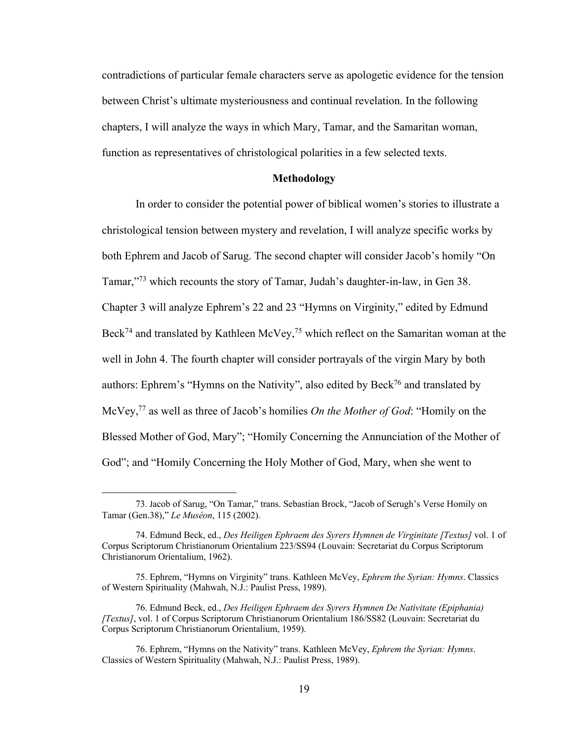contradictions of particular female characters serve as apologetic evidence for the tension between Christ's ultimate mysteriousness and continual revelation. In the following chapters, I will analyze the ways in which Mary, Tamar, and the Samaritan woman, function as representatives of christological polarities in a few selected texts.

#### **Methodology**

In order to consider the potential power of biblical women's stories to illustrate a christological tension between mystery and revelation, I will analyze specific works by both Ephrem and Jacob of Sarug. The second chapter will consider Jacob's homily "On Tamar,"73 which recounts the story of Tamar, Judah's daughter-in-law, in Gen 38. Chapter 3 will analyze Ephrem's 22 and 23 "Hymns on Virginity," edited by Edmund Beck<sup>74</sup> and translated by Kathleen McVey,<sup>75</sup> which reflect on the Samaritan woman at the well in John 4. The fourth chapter will consider portrayals of the virgin Mary by both authors: Ephrem's "Hymns on the Nativity", also edited by Beck76 and translated by McVey,77 as well as three of Jacob's homilies *On the Mother of God*: "Homily on the Blessed Mother of God, Mary"; "Homily Concerning the Annunciation of the Mother of God"; and "Homily Concerning the Holy Mother of God, Mary, when she went to

<sup>73.</sup> Jacob of Sarug, "On Tamar," trans. Sebastian Brock, "Jacob of Serugh's Verse Homily on Tamar (Gen.38)," *Le Muséon*, 115 (2002).

<sup>74.</sup> Edmund Beck, ed., *Des Heiligen Ephraem des Syrers Hymnen de Virginitate [Textus]* vol. 1 of Corpus Scriptorum Christianorum Orientalium 223/SS94 (Louvain: Secretariat du Corpus Scriptorum Christianorum Orientalium, 1962).

<sup>75.</sup> Ephrem, "Hymns on Virginity" trans. Kathleen McVey, *Ephrem the Syrian: Hymns*. Classics of Western Spirituality (Mahwah, N.J.: Paulist Press, 1989).

<sup>76.</sup> Edmund Beck, ed., *Des Heiligen Ephraem des Syrers Hymnen De Nativitate (Epiphania) [Textus]*, vol. 1 of Corpus Scriptorum Christianorum Orientalium 186/SS82 (Louvain: Secretariat du Corpus Scriptorum Christianorum Orientalium, 1959).

<sup>76.</sup> Ephrem, "Hymns on the Nativity" trans. Kathleen McVey, *Ephrem the Syrian: Hymns*. Classics of Western Spirituality (Mahwah, N.J.: Paulist Press, 1989).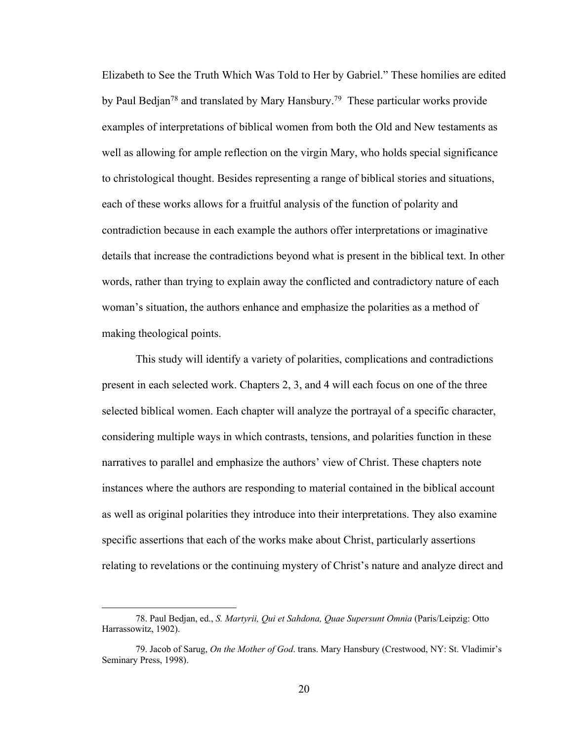Elizabeth to See the Truth Which Was Told to Her by Gabriel." These homilies are edited by Paul Bedjan<sup>78</sup> and translated by Mary Hansbury.<sup>79</sup> These particular works provide examples of interpretations of biblical women from both the Old and New testaments as well as allowing for ample reflection on the virgin Mary, who holds special significance to christological thought. Besides representing a range of biblical stories and situations, each of these works allows for a fruitful analysis of the function of polarity and contradiction because in each example the authors offer interpretations or imaginative details that increase the contradictions beyond what is present in the biblical text. In other words, rather than trying to explain away the conflicted and contradictory nature of each woman's situation, the authors enhance and emphasize the polarities as a method of making theological points.

This study will identify a variety of polarities, complications and contradictions present in each selected work. Chapters 2, 3, and 4 will each focus on one of the three selected biblical women. Each chapter will analyze the portrayal of a specific character, considering multiple ways in which contrasts, tensions, and polarities function in these narratives to parallel and emphasize the authors' view of Christ. These chapters note instances where the authors are responding to material contained in the biblical account as well as original polarities they introduce into their interpretations. They also examine specific assertions that each of the works make about Christ, particularly assertions relating to revelations or the continuing mystery of Christ's nature and analyze direct and

<sup>78.</sup> Paul Bedjan, ed., *S. Martyrii, Qui et Sahdona, Quae Supersunt Omnia* (Paris/Leipzig: Otto Harrassowitz, 1902).

<sup>79.</sup> Jacob of Sarug, *On the Mother of God*. trans. Mary Hansbury (Crestwood, NY: St. Vladimir's Seminary Press, 1998).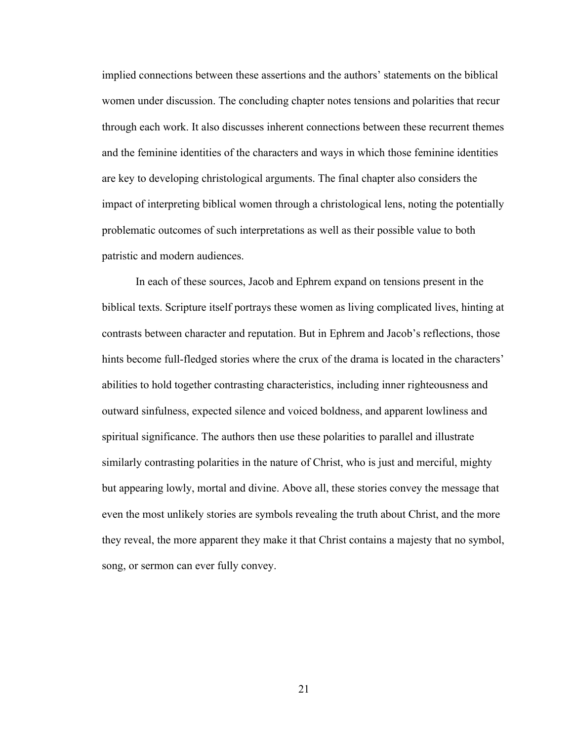implied connections between these assertions and the authors' statements on the biblical women under discussion. The concluding chapter notes tensions and polarities that recur through each work. It also discusses inherent connections between these recurrent themes and the feminine identities of the characters and ways in which those feminine identities are key to developing christological arguments. The final chapter also considers the impact of interpreting biblical women through a christological lens, noting the potentially problematic outcomes of such interpretations as well as their possible value to both patristic and modern audiences.

In each of these sources, Jacob and Ephrem expand on tensions present in the biblical texts. Scripture itself portrays these women as living complicated lives, hinting at contrasts between character and reputation. But in Ephrem and Jacob's reflections, those hints become full-fledged stories where the crux of the drama is located in the characters' abilities to hold together contrasting characteristics, including inner righteousness and outward sinfulness, expected silence and voiced boldness, and apparent lowliness and spiritual significance. The authors then use these polarities to parallel and illustrate similarly contrasting polarities in the nature of Christ, who is just and merciful, mighty but appearing lowly, mortal and divine. Above all, these stories convey the message that even the most unlikely stories are symbols revealing the truth about Christ, and the more they reveal, the more apparent they make it that Christ contains a majesty that no symbol, song, or sermon can ever fully convey.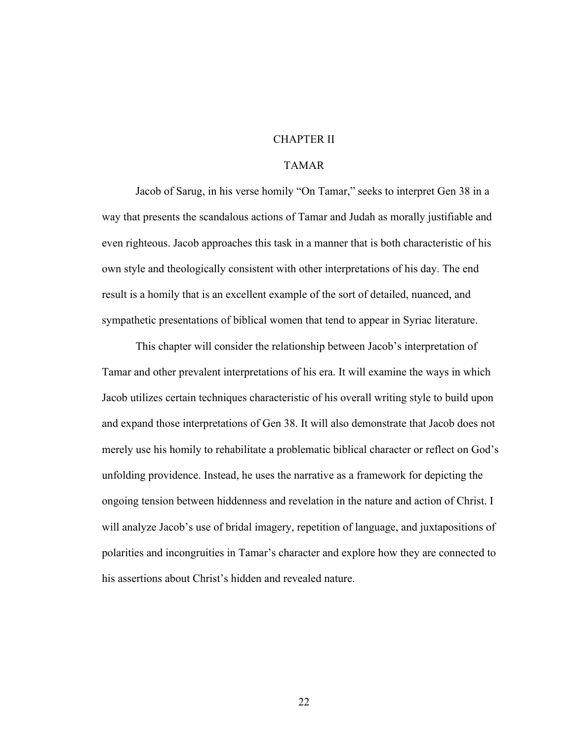### CHAPTER II

# TAMAR

Jacob of Sarug, in his verse homily "On Tamar," seeks to interpret Gen 38 in a way that presents the scandalous actions of Tamar and Judah as morally justifiable and even righteous. Jacob approaches this task in a manner that is both characteristic of his own style and theologically consistent with other interpretations of his day. The end result is a homily that is an excellent example of the sort of detailed, nuanced, and sympathetic presentations of biblical women that tend to appear in Syriac literature.

This chapter will consider the relationship between Jacob's interpretation of Tamar and other prevalent interpretations of his era. It will examine the ways in which Jacob utilizes certain techniques characteristic of his overall writing style to build upon and expand those interpretations of Gen 38. It will also demonstrate that Jacob does not merely use his homily to rehabilitate a problematic biblical character or reflect on God's unfolding providence. Instead, he uses the narrative as a framework for depicting the ongoing tension between hiddenness and revelation in the nature and action of Christ. I will analyze Jacob's use of bridal imagery, repetition of language, and juxtapositions of polarities and incongruities in Tamar's character and explore how they are connected to his assertions about Christ's hidden and revealed nature.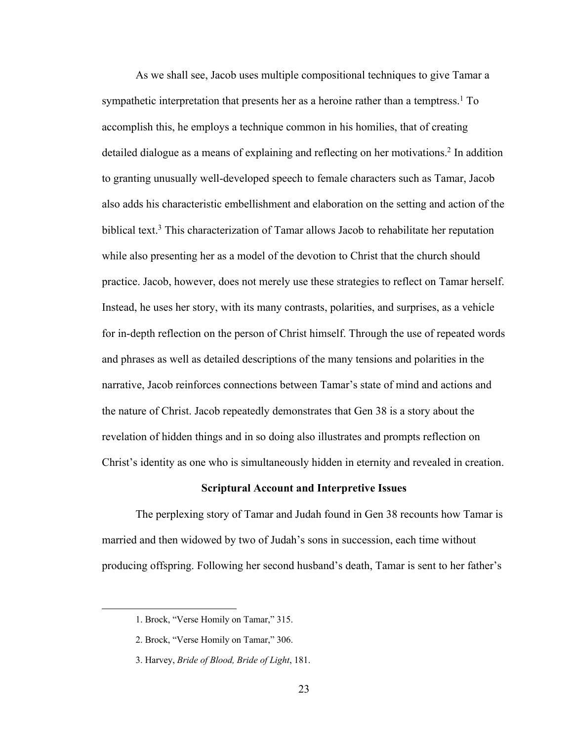As we shall see, Jacob uses multiple compositional techniques to give Tamar a sympathetic interpretation that presents her as a heroine rather than a temptress.<sup>1</sup> To accomplish this, he employs a technique common in his homilies, that of creating detailed dialogue as a means of explaining and reflecting on her motivations.2 In addition to granting unusually well-developed speech to female characters such as Tamar, Jacob also adds his characteristic embellishment and elaboration on the setting and action of the biblical text.<sup>3</sup> This characterization of Tamar allows Jacob to rehabilitate her reputation while also presenting her as a model of the devotion to Christ that the church should practice. Jacob, however, does not merely use these strategies to reflect on Tamar herself. Instead, he uses her story, with its many contrasts, polarities, and surprises, as a vehicle for in-depth reflection on the person of Christ himself. Through the use of repeated words and phrases as well as detailed descriptions of the many tensions and polarities in the narrative, Jacob reinforces connections between Tamar's state of mind and actions and the nature of Christ. Jacob repeatedly demonstrates that Gen 38 is a story about the revelation of hidden things and in so doing also illustrates and prompts reflection on Christ's identity as one who is simultaneously hidden in eternity and revealed in creation.

#### **Scriptural Account and Interpretive Issues**

The perplexing story of Tamar and Judah found in Gen 38 recounts how Tamar is married and then widowed by two of Judah's sons in succession, each time without producing offspring. Following her second husband's death, Tamar is sent to her father's

<sup>1.</sup> Brock, "Verse Homily on Tamar," 315.

<sup>2.</sup> Brock, "Verse Homily on Tamar," 306.

<sup>3.</sup> Harvey, *Bride of Blood, Bride of Light*, 181.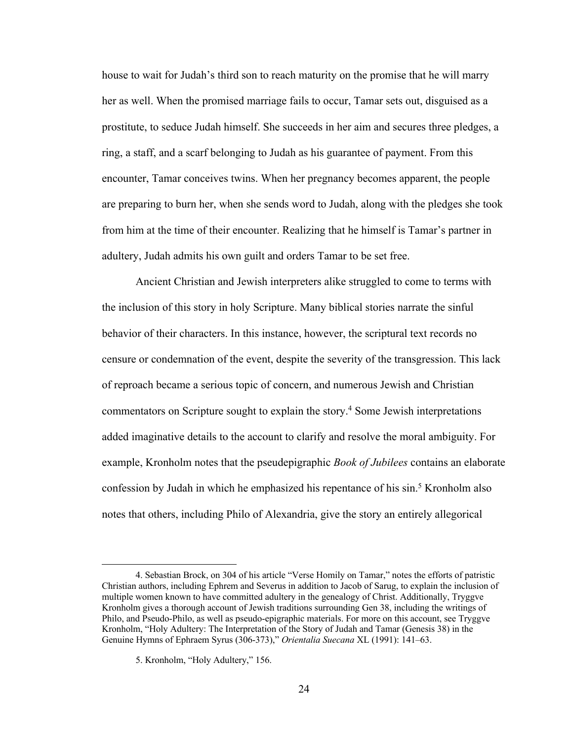house to wait for Judah's third son to reach maturity on the promise that he will marry her as well. When the promised marriage fails to occur, Tamar sets out, disguised as a prostitute, to seduce Judah himself. She succeeds in her aim and secures three pledges, a ring, a staff, and a scarf belonging to Judah as his guarantee of payment. From this encounter, Tamar conceives twins. When her pregnancy becomes apparent, the people are preparing to burn her, when she sends word to Judah, along with the pledges she took from him at the time of their encounter. Realizing that he himself is Tamar's partner in adultery, Judah admits his own guilt and orders Tamar to be set free.

Ancient Christian and Jewish interpreters alike struggled to come to terms with the inclusion of this story in holy Scripture. Many biblical stories narrate the sinful behavior of their characters. In this instance, however, the scriptural text records no censure or condemnation of the event, despite the severity of the transgression. This lack of reproach became a serious topic of concern, and numerous Jewish and Christian commentators on Scripture sought to explain the story.4 Some Jewish interpretations added imaginative details to the account to clarify and resolve the moral ambiguity. For example, Kronholm notes that the pseudepigraphic *Book of Jubilees* contains an elaborate confession by Judah in which he emphasized his repentance of his sin. <sup>5</sup> Kronholm also notes that others, including Philo of Alexandria, give the story an entirely allegorical

<sup>4.</sup> Sebastian Brock, on 304 of his article "Verse Homily on Tamar," notes the efforts of patristic Christian authors, including Ephrem and Severus in addition to Jacob of Sarug, to explain the inclusion of multiple women known to have committed adultery in the genealogy of Christ. Additionally, Tryggve Kronholm gives a thorough account of Jewish traditions surrounding Gen 38, including the writings of Philo, and Pseudo-Philo, as well as pseudo-epigraphic materials. For more on this account, see Tryggve Kronholm, "Holy Adultery: The Interpretation of the Story of Judah and Tamar (Genesis 38) in the Genuine Hymns of Ephraem Syrus (306-373)," *Orientalia Suecana* XL (1991): 141–63.

<sup>5.</sup> Kronholm, "Holy Adultery," 156.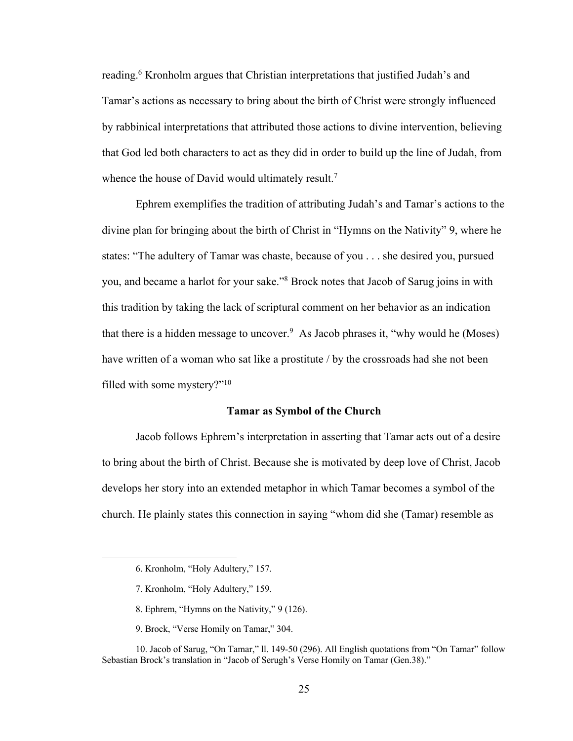reading.<sup>6</sup> Kronholm argues that Christian interpretations that justified Judah's and Tamar's actions as necessary to bring about the birth of Christ were strongly influenced by rabbinical interpretations that attributed those actions to divine intervention, believing that God led both characters to act as they did in order to build up the line of Judah, from whence the house of David would ultimately result.<sup>7</sup>

Ephrem exemplifies the tradition of attributing Judah's and Tamar's actions to the divine plan for bringing about the birth of Christ in "Hymns on the Nativity" 9, where he states: "The adultery of Tamar was chaste, because of you . . . she desired you, pursued you, and became a harlot for your sake."8 Brock notes that Jacob of Sarug joins in with this tradition by taking the lack of scriptural comment on her behavior as an indication that there is a hidden message to uncover.<sup>9</sup> As Jacob phrases it, "why would he (Moses) have written of a woman who sat like a prostitute / by the crossroads had she not been filled with some mystery?"<sup>10</sup>

#### **Tamar as Symbol of the Church**

Jacob follows Ephrem's interpretation in asserting that Tamar acts out of a desire to bring about the birth of Christ. Because she is motivated by deep love of Christ, Jacob develops her story into an extended metaphor in which Tamar becomes a symbol of the church. He plainly states this connection in saying "whom did she (Tamar) resemble as

- 8. Ephrem, "Hymns on the Nativity," 9 (126).
- 9. Brock, "Verse Homily on Tamar," 304.

<sup>6.</sup> Kronholm, "Holy Adultery," 157.

<sup>7.</sup> Kronholm, "Holy Adultery," 159.

<sup>10.</sup> Jacob of Sarug, "On Tamar," ll. 149-50 (296). All English quotations from "On Tamar" follow Sebastian Brock's translation in "Jacob of Serugh's Verse Homily on Tamar (Gen.38)."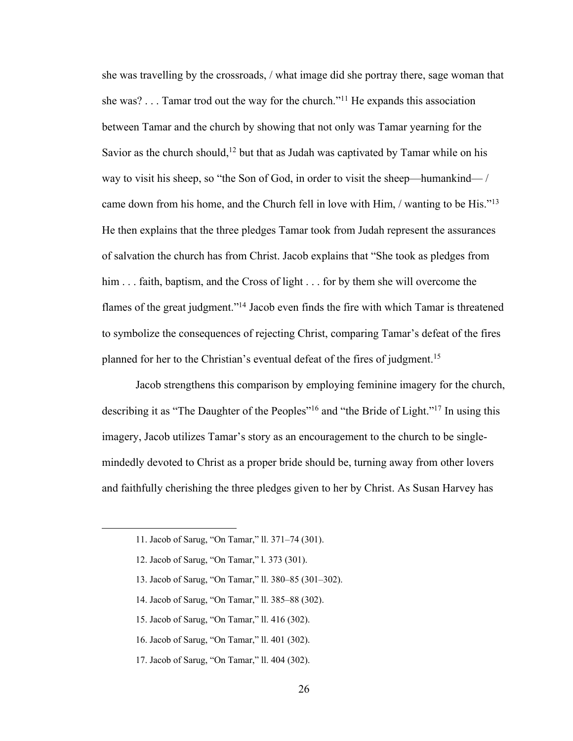she was travelling by the crossroads, / what image did she portray there, sage woman that she was? . . . Tamar trod out the way for the church."11 He expands this association between Tamar and the church by showing that not only was Tamar yearning for the Savior as the church should,<sup>12</sup> but that as Judah was captivated by Tamar while on his way to visit his sheep, so "the Son of God, in order to visit the sheep—humankind— / came down from his home, and the Church fell in love with Him, / wanting to be His."13 He then explains that the three pledges Tamar took from Judah represent the assurances of salvation the church has from Christ. Jacob explains that "She took as pledges from him . . . faith, baptism, and the Cross of light . . . for by them she will overcome the flames of the great judgment."14 Jacob even finds the fire with which Tamar is threatened to symbolize the consequences of rejecting Christ, comparing Tamar's defeat of the fires planned for her to the Christian's eventual defeat of the fires of judgment.<sup>15</sup>

Jacob strengthens this comparison by employing feminine imagery for the church, describing it as "The Daughter of the Peoples"<sup>16</sup> and "the Bride of Light."<sup>17</sup> In using this imagery, Jacob utilizes Tamar's story as an encouragement to the church to be singlemindedly devoted to Christ as a proper bride should be, turning away from other lovers and faithfully cherishing the three pledges given to her by Christ. As Susan Harvey has

- 13. Jacob of Sarug, "On Tamar," ll. 380–85 (301–302).
- 14. Jacob of Sarug, "On Tamar," ll. 385–88 (302).
- 15. Jacob of Sarug, "On Tamar," ll. 416 (302).
- 16. Jacob of Sarug, "On Tamar," ll. 401 (302).
- 17. Jacob of Sarug, "On Tamar," ll. 404 (302).

<sup>11.</sup> Jacob of Sarug, "On Tamar," ll. 371–74 (301).

<sup>12.</sup> Jacob of Sarug, "On Tamar," l. 373 (301).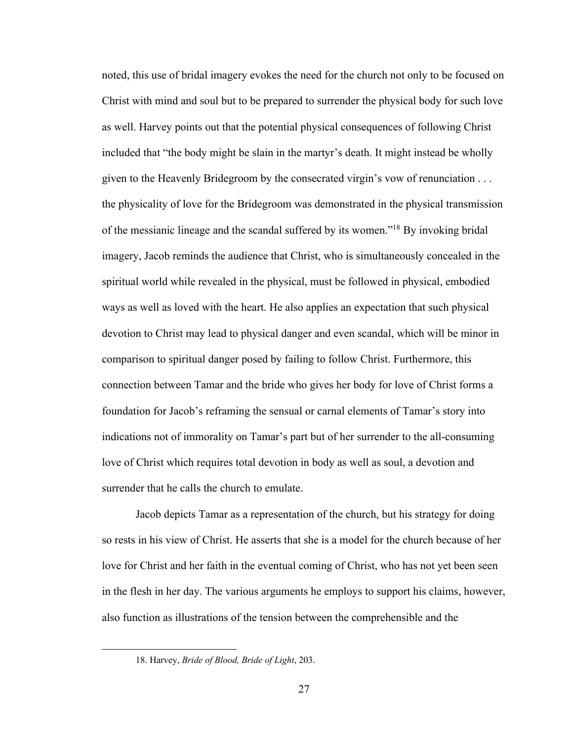noted, this use of bridal imagery evokes the need for the church not only to be focused on Christ with mind and soul but to be prepared to surrender the physical body for such love as well. Harvey points out that the potential physical consequences of following Christ included that "the body might be slain in the martyr's death. It might instead be wholly given to the Heavenly Bridegroom by the consecrated virgin's vow of renunciation . . . the physicality of love for the Bridegroom was demonstrated in the physical transmission of the messianic lineage and the scandal suffered by its women."18 By invoking bridal imagery, Jacob reminds the audience that Christ, who is simultaneously concealed in the spiritual world while revealed in the physical, must be followed in physical, embodied ways as well as loved with the heart. He also applies an expectation that such physical devotion to Christ may lead to physical danger and even scandal, which will be minor in comparison to spiritual danger posed by failing to follow Christ. Furthermore, this connection between Tamar and the bride who gives her body for love of Christ forms a foundation for Jacob's reframing the sensual or carnal elements of Tamar's story into indications not of immorality on Tamar's part but of her surrender to the all-consuming love of Christ which requires total devotion in body as well as soul, a devotion and surrender that he calls the church to emulate.

Jacob depicts Tamar as a representation of the church, but his strategy for doing so rests in his view of Christ. He asserts that she is a model for the church because of her love for Christ and her faith in the eventual coming of Christ, who has not yet been seen in the flesh in her day. The various arguments he employs to support his claims, however, also function as illustrations of the tension between the comprehensible and the

<sup>18.</sup> Harvey, *Bride of Blood, Bride of Light*, 203.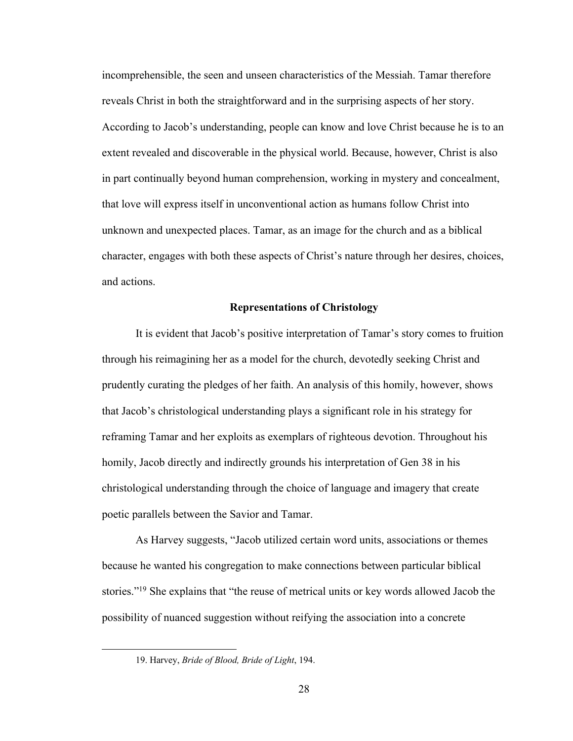incomprehensible, the seen and unseen characteristics of the Messiah. Tamar therefore reveals Christ in both the straightforward and in the surprising aspects of her story. According to Jacob's understanding, people can know and love Christ because he is to an extent revealed and discoverable in the physical world. Because, however, Christ is also in part continually beyond human comprehension, working in mystery and concealment, that love will express itself in unconventional action as humans follow Christ into unknown and unexpected places. Tamar, as an image for the church and as a biblical character, engages with both these aspects of Christ's nature through her desires, choices, and actions.

#### **Representations of Christology**

It is evident that Jacob's positive interpretation of Tamar's story comes to fruition through his reimagining her as a model for the church, devotedly seeking Christ and prudently curating the pledges of her faith. An analysis of this homily, however, shows that Jacob's christological understanding plays a significant role in his strategy for reframing Tamar and her exploits as exemplars of righteous devotion. Throughout his homily, Jacob directly and indirectly grounds his interpretation of Gen 38 in his christological understanding through the choice of language and imagery that create poetic parallels between the Savior and Tamar.

As Harvey suggests, "Jacob utilized certain word units, associations or themes because he wanted his congregation to make connections between particular biblical stories."19 She explains that "the reuse of metrical units or key words allowed Jacob the possibility of nuanced suggestion without reifying the association into a concrete

<sup>19.</sup> Harvey, *Bride of Blood, Bride of Light*, 194.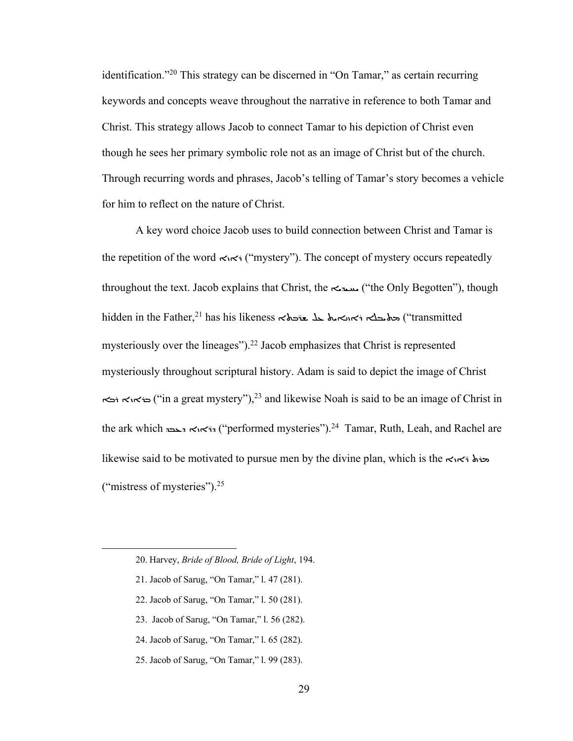identification."20 This strategy can be discerned in "On Tamar," as certain recurring keywords and concepts weave throughout the narrative in reference to both Tamar and Christ. This strategy allows Jacob to connect Tamar to his depiction of Christ even though he sees her primary symbolic role not as an image of Christ but of the church. Through recurring words and phrases, Jacob's telling of Tamar's story becomes a vehicle for him to reflect on the nature of Christ.

A key word choice Jacob uses to build connection between Christ and Tamar is the repetition of the word  $\leq \leq$  "mystery"). The concept of mystery occurs repeatedly throughout the text. Jacob explains that Christ, the  $\sim$  ("the Only Begotten"), though hidden in the Father,<sup>21</sup> has his likeness التحامة المتحدث المحتمد المستمر بن المتحدث بن المجموعة التي تمتز ال mysteriously over the lineages").22 Jacob emphasizes that Christ is represented mysteriously throughout scriptural history. Adam is said to depict the image of Christ  $\leftrightarrow$   $\leftrightarrow$   $\leftrightarrow$   $\leftrightarrow$   $\leftrightarrow$  ("in a great mystery"),<sup>23</sup> and likewise Noah is said to be an image of Christ in the ark which  $\leq \kappa$ וה $\leq \kappa$ ולאו $\leq \kappa$  ("performed mysteries").<sup>24</sup> Tamar, Ruth, Leah, and Rachel are likewise said to be motivated to pursue men by the divine plan, which is the  $\lt \kappa$ ("mistress of mysteries").25

- 21. Jacob of Sarug, "On Tamar," l. 47 (281).
- 22. Jacob of Sarug, "On Tamar," l. 50 (281).
- 23. Jacob of Sarug, "On Tamar," l. 56 (282).
- 24. Jacob of Sarug, "On Tamar," l. 65 (282).
- 25. Jacob of Sarug, "On Tamar," l. 99 (283).

<sup>20.</sup> Harvey, *Bride of Blood, Bride of Light*, 194.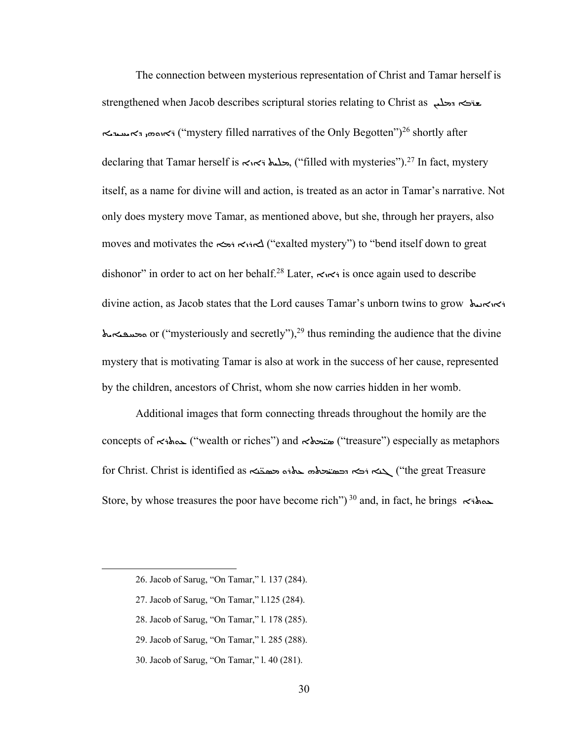The connection between mysterious representation of Christ and Tamar herself is strengthened when Jacob describes scriptural stories relating to Christ as \*\*\*\*\*\* 8ܝܗܘܙܐ ܐܕ%)'&%") (mystery filled narratives of the Only Begotten")26 shortly after declaring that Tamar herself is  $\lt\le$ i $\lt$ i  $\lt$ i $\lt$ filled with mysteries").<sup>27</sup> In fact, mystery itself, as a name for divine will and action, is treated as an actor in Tamar's narrative. Not only does mystery move Tamar, as mentioned above, but she, through her prayers, also moves and motivates the  $\leftrightarrow$ i $\leftrightarrow$ i $\leftrightarrow$  ("exalted mystery") to "bend itself down to great dishonor" in order to act on her behalf.<sup>28</sup> Later,  $\leq \leq$  is once again used to describe divine action, as Jacob states that the Lord causes Tamar's unborn twins to grow ܐܝܐܪܝܝܬ vi٢٠  $\Delta$  محسقة or ("mysteriously and secretly"),<sup>29</sup> thus reminding the audience that the divine mystery that is motivating Tamar is also at work in the success of her cause, represented by the children, ancestors of Christ, whom she now carries hidden in her womb.

Additional images that form connecting threads throughout the homily are the concepts of سنحلال ("wealth or riches") and نفتحكم ("treasure") especially as metaphors for Christ. Christ is identified as حمقته المعتمد المخدم المجمدة ("the great Treasure")  $\Delta$ Store, by whose treasures the poor have become rich")<sup>30</sup> and, in fact, he brings  $\prec$  $\star$  $\sim$ 

- 28. Jacob of Sarug, "On Tamar," l. 178 (285).
- 29. Jacob of Sarug, "On Tamar," l. 285 (288).
- 30. Jacob of Sarug, "On Tamar," l. 40 (281).

<sup>26.</sup> Jacob of Sarug, "On Tamar," l. 137 (284).

<sup>27.</sup> Jacob of Sarug, "On Tamar," l.125 (284).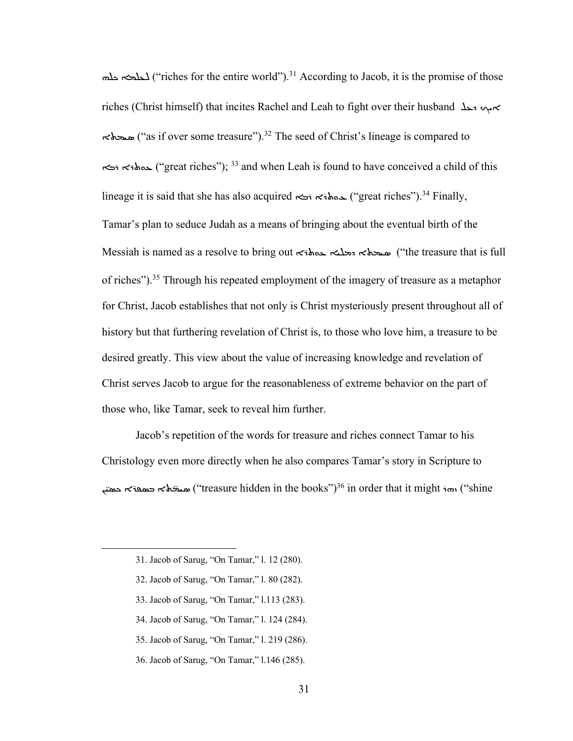JK:E) L:M ("riches for the entire world").31 According to Jacob, it is the promise of those riches (Christ himself) that incites Rachel and Leah to fight over their husband ܐ ܐ C'E+\$ ("as if over some treasure").32 The seed of Christ's lineage is compared to 1AܪܬB ܪ5") (great riches"); <sup>33</sup> and when Leah is found to have conceived a child of this lineage it is said that she has also acquired  $\leq$   $\leq$   $\leq$   $\leq$   $\leq$   $\leq$   $\leq$   $\leq$   $\leq$   $\leq$   $\leq$   $\leq$   $\leq$   $\leq$   $\leq$   $\leq$   $\leq$   $\leq$   $\leq$   $\leq$   $\leq$   $\leq$   $\leq$   $\leq$   $\leq$   $\leq$   $\leq$   $\leq$   $\leq$  Tamar's plan to seduce Judah as a means of bringing about the eventual birth of the Messiah is named as a resolve to bring out with مسحلة جملة messiah is named as a resolve to bring out of riches").35 Through his repeated employment of the imagery of treasure as a metaphor for Christ, Jacob establishes that not only is Christ mysteriously present throughout all of history but that furthering revelation of Christ is, to those who love him, a treasure to be desired greatly. This view about the value of increasing knowledge and revelation of Christ serves Jacob to argue for the reasonableness of extreme behavior on the part of those who, like Tamar, seek to reveal him further.

Jacob's repetition of the words for treasure and riches connect Tamar to his Christology even more directly when he also compares Tamar's story in Scripture to حمقتہ حصقہ ("treasure hidden in the books") $^{36}$  in order that it might  $\epsilon$ ستان ("shine

- 32. Jacob of Sarug, "On Tamar," l. 80 (282).
- 33. Jacob of Sarug, "On Tamar," l.113 (283).
- 34. Jacob of Sarug, "On Tamar," l. 124 (284).
- 35. Jacob of Sarug, "On Tamar," l. 219 (286).
- 36. Jacob of Sarug, "On Tamar," l.146 (285).

<sup>31.</sup> Jacob of Sarug, "On Tamar," l. 12 (280).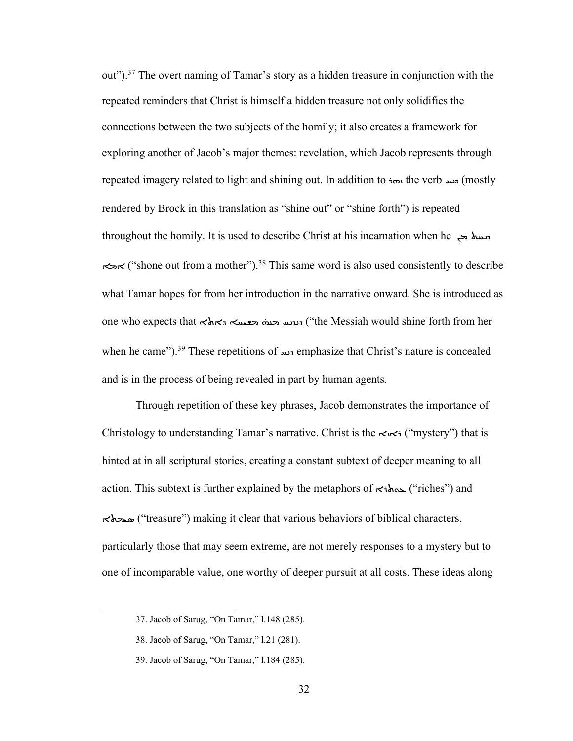out").37 The overt naming of Tamar's story as a hidden treasure in conjunction with the repeated reminders that Christ is himself a hidden treasure not only solidifies the connections between the two subjects of the homily; it also creates a framework for exploring another of Jacob's major themes: revelation, which Jacob represents through repeated imagery related to light and shining out. In addition to in the verb  $\pi$ دسه (mostly rendered by Brock in this translation as "shine out" or "shine forth") is repeated throughout the homily. It is used to describe Christ at his incarnation when he ܐ") (\*shone out from a mother").38 This same word is also used consistently to describe what Tamar hopes for from her introduction in the narrative onward. She is introduced as one who expects that  $\prec$ אלא הבעשה האלא ("the Messiah would shine forth from her when he came").<sup>39</sup> These repetitions of <sub>\*\*</sub> emphasize that Christ's nature is concealed and is in the process of being revealed in part by human agents.

Through repetition of these key phrases, Jacob demonstrates the importance of Christology to understanding Tamar's narrative. Christ is the  $\lt \lt \lt \rtimes$  "mystery") that is hinted at in all scriptural stories, creating a constant subtext of deeper meaning to all action. This subtext is further explained by the metaphors of  $\prec$ ihos ("riches") and C'E+\$ ("treasure") making it clear that various behaviors of biblical characters, particularly those that may seem extreme, are not merely responses to a mystery but to one of incomparable value, one worthy of deeper pursuit at all costs. These ideas along

<sup>37.</sup> Jacob of Sarug, "On Tamar," l.148 (285).

<sup>38.</sup> Jacob of Sarug, "On Tamar," l.21 (281).

<sup>39.</sup> Jacob of Sarug, "On Tamar," l.184 (285).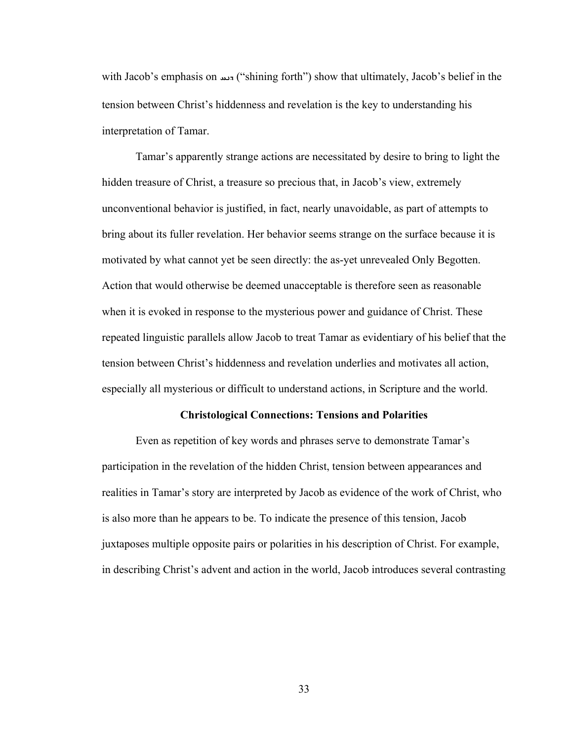with Jacob's emphasis on سند ("shining forth") show that ultimately, Jacob's belief in the tension between Christ's hiddenness and revelation is the key to understanding his interpretation of Tamar.

Tamar's apparently strange actions are necessitated by desire to bring to light the hidden treasure of Christ, a treasure so precious that, in Jacob's view, extremely unconventional behavior is justified, in fact, nearly unavoidable, as part of attempts to bring about its fuller revelation. Her behavior seems strange on the surface because it is motivated by what cannot yet be seen directly: the as-yet unrevealed Only Begotten. Action that would otherwise be deemed unacceptable is therefore seen as reasonable when it is evoked in response to the mysterious power and guidance of Christ. These repeated linguistic parallels allow Jacob to treat Tamar as evidentiary of his belief that the tension between Christ's hiddenness and revelation underlies and motivates all action, especially all mysterious or difficult to understand actions, in Scripture and the world.

#### **Christological Connections: Tensions and Polarities**

Even as repetition of key words and phrases serve to demonstrate Tamar's participation in the revelation of the hidden Christ, tension between appearances and realities in Tamar's story are interpreted by Jacob as evidence of the work of Christ, who is also more than he appears to be. To indicate the presence of this tension, Jacob juxtaposes multiple opposite pairs or polarities in his description of Christ. For example, in describing Christ's advent and action in the world, Jacob introduces several contrasting

33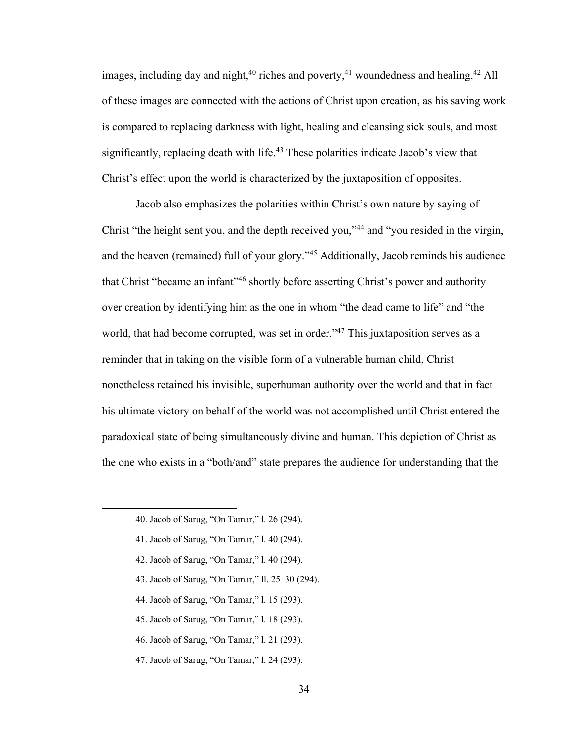images, including day and night,  $40$  riches and poverty,  $41$  woundedness and healing.  $42$  All of these images are connected with the actions of Christ upon creation, as his saving work is compared to replacing darkness with light, healing and cleansing sick souls, and most significantly, replacing death with life.<sup>43</sup> These polarities indicate Jacob's view that Christ's effect upon the world is characterized by the juxtaposition of opposites.

Jacob also emphasizes the polarities within Christ's own nature by saying of Christ "the height sent you, and the depth received you,"44 and "you resided in the virgin, and the heaven (remained) full of your glory."45 Additionally, Jacob reminds his audience that Christ "became an infant"46 shortly before asserting Christ's power and authority over creation by identifying him as the one in whom "the dead came to life" and "the world, that had become corrupted, was set in order."<sup>47</sup> This juxtaposition serves as a reminder that in taking on the visible form of a vulnerable human child, Christ nonetheless retained his invisible, superhuman authority over the world and that in fact his ultimate victory on behalf of the world was not accomplished until Christ entered the paradoxical state of being simultaneously divine and human. This depiction of Christ as the one who exists in a "both/and" state prepares the audience for understanding that the

- 42. Jacob of Sarug, "On Tamar," l. 40 (294).
- 43. Jacob of Sarug, "On Tamar," ll. 25–30 (294).
- 44. Jacob of Sarug, "On Tamar," l. 15 (293).
- 45. Jacob of Sarug, "On Tamar," l. 18 (293).
- 46. Jacob of Sarug, "On Tamar," l. 21 (293).
- 47. Jacob of Sarug, "On Tamar," l. 24 (293).

<sup>40.</sup> Jacob of Sarug, "On Tamar," l. 26 (294).

<sup>41.</sup> Jacob of Sarug, "On Tamar," l. 40 (294).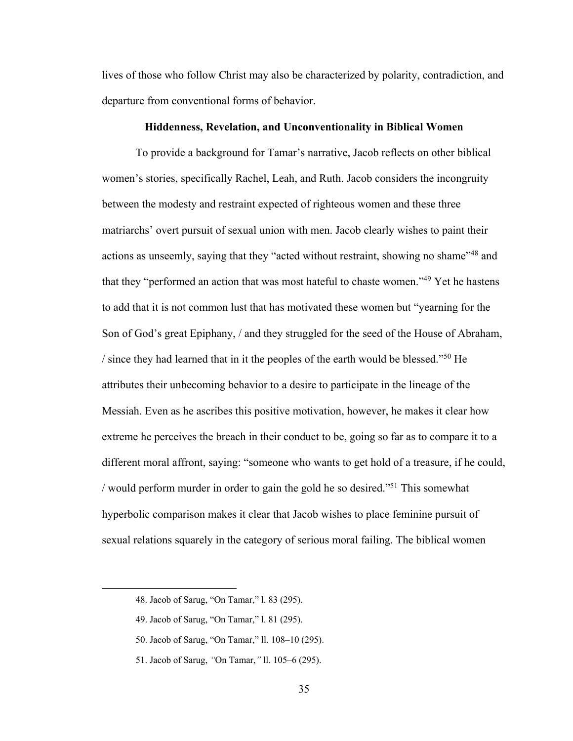lives of those who follow Christ may also be characterized by polarity, contradiction, and departure from conventional forms of behavior.

### **Hiddenness, Revelation, and Unconventionality in Biblical Women**

To provide a background for Tamar's narrative, Jacob reflects on other biblical women's stories, specifically Rachel, Leah, and Ruth. Jacob considers the incongruity between the modesty and restraint expected of righteous women and these three matriarchs' overt pursuit of sexual union with men. Jacob clearly wishes to paint their actions as unseemly, saying that they "acted without restraint, showing no shame"48 and that they "performed an action that was most hateful to chaste women."49 Yet he hastens to add that it is not common lust that has motivated these women but "yearning for the Son of God's great Epiphany, / and they struggled for the seed of the House of Abraham, / since they had learned that in it the peoples of the earth would be blessed."50 He attributes their unbecoming behavior to a desire to participate in the lineage of the Messiah. Even as he ascribes this positive motivation, however, he makes it clear how extreme he perceives the breach in their conduct to be, going so far as to compare it to a different moral affront, saying: "someone who wants to get hold of a treasure, if he could, / would perform murder in order to gain the gold he so desired."51 This somewhat hyperbolic comparison makes it clear that Jacob wishes to place feminine pursuit of sexual relations squarely in the category of serious moral failing. The biblical women

<sup>48.</sup> Jacob of Sarug, "On Tamar," l. 83 (295).

<sup>49.</sup> Jacob of Sarug, "On Tamar," l. 81 (295).

<sup>50.</sup> Jacob of Sarug, "On Tamar," ll. 108–10 (295).

<sup>51.</sup> Jacob of Sarug, *"*On Tamar,*"* ll. 105–6 (295).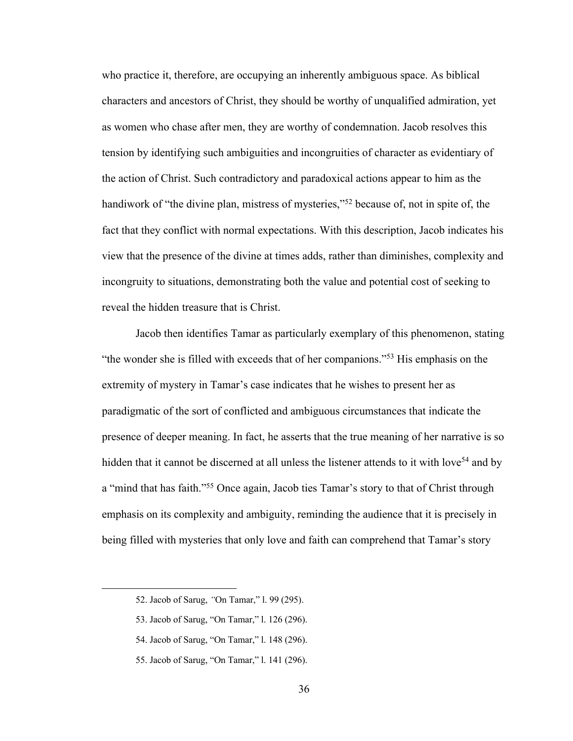who practice it, therefore, are occupying an inherently ambiguous space. As biblical characters and ancestors of Christ, they should be worthy of unqualified admiration, yet as women who chase after men, they are worthy of condemnation. Jacob resolves this tension by identifying such ambiguities and incongruities of character as evidentiary of the action of Christ. Such contradictory and paradoxical actions appear to him as the handiwork of "the divine plan, mistress of mysteries,"<sup>52</sup> because of, not in spite of, the fact that they conflict with normal expectations. With this description, Jacob indicates his view that the presence of the divine at times adds, rather than diminishes, complexity and incongruity to situations, demonstrating both the value and potential cost of seeking to reveal the hidden treasure that is Christ.

Jacob then identifies Tamar as particularly exemplary of this phenomenon, stating "the wonder she is filled with exceeds that of her companions."53 His emphasis on the extremity of mystery in Tamar's case indicates that he wishes to present her as paradigmatic of the sort of conflicted and ambiguous circumstances that indicate the presence of deeper meaning. In fact, he asserts that the true meaning of her narrative is so hidden that it cannot be discerned at all unless the listener attends to it with love<sup>54</sup> and by a "mind that has faith."55 Once again, Jacob ties Tamar's story to that of Christ through emphasis on its complexity and ambiguity, reminding the audience that it is precisely in being filled with mysteries that only love and faith can comprehend that Tamar's story

- 54. Jacob of Sarug, "On Tamar," l. 148 (296).
- 55. Jacob of Sarug, "On Tamar," l. 141 (296).

<sup>52.</sup> Jacob of Sarug, *"*On Tamar," l. 99 (295).

<sup>53.</sup> Jacob of Sarug, "On Tamar," l. 126 (296).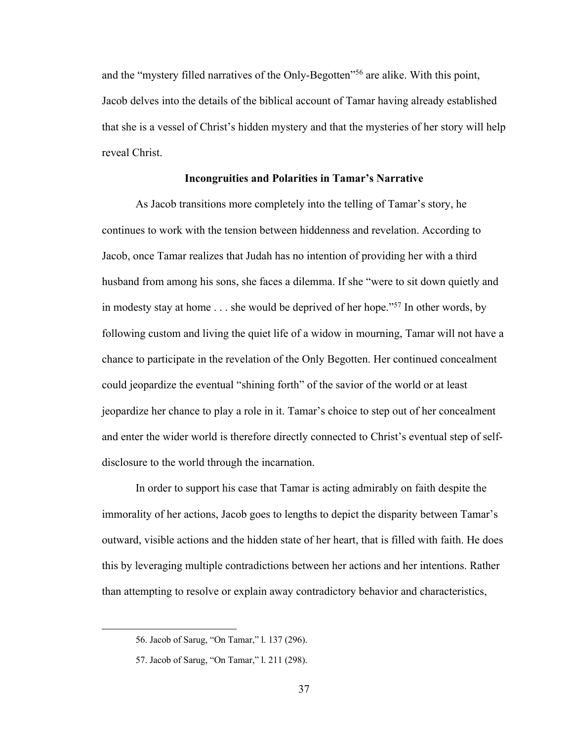and the "mystery filled narratives of the Only-Begotten"56 are alike. With this point, Jacob delves into the details of the biblical account of Tamar having already established that she is a vessel of Christ's hidden mystery and that the mysteries of her story will help reveal Christ.

### **Incongruities and Polarities in Tamar's Narrative**

As Jacob transitions more completely into the telling of Tamar's story, he continues to work with the tension between hiddenness and revelation. According to Jacob, once Tamar realizes that Judah has no intention of providing her with a third husband from among his sons, she faces a dilemma. If she "were to sit down quietly and in modesty stay at home . . . she would be deprived of her hope."57 In other words, by following custom and living the quiet life of a widow in mourning, Tamar will not have a chance to participate in the revelation of the Only Begotten. Her continued concealment could jeopardize the eventual "shining forth" of the savior of the world or at least jeopardize her chance to play a role in it. Tamar's choice to step out of her concealment and enter the wider world is therefore directly connected to Christ's eventual step of selfdisclosure to the world through the incarnation.

In order to support his case that Tamar is acting admirably on faith despite the immorality of her actions, Jacob goes to lengths to depict the disparity between Tamar's outward, visible actions and the hidden state of her heart, that is filled with faith. He does this by leveraging multiple contradictions between her actions and her intentions. Rather than attempting to resolve or explain away contradictory behavior and characteristics,

<sup>56.</sup> Jacob of Sarug, "On Tamar," l. 137 (296).

<sup>57.</sup> Jacob of Sarug, "On Tamar," l. 211 (298).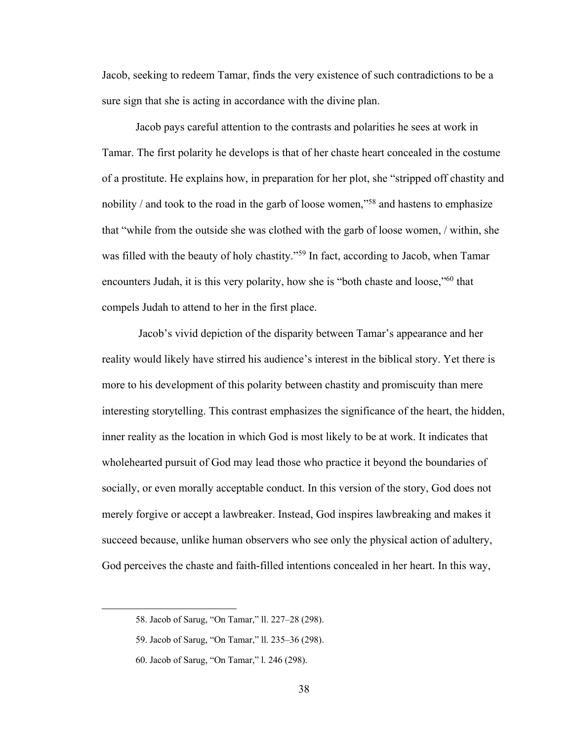Jacob, seeking to redeem Tamar, finds the very existence of such contradictions to be a sure sign that she is acting in accordance with the divine plan.

Jacob pays careful attention to the contrasts and polarities he sees at work in Tamar. The first polarity he develops is that of her chaste heart concealed in the costume of a prostitute. He explains how, in preparation for her plot, she "stripped off chastity and nobility / and took to the road in the garb of loose women,"58 and hastens to emphasize that "while from the outside she was clothed with the garb of loose women, / within, she was filled with the beauty of holy chastity."<sup>59</sup> In fact, according to Jacob, when Tamar encounters Judah, it is this very polarity, how she is "both chaste and loose,"60 that compels Judah to attend to her in the first place.

Jacob's vivid depiction of the disparity between Tamar's appearance and her reality would likely have stirred his audience's interest in the biblical story. Yet there is more to his development of this polarity between chastity and promiscuity than mere interesting storytelling. This contrast emphasizes the significance of the heart, the hidden, inner reality as the location in which God is most likely to be at work. It indicates that wholehearted pursuit of God may lead those who practice it beyond the boundaries of socially, or even morally acceptable conduct. In this version of the story, God does not merely forgive or accept a lawbreaker. Instead, God inspires lawbreaking and makes it succeed because, unlike human observers who see only the physical action of adultery, God perceives the chaste and faith-filled intentions concealed in her heart. In this way,

<sup>58.</sup> Jacob of Sarug, "On Tamar," ll. 227–28 (298).

<sup>59.</sup> Jacob of Sarug, "On Tamar," ll. 235–36 (298).

<sup>60.</sup> Jacob of Sarug, "On Tamar," l. 246 (298).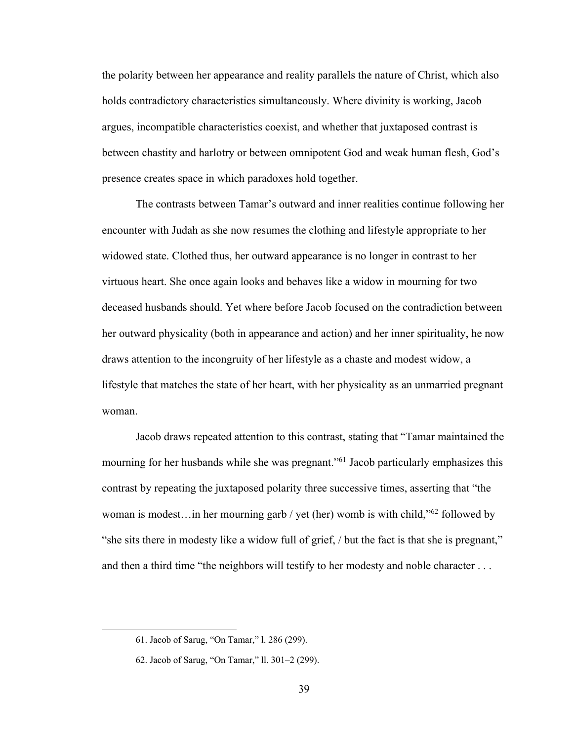the polarity between her appearance and reality parallels the nature of Christ, which also holds contradictory characteristics simultaneously. Where divinity is working, Jacob argues, incompatible characteristics coexist, and whether that juxtaposed contrast is between chastity and harlotry or between omnipotent God and weak human flesh, God's presence creates space in which paradoxes hold together.

The contrasts between Tamar's outward and inner realities continue following her encounter with Judah as she now resumes the clothing and lifestyle appropriate to her widowed state. Clothed thus, her outward appearance is no longer in contrast to her virtuous heart. She once again looks and behaves like a widow in mourning for two deceased husbands should. Yet where before Jacob focused on the contradiction between her outward physicality (both in appearance and action) and her inner spirituality, he now draws attention to the incongruity of her lifestyle as a chaste and modest widow, a lifestyle that matches the state of her heart, with her physicality as an unmarried pregnant woman.

Jacob draws repeated attention to this contrast, stating that "Tamar maintained the mourning for her husbands while she was pregnant."<sup>61</sup> Jacob particularly emphasizes this contrast by repeating the juxtaposed polarity three successive times, asserting that "the woman is modest…in her mourning garb / yet (her) womb is with child,"62 followed by "she sits there in modesty like a widow full of grief, / but the fact is that she is pregnant," and then a third time "the neighbors will testify to her modesty and noble character . . .

<sup>61.</sup> Jacob of Sarug, "On Tamar," l. 286 (299).

<sup>62.</sup> Jacob of Sarug, "On Tamar," ll. 301–2 (299).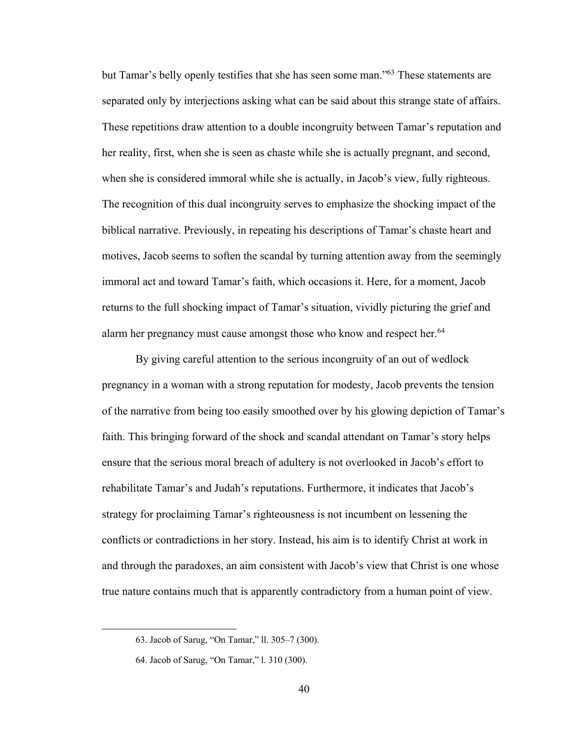but Tamar's belly openly testifies that she has seen some man."63 These statements are separated only by interjections asking what can be said about this strange state of affairs. These repetitions draw attention to a double incongruity between Tamar's reputation and her reality, first, when she is seen as chaste while she is actually pregnant, and second, when she is considered immoral while she is actually, in Jacob's view, fully righteous. The recognition of this dual incongruity serves to emphasize the shocking impact of the biblical narrative. Previously, in repeating his descriptions of Tamar's chaste heart and motives, Jacob seems to soften the scandal by turning attention away from the seemingly immoral act and toward Tamar's faith, which occasions it. Here, for a moment, Jacob returns to the full shocking impact of Tamar's situation, vividly picturing the grief and alarm her pregnancy must cause amongst those who know and respect her.<sup>64</sup>

By giving careful attention to the serious incongruity of an out of wedlock pregnancy in a woman with a strong reputation for modesty, Jacob prevents the tension of the narrative from being too easily smoothed over by his glowing depiction of Tamar's faith. This bringing forward of the shock and scandal attendant on Tamar's story helps ensure that the serious moral breach of adultery is not overlooked in Jacob's effort to rehabilitate Tamar's and Judah's reputations. Furthermore, it indicates that Jacob's strategy for proclaiming Tamar's righteousness is not incumbent on lessening the conflicts or contradictions in her story. Instead, his aim is to identify Christ at work in and through the paradoxes, an aim consistent with Jacob's view that Christ is one whose true nature contains much that is apparently contradictory from a human point of view.

<sup>63.</sup> Jacob of Sarug, "On Tamar," ll. 305–7 (300).

<sup>64.</sup> Jacob of Sarug, "On Tamar," l. 310 (300).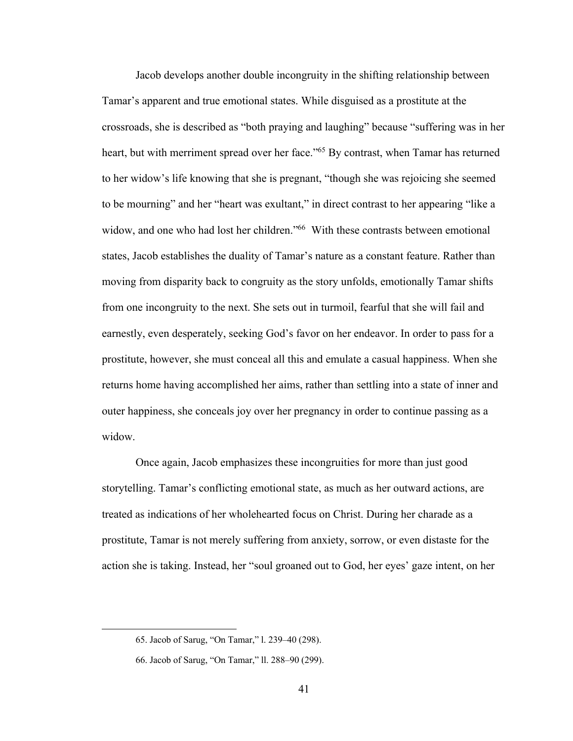Jacob develops another double incongruity in the shifting relationship between Tamar's apparent and true emotional states. While disguised as a prostitute at the crossroads, she is described as "both praying and laughing" because "suffering was in her heart, but with merriment spread over her face."65 By contrast, when Tamar has returned to her widow's life knowing that she is pregnant, "though she was rejoicing she seemed to be mourning" and her "heart was exultant," in direct contrast to her appearing "like a widow, and one who had lost her children."<sup>66</sup> With these contrasts between emotional states, Jacob establishes the duality of Tamar's nature as a constant feature. Rather than moving from disparity back to congruity as the story unfolds, emotionally Tamar shifts from one incongruity to the next. She sets out in turmoil, fearful that she will fail and earnestly, even desperately, seeking God's favor on her endeavor. In order to pass for a prostitute, however, she must conceal all this and emulate a casual happiness. When she returns home having accomplished her aims, rather than settling into a state of inner and outer happiness, she conceals joy over her pregnancy in order to continue passing as a widow.

Once again, Jacob emphasizes these incongruities for more than just good storytelling. Tamar's conflicting emotional state, as much as her outward actions, are treated as indications of her wholehearted focus on Christ. During her charade as a prostitute, Tamar is not merely suffering from anxiety, sorrow, or even distaste for the action she is taking. Instead, her "soul groaned out to God, her eyes' gaze intent, on her

<sup>65.</sup> Jacob of Sarug, "On Tamar," l. 239–40 (298).

<sup>66.</sup> Jacob of Sarug, "On Tamar," ll. 288–90 (299).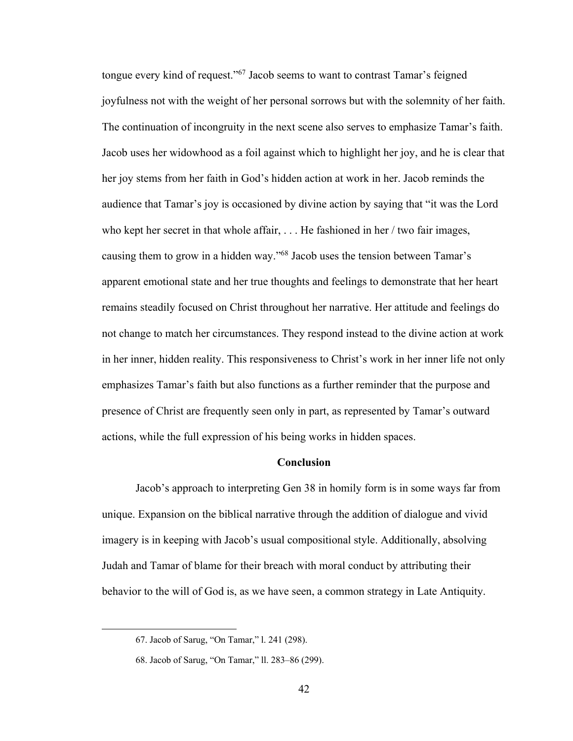tongue every kind of request."<sup>67</sup> Jacob seems to want to contrast Tamar's feigned joyfulness not with the weight of her personal sorrows but with the solemnity of her faith. The continuation of incongruity in the next scene also serves to emphasize Tamar's faith. Jacob uses her widowhood as a foil against which to highlight her joy, and he is clear that her joy stems from her faith in God's hidden action at work in her. Jacob reminds the audience that Tamar's joy is occasioned by divine action by saying that "it was the Lord who kept her secret in that whole affair, ... He fashioned in her / two fair images, causing them to grow in a hidden way."68 Jacob uses the tension between Tamar's apparent emotional state and her true thoughts and feelings to demonstrate that her heart remains steadily focused on Christ throughout her narrative. Her attitude and feelings do not change to match her circumstances. They respond instead to the divine action at work in her inner, hidden reality. This responsiveness to Christ's work in her inner life not only emphasizes Tamar's faith but also functions as a further reminder that the purpose and presence of Christ are frequently seen only in part, as represented by Tamar's outward actions, while the full expression of his being works in hidden spaces.

## **Conclusion**

Jacob's approach to interpreting Gen 38 in homily form is in some ways far from unique. Expansion on the biblical narrative through the addition of dialogue and vivid imagery is in keeping with Jacob's usual compositional style. Additionally, absolving Judah and Tamar of blame for their breach with moral conduct by attributing their behavior to the will of God is, as we have seen, a common strategy in Late Antiquity.

<sup>67.</sup> Jacob of Sarug, "On Tamar," l. 241 (298).

<sup>68.</sup> Jacob of Sarug, "On Tamar," ll. 283–86 (299).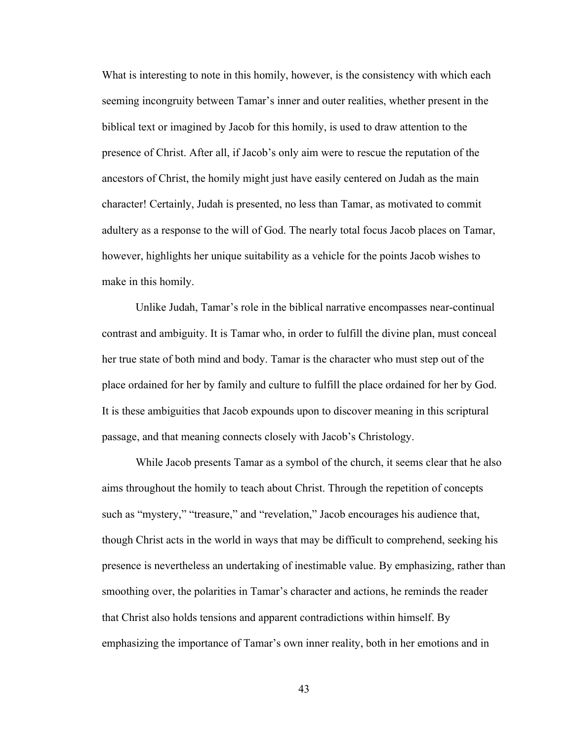What is interesting to note in this homily, however, is the consistency with which each seeming incongruity between Tamar's inner and outer realities, whether present in the biblical text or imagined by Jacob for this homily, is used to draw attention to the presence of Christ. After all, if Jacob's only aim were to rescue the reputation of the ancestors of Christ, the homily might just have easily centered on Judah as the main character! Certainly, Judah is presented, no less than Tamar, as motivated to commit adultery as a response to the will of God. The nearly total focus Jacob places on Tamar, however, highlights her unique suitability as a vehicle for the points Jacob wishes to make in this homily.

Unlike Judah, Tamar's role in the biblical narrative encompasses near-continual contrast and ambiguity. It is Tamar who, in order to fulfill the divine plan, must conceal her true state of both mind and body. Tamar is the character who must step out of the place ordained for her by family and culture to fulfill the place ordained for her by God. It is these ambiguities that Jacob expounds upon to discover meaning in this scriptural passage, and that meaning connects closely with Jacob's Christology.

While Jacob presents Tamar as a symbol of the church, it seems clear that he also aims throughout the homily to teach about Christ. Through the repetition of concepts such as "mystery," "treasure," and "revelation," Jacob encourages his audience that, though Christ acts in the world in ways that may be difficult to comprehend, seeking his presence is nevertheless an undertaking of inestimable value. By emphasizing, rather than smoothing over, the polarities in Tamar's character and actions, he reminds the reader that Christ also holds tensions and apparent contradictions within himself. By emphasizing the importance of Tamar's own inner reality, both in her emotions and in

43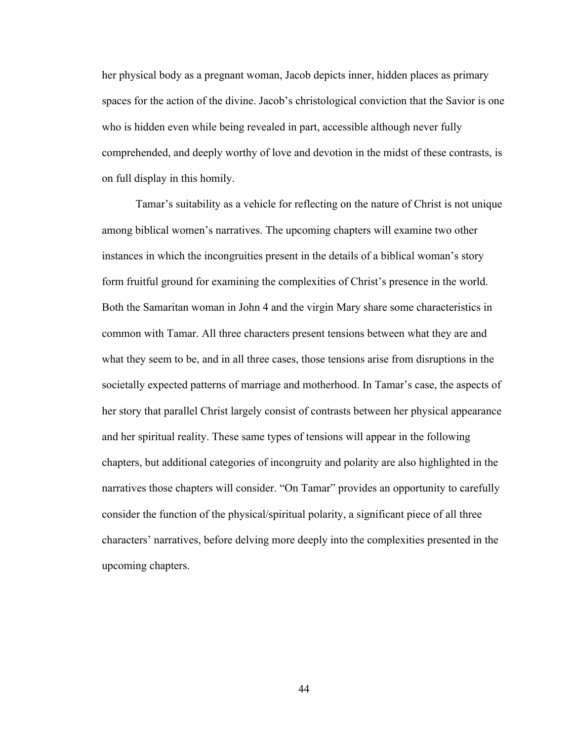her physical body as a pregnant woman, Jacob depicts inner, hidden places as primary spaces for the action of the divine. Jacob's christological conviction that the Savior is one who is hidden even while being revealed in part, accessible although never fully comprehended, and deeply worthy of love and devotion in the midst of these contrasts, is on full display in this homily.

Tamar's suitability as a vehicle for reflecting on the nature of Christ is not unique among biblical women's narratives. The upcoming chapters will examine two other instances in which the incongruities present in the details of a biblical woman's story form fruitful ground for examining the complexities of Christ's presence in the world. Both the Samaritan woman in John 4 and the virgin Mary share some characteristics in common with Tamar. All three characters present tensions between what they are and what they seem to be, and in all three cases, those tensions arise from disruptions in the societally expected patterns of marriage and motherhood. In Tamar's case, the aspects of her story that parallel Christ largely consist of contrasts between her physical appearance and her spiritual reality. These same types of tensions will appear in the following chapters, but additional categories of incongruity and polarity are also highlighted in the narratives those chapters will consider. "On Tamar" provides an opportunity to carefully consider the function of the physical/spiritual polarity, a significant piece of all three characters' narratives, before delving more deeply into the complexities presented in the upcoming chapters.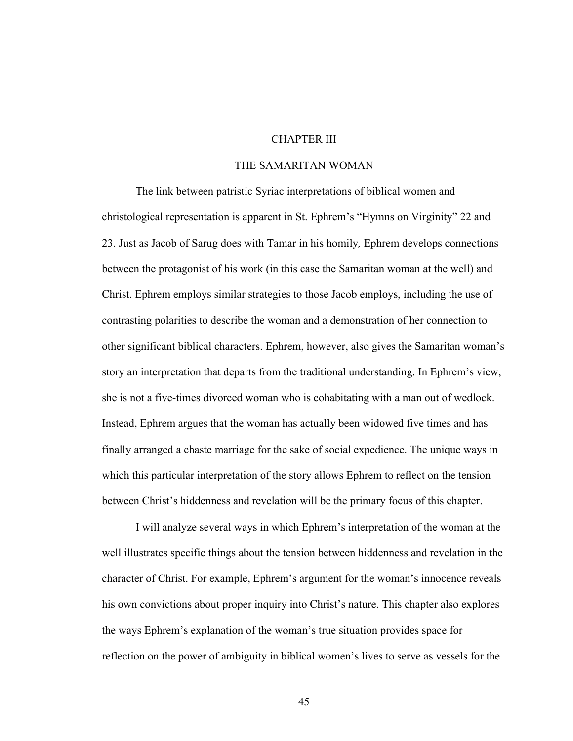# CHAPTER III

## THE SAMARITAN WOMAN

The link between patristic Syriac interpretations of biblical women and christological representation is apparent in St. Ephrem's "Hymns on Virginity" 22 and 23. Just as Jacob of Sarug does with Tamar in his homily*,* Ephrem develops connections between the protagonist of his work (in this case the Samaritan woman at the well) and Christ. Ephrem employs similar strategies to those Jacob employs, including the use of contrasting polarities to describe the woman and a demonstration of her connection to other significant biblical characters. Ephrem, however, also gives the Samaritan woman's story an interpretation that departs from the traditional understanding. In Ephrem's view, she is not a five-times divorced woman who is cohabitating with a man out of wedlock. Instead, Ephrem argues that the woman has actually been widowed five times and has finally arranged a chaste marriage for the sake of social expedience. The unique ways in which this particular interpretation of the story allows Ephrem to reflect on the tension between Christ's hiddenness and revelation will be the primary focus of this chapter.

I will analyze several ways in which Ephrem's interpretation of the woman at the well illustrates specific things about the tension between hiddenness and revelation in the character of Christ. For example, Ephrem's argument for the woman's innocence reveals his own convictions about proper inquiry into Christ's nature. This chapter also explores the ways Ephrem's explanation of the woman's true situation provides space for reflection on the power of ambiguity in biblical women's lives to serve as vessels for the

45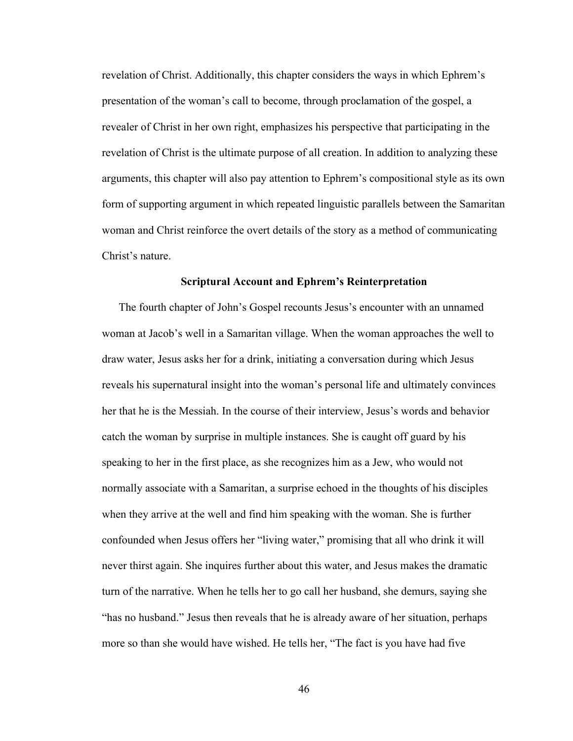revelation of Christ. Additionally, this chapter considers the ways in which Ephrem's presentation of the woman's call to become, through proclamation of the gospel, a revealer of Christ in her own right, emphasizes his perspective that participating in the revelation of Christ is the ultimate purpose of all creation. In addition to analyzing these arguments, this chapter will also pay attention to Ephrem's compositional style as its own form of supporting argument in which repeated linguistic parallels between the Samaritan woman and Christ reinforce the overt details of the story as a method of communicating Christ's nature.

### **Scriptural Account and Ephrem's Reinterpretation**

The fourth chapter of John's Gospel recounts Jesus's encounter with an unnamed woman at Jacob's well in a Samaritan village. When the woman approaches the well to draw water, Jesus asks her for a drink, initiating a conversation during which Jesus reveals his supernatural insight into the woman's personal life and ultimately convinces her that he is the Messiah. In the course of their interview, Jesus's words and behavior catch the woman by surprise in multiple instances. She is caught off guard by his speaking to her in the first place, as she recognizes him as a Jew, who would not normally associate with a Samaritan, a surprise echoed in the thoughts of his disciples when they arrive at the well and find him speaking with the woman. She is further confounded when Jesus offers her "living water," promising that all who drink it will never thirst again. She inquires further about this water, and Jesus makes the dramatic turn of the narrative. When he tells her to go call her husband, she demurs, saying she "has no husband." Jesus then reveals that he is already aware of her situation, perhaps more so than she would have wished. He tells her, "The fact is you have had five

46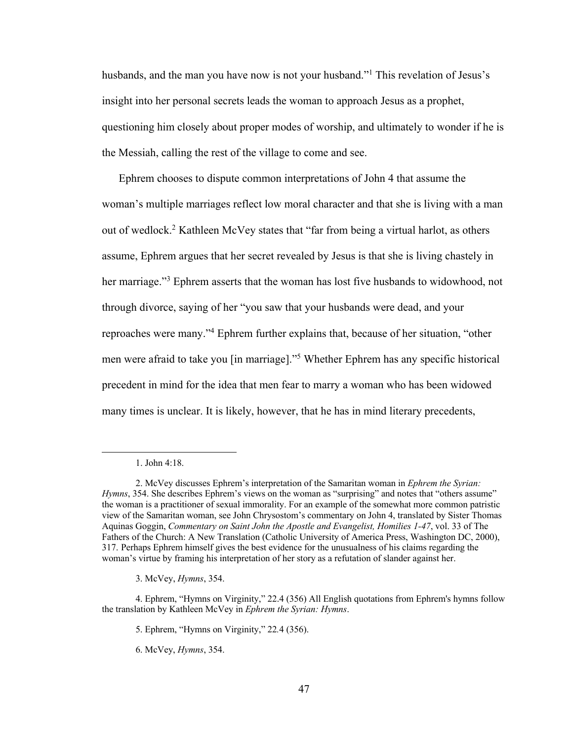husbands, and the man you have now is not your husband."<sup>1</sup> This revelation of Jesus's insight into her personal secrets leads the woman to approach Jesus as a prophet, questioning him closely about proper modes of worship, and ultimately to wonder if he is the Messiah, calling the rest of the village to come and see.

Ephrem chooses to dispute common interpretations of John 4 that assume the woman's multiple marriages reflect low moral character and that she is living with a man out of wedlock.<sup>2</sup> Kathleen McVey states that "far from being a virtual harlot, as others assume, Ephrem argues that her secret revealed by Jesus is that she is living chastely in her marriage."3 Ephrem asserts that the woman has lost five husbands to widowhood, not through divorce, saying of her "you saw that your husbands were dead, and your reproaches were many."4 Ephrem further explains that, because of her situation, "other men were afraid to take you [in marriage]."5 Whether Ephrem has any specific historical precedent in mind for the idea that men fear to marry a woman who has been widowed many times is unclear. It is likely, however, that he has in mind literary precedents,

<sup>1.</sup> John 4:18.

<sup>2.</sup> McVey discusses Ephrem's interpretation of the Samaritan woman in *Ephrem the Syrian: Hymns*, 354. She describes Ephrem's views on the woman as "surprising" and notes that "others assume" the woman is a practitioner of sexual immorality. For an example of the somewhat more common patristic view of the Samaritan woman, see John Chrysostom's commentary on John 4, translated by Sister Thomas Aquinas Goggin, *Commentary on Saint John the Apostle and Evangelist, Homilies 1-47*, vol. 33 of The Fathers of the Church: A New Translation (Catholic University of America Press, Washington DC, 2000), 317. Perhaps Ephrem himself gives the best evidence for the unusualness of his claims regarding the woman's virtue by framing his interpretation of her story as a refutation of slander against her.

<sup>3.</sup> McVey, *Hymns*, 354.

<sup>4.</sup> Ephrem, "Hymns on Virginity," 22.4 (356) All English quotations from Ephrem's hymns follow the translation by Kathleen McVey in *Ephrem the Syrian: Hymns*.

<sup>5.</sup> Ephrem, "Hymns on Virginity," 22*.*4 (356).

<sup>6.</sup> McVey, *Hymns*, 354.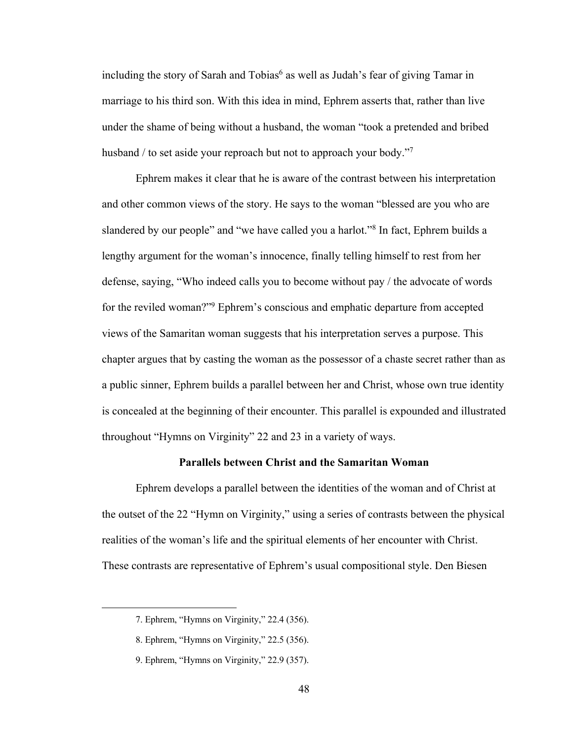including the story of Sarah and  $Tobias<sup>6</sup>$  as well as Judah's fear of giving Tamar in marriage to his third son. With this idea in mind, Ephrem asserts that, rather than live under the shame of being without a husband, the woman "took a pretended and bribed husband / to set aside your reproach but not to approach your body."7

Ephrem makes it clear that he is aware of the contrast between his interpretation and other common views of the story. He says to the woman "blessed are you who are slandered by our people" and "we have called you a harlot."8 In fact, Ephrem builds a lengthy argument for the woman's innocence, finally telling himself to rest from her defense, saying, "Who indeed calls you to become without pay / the advocate of words for the reviled woman?"9 Ephrem's conscious and emphatic departure from accepted views of the Samaritan woman suggests that his interpretation serves a purpose. This chapter argues that by casting the woman as the possessor of a chaste secret rather than as a public sinner, Ephrem builds a parallel between her and Christ, whose own true identity is concealed at the beginning of their encounter. This parallel is expounded and illustrated throughout "Hymns on Virginity" 22 and 23 in a variety of ways.

## **Parallels between Christ and the Samaritan Woman**

Ephrem develops a parallel between the identities of the woman and of Christ at the outset of the 22 "Hymn on Virginity," using a series of contrasts between the physical realities of the woman's life and the spiritual elements of her encounter with Christ. These contrasts are representative of Ephrem's usual compositional style. Den Biesen

<sup>7.</sup> Ephrem, "Hymns on Virginity," 22.4 (356).

<sup>8.</sup> Ephrem, "Hymns on Virginity," 22.5 (356).

<sup>9.</sup> Ephrem, "Hymns on Virginity," 22.9 (357).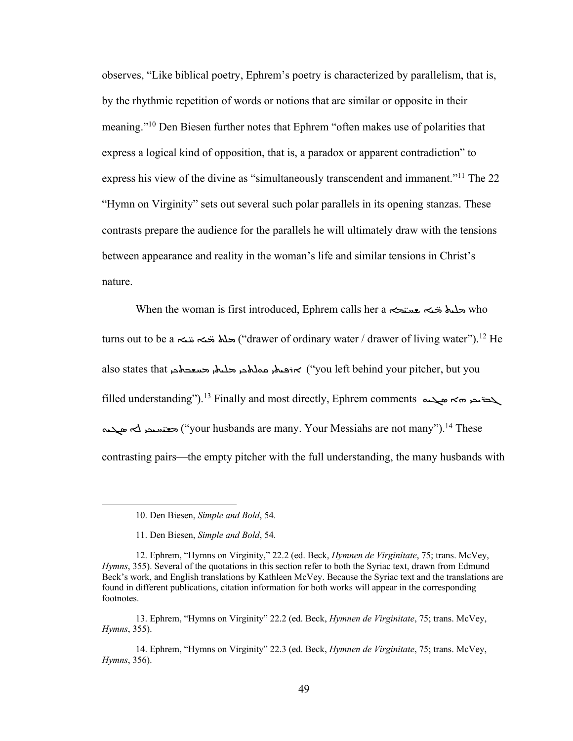observes, "Like biblical poetry, Ephrem's poetry is characterized by parallelism, that is, by the rhythmic repetition of words or notions that are similar or opposite in their meaning."10 Den Biesen further notes that Ephrem "often makes use of polarities that express a logical kind of opposition, that is, a paradox or apparent contradiction" to express his view of the divine as "simultaneously transcendent and immanent."11 The 22 "Hymn on Virginity" sets out several such polar parallels in its opening stanzas. These contrasts prepare the audience for the parallels he will ultimately draw with the tensions between appearance and reality in the woman's life and similar tensions in Christ's nature.

When the woman is first introduced, Ephrem calls her a سلمان  $\bullet$  who turns out to be a سلم تنبه ("drawer of ordinary water / drawer of living water").<sup>12</sup> He also states that حنظم محلمه محلمه المحر حليها و also states that حنفيها و also states that filled understanding").<sup>13</sup> Finally and most directly, Ephrem comments كدة مصر به حمد العالم Cw 'R\*̈ A'WC ? VG'& ("your husbands are many. Your Messiahs are not many").14 These contrasting pairs—the empty pitcher with the full understanding, the many husbands with

<sup>10.</sup> Den Biesen, *Simple and Bold*, 54.

<sup>11.</sup> Den Biesen, *Simple and Bold*, 54.

<sup>12.</sup> Ephrem, "Hymns on Virginity," 22.2 (ed. Beck, *Hymnen de Virginitate*, 75; trans. McVey, *Hymns*, 355). Several of the quotations in this section refer to both the Syriac text, drawn from Edmund Beck's work, and English translations by Kathleen McVey. Because the Syriac text and the translations are found in different publications, citation information for both works will appear in the corresponding footnotes.

<sup>13.</sup> Ephrem, "Hymns on Virginity" 22.2 (ed. Beck, *Hymnen de Virginitate*, 75; trans. McVey, *Hymns*, 355).

<sup>14.</sup> Ephrem, "Hymns on Virginity" 22.3 (ed. Beck, *Hymnen de Virginitate*, 75; trans. McVey, *Hymns*, 356).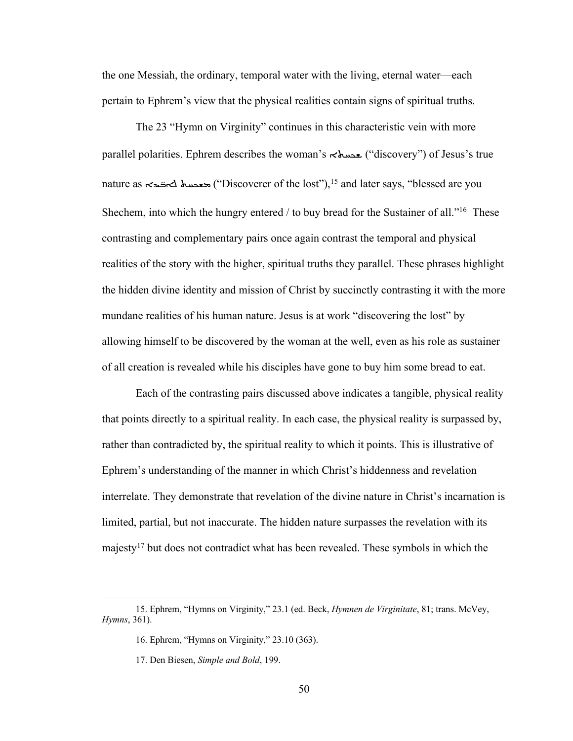the one Messiah, the ordinary, temporal water with the living, eternal water—each pertain to Ephrem's view that the physical realities contain signs of spiritual truths.

The 23 "Hymn on Virginity" continues in this characteristic vein with more parallel polarities. Ephrem describes the woman's  $\lt\$ wery") of Jesus's true nature as  $\lt$ حعدسه ("Discoverer of the lost"),<sup>15</sup> and later says, "blessed are you Shechem, into which the hungry entered / to buy bread for the Sustainer of all."<sup>16</sup> These contrasting and complementary pairs once again contrast the temporal and physical realities of the story with the higher, spiritual truths they parallel. These phrases highlight the hidden divine identity and mission of Christ by succinctly contrasting it with the more mundane realities of his human nature. Jesus is at work "discovering the lost" by allowing himself to be discovered by the woman at the well, even as his role as sustainer of all creation is revealed while his disciples have gone to buy him some bread to eat.

Each of the contrasting pairs discussed above indicates a tangible, physical reality that points directly to a spiritual reality. In each case, the physical reality is surpassed by, rather than contradicted by, the spiritual reality to which it points. This is illustrative of Ephrem's understanding of the manner in which Christ's hiddenness and revelation interrelate. They demonstrate that revelation of the divine nature in Christ's incarnation is limited, partial, but not inaccurate. The hidden nature surpasses the revelation with its majesty17 but does not contradict what has been revealed. These symbols in which the

<sup>15.</sup> Ephrem, "Hymns on Virginity," 23.1 (ed. Beck, *Hymnen de Virginitate*, 81; trans. McVey, *Hymns*, 361).

<sup>16.</sup> Ephrem, "Hymns on Virginity," 23.10 (363).

<sup>17.</sup> Den Biesen, *Simple and Bold*, 199.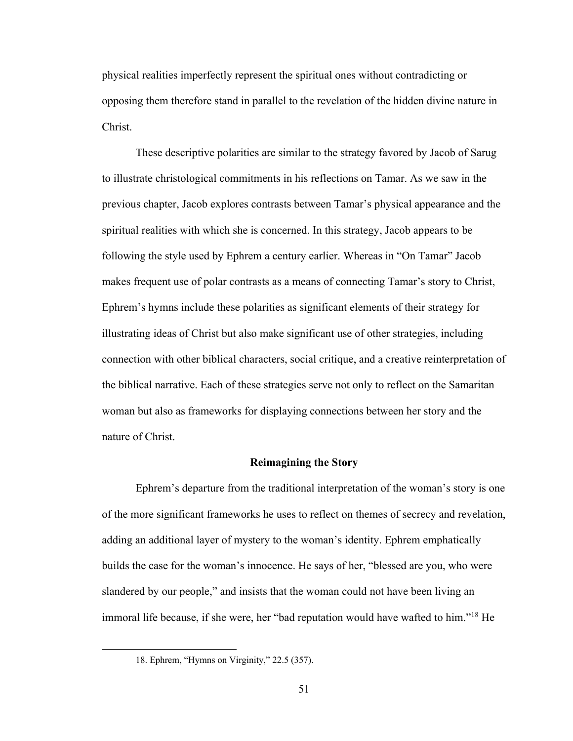physical realities imperfectly represent the spiritual ones without contradicting or opposing them therefore stand in parallel to the revelation of the hidden divine nature in Christ.

These descriptive polarities are similar to the strategy favored by Jacob of Sarug to illustrate christological commitments in his reflections on Tamar. As we saw in the previous chapter, Jacob explores contrasts between Tamar's physical appearance and the spiritual realities with which she is concerned. In this strategy, Jacob appears to be following the style used by Ephrem a century earlier. Whereas in "On Tamar" Jacob makes frequent use of polar contrasts as a means of connecting Tamar's story to Christ, Ephrem's hymns include these polarities as significant elements of their strategy for illustrating ideas of Christ but also make significant use of other strategies, including connection with other biblical characters, social critique, and a creative reinterpretation of the biblical narrative. Each of these strategies serve not only to reflect on the Samaritan woman but also as frameworks for displaying connections between her story and the nature of Christ.

## **Reimagining the Story**

Ephrem's departure from the traditional interpretation of the woman's story is one of the more significant frameworks he uses to reflect on themes of secrecy and revelation, adding an additional layer of mystery to the woman's identity. Ephrem emphatically builds the case for the woman's innocence. He says of her, "blessed are you, who were slandered by our people," and insists that the woman could not have been living an immoral life because, if she were, her "bad reputation would have wafted to him."18 He

<sup>18.</sup> Ephrem, "Hymns on Virginity," 22.5 (357).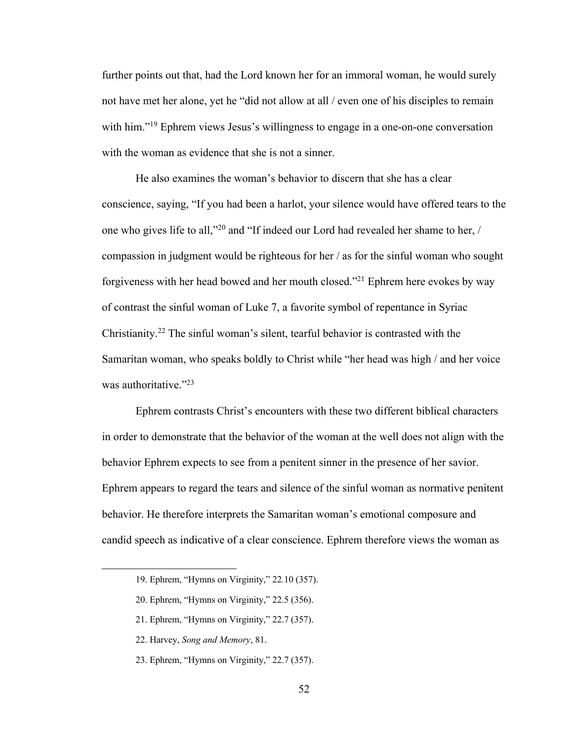further points out that, had the Lord known her for an immoral woman, he would surely not have met her alone, yet he "did not allow at all / even one of his disciples to remain with him."<sup>19</sup> Ephrem views Jesus's willingness to engage in a one-on-one conversation with the woman as evidence that she is not a sinner.

He also examines the woman's behavior to discern that she has a clear conscience, saying, "If you had been a harlot, your silence would have offered tears to the one who gives life to all,"20 and "If indeed our Lord had revealed her shame to her, / compassion in judgment would be righteous for her / as for the sinful woman who sought forgiveness with her head bowed and her mouth closed."21 Ephrem here evokes by way of contrast the sinful woman of Luke 7, a favorite symbol of repentance in Syriac Christianity.22 The sinful woman's silent, tearful behavior is contrasted with the Samaritan woman, who speaks boldly to Christ while "her head was high / and her voice was authoritative."<sup>23</sup>

Ephrem contrasts Christ's encounters with these two different biblical characters in order to demonstrate that the behavior of the woman at the well does not align with the behavior Ephrem expects to see from a penitent sinner in the presence of her savior. Ephrem appears to regard the tears and silence of the sinful woman as normative penitent behavior. He therefore interprets the Samaritan woman's emotional composure and candid speech as indicative of a clear conscience. Ephrem therefore views the woman as

<sup>19.</sup> Ephrem, "Hymns on Virginity," 22*.*10 (357).

<sup>20.</sup> Ephrem, "Hymns on Virginity," 22.5 (356).

<sup>21.</sup> Ephrem, "Hymns on Virginity," 22.7 (357).

<sup>22.</sup> Harvey, *Song and Memory*, 81.

<sup>23.</sup> Ephrem, "Hymns on Virginity," 22.7 (357).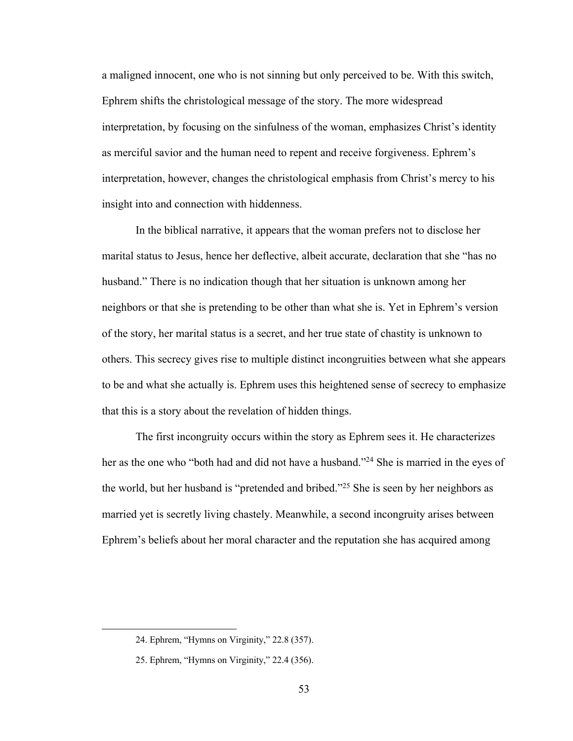a maligned innocent, one who is not sinning but only perceived to be. With this switch, Ephrem shifts the christological message of the story. The more widespread interpretation, by focusing on the sinfulness of the woman, emphasizes Christ's identity as merciful savior and the human need to repent and receive forgiveness. Ephrem's interpretation, however, changes the christological emphasis from Christ's mercy to his insight into and connection with hiddenness.

In the biblical narrative, it appears that the woman prefers not to disclose her marital status to Jesus, hence her deflective, albeit accurate, declaration that she "has no husband." There is no indication though that her situation is unknown among her neighbors or that she is pretending to be other than what she is. Yet in Ephrem's version of the story, her marital status is a secret, and her true state of chastity is unknown to others. This secrecy gives rise to multiple distinct incongruities between what she appears to be and what she actually is. Ephrem uses this heightened sense of secrecy to emphasize that this is a story about the revelation of hidden things.

The first incongruity occurs within the story as Ephrem sees it. He characterizes her as the one who "both had and did not have a husband."<sup>24</sup> She is married in the eyes of the world, but her husband is "pretended and bribed."25 She is seen by her neighbors as married yet is secretly living chastely. Meanwhile, a second incongruity arises between Ephrem's beliefs about her moral character and the reputation she has acquired among

<sup>24.</sup> Ephrem, "Hymns on Virginity," 22.8 (357).

<sup>25.</sup> Ephrem, "Hymns on Virginity," 22.4 (356).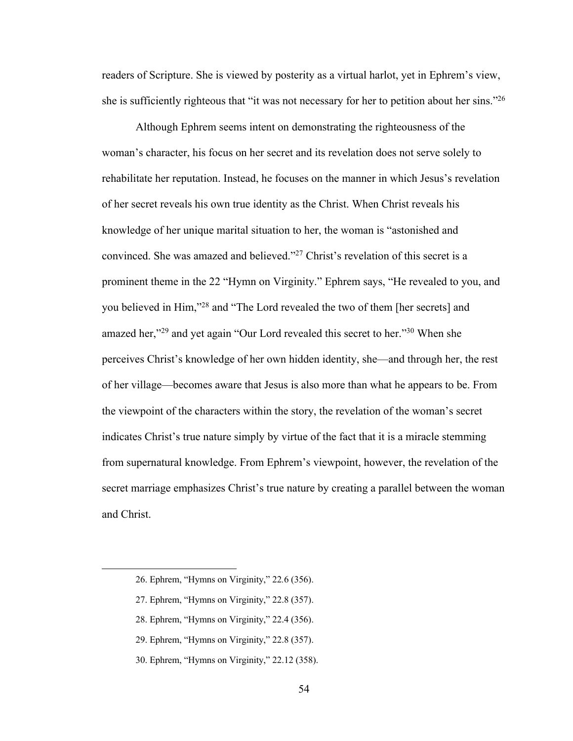readers of Scripture. She is viewed by posterity as a virtual harlot, yet in Ephrem's view, she is sufficiently righteous that "it was not necessary for her to petition about her sins."<sup>26</sup>

Although Ephrem seems intent on demonstrating the righteousness of the woman's character, his focus on her secret and its revelation does not serve solely to rehabilitate her reputation. Instead, he focuses on the manner in which Jesus's revelation of her secret reveals his own true identity as the Christ. When Christ reveals his knowledge of her unique marital situation to her, the woman is "astonished and convinced. She was amazed and believed."27 Christ's revelation of this secret is a prominent theme in the 22 "Hymn on Virginity." Ephrem says, "He revealed to you, and you believed in Him,"28 and "The Lord revealed the two of them [her secrets] and amazed her,"29 and yet again "Our Lord revealed this secret to her."30 When she perceives Christ's knowledge of her own hidden identity, she—and through her, the rest of her village—becomes aware that Jesus is also more than what he appears to be. From the viewpoint of the characters within the story, the revelation of the woman's secret indicates Christ's true nature simply by virtue of the fact that it is a miracle stemming from supernatural knowledge. From Ephrem's viewpoint, however, the revelation of the secret marriage emphasizes Christ's true nature by creating a parallel between the woman and Christ.

- 29. Ephrem, "Hymns on Virginity," 22.8 (357).
- 30. Ephrem, "Hymns on Virginity," 22.12 (358).

<sup>26.</sup> Ephrem, "Hymns on Virginity," 22*.*6 (356).

<sup>27.</sup> Ephrem, "Hymns on Virginity," 22.8 (357).

<sup>28.</sup> Ephrem, "Hymns on Virginity," 22.4 (356).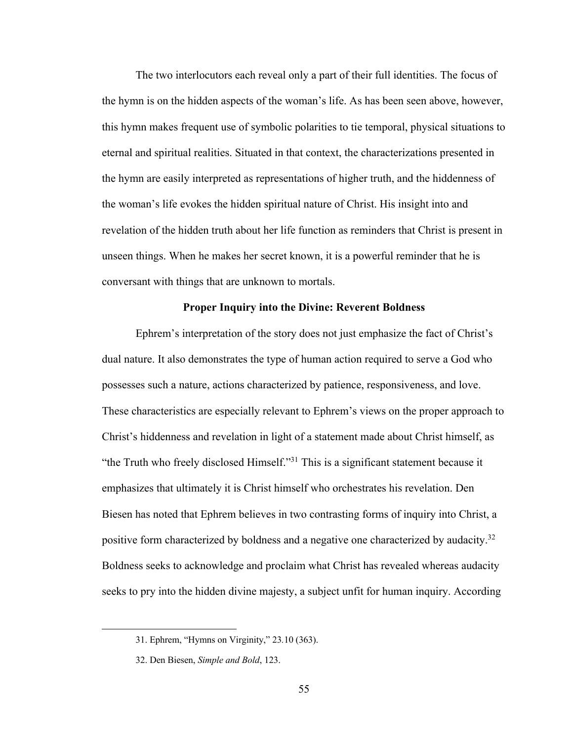The two interlocutors each reveal only a part of their full identities. The focus of the hymn is on the hidden aspects of the woman's life. As has been seen above, however, this hymn makes frequent use of symbolic polarities to tie temporal, physical situations to eternal and spiritual realities. Situated in that context, the characterizations presented in the hymn are easily interpreted as representations of higher truth, and the hiddenness of the woman's life evokes the hidden spiritual nature of Christ. His insight into and revelation of the hidden truth about her life function as reminders that Christ is present in unseen things. When he makes her secret known, it is a powerful reminder that he is conversant with things that are unknown to mortals.

## **Proper Inquiry into the Divine: Reverent Boldness**

Ephrem's interpretation of the story does not just emphasize the fact of Christ's dual nature. It also demonstrates the type of human action required to serve a God who possesses such a nature, actions characterized by patience, responsiveness, and love. These characteristics are especially relevant to Ephrem's views on the proper approach to Christ's hiddenness and revelation in light of a statement made about Christ himself, as "the Truth who freely disclosed Himself."<sup>31</sup> This is a significant statement because it emphasizes that ultimately it is Christ himself who orchestrates his revelation. Den Biesen has noted that Ephrem believes in two contrasting forms of inquiry into Christ, a positive form characterized by boldness and a negative one characterized by audacity.<sup>32</sup> Boldness seeks to acknowledge and proclaim what Christ has revealed whereas audacity seeks to pry into the hidden divine majesty, a subject unfit for human inquiry. According

<sup>31.</sup> Ephrem, "Hymns on Virginity," 23*.*10 (363).

<sup>32.</sup> Den Biesen, *Simple and Bold*, 123.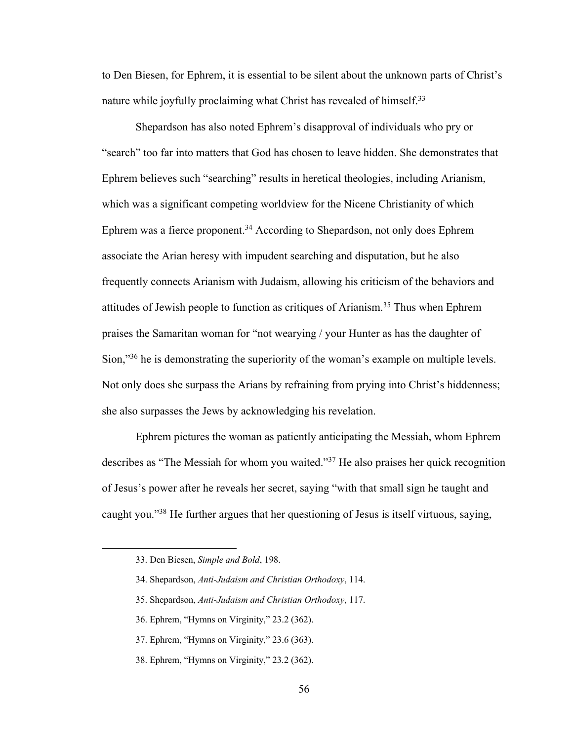to Den Biesen, for Ephrem, it is essential to be silent about the unknown parts of Christ's nature while joyfully proclaiming what Christ has revealed of himself.<sup>33</sup>

Shepardson has also noted Ephrem's disapproval of individuals who pry or "search" too far into matters that God has chosen to leave hidden. She demonstrates that Ephrem believes such "searching" results in heretical theologies, including Arianism, which was a significant competing worldview for the Nicene Christianity of which Ephrem was a fierce proponent.<sup>34</sup> According to Shepardson, not only does Ephrem associate the Arian heresy with impudent searching and disputation, but he also frequently connects Arianism with Judaism, allowing his criticism of the behaviors and attitudes of Jewish people to function as critiques of Arianism.35 Thus when Ephrem praises the Samaritan woman for "not wearying / your Hunter as has the daughter of Sion,"<sup>36</sup> he is demonstrating the superiority of the woman's example on multiple levels. Not only does she surpass the Arians by refraining from prying into Christ's hiddenness; she also surpasses the Jews by acknowledging his revelation.

Ephrem pictures the woman as patiently anticipating the Messiah, whom Ephrem describes as "The Messiah for whom you waited."37 He also praises her quick recognition of Jesus's power after he reveals her secret, saying "with that small sign he taught and caught you."38 He further argues that her questioning of Jesus is itself virtuous, saying,

- 35. Shepardson, *Anti-Judaism and Christian Orthodoxy*, 117.
- 36. Ephrem, "Hymns on Virginity," 23.2 (362).
- 37. Ephrem, "Hymns on Virginity," 23.6 (363).
- 38. Ephrem, "Hymns on Virginity," 23*.*2 (362).

<sup>33.</sup> Den Biesen, *Simple and Bold*, 198.

<sup>34.</sup> Shepardson, *Anti-Judaism and Christian Orthodoxy*, 114.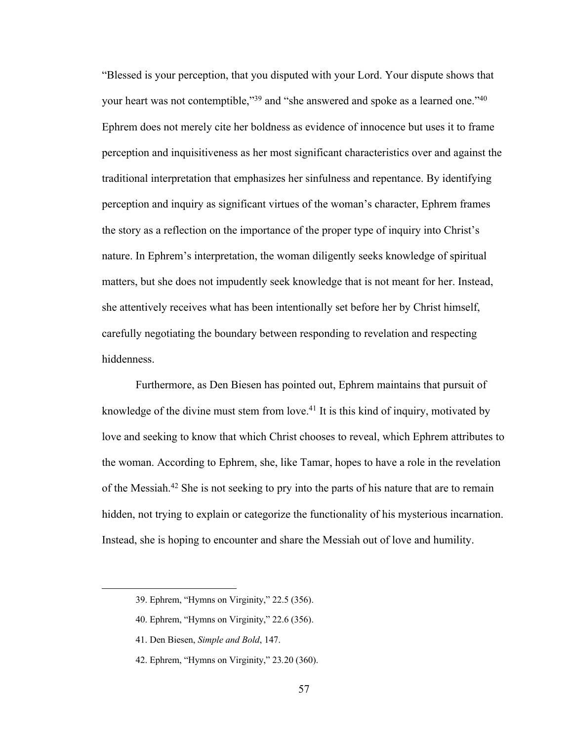"Blessed is your perception, that you disputed with your Lord. Your dispute shows that your heart was not contemptible,"<sup>39</sup> and "she answered and spoke as a learned one."<sup>40</sup> Ephrem does not merely cite her boldness as evidence of innocence but uses it to frame perception and inquisitiveness as her most significant characteristics over and against the traditional interpretation that emphasizes her sinfulness and repentance. By identifying perception and inquiry as significant virtues of the woman's character, Ephrem frames the story as a reflection on the importance of the proper type of inquiry into Christ's nature. In Ephrem's interpretation, the woman diligently seeks knowledge of spiritual matters, but she does not impudently seek knowledge that is not meant for her. Instead, she attentively receives what has been intentionally set before her by Christ himself, carefully negotiating the boundary between responding to revelation and respecting hiddenness.

Furthermore, as Den Biesen has pointed out, Ephrem maintains that pursuit of knowledge of the divine must stem from love.<sup>41</sup> It is this kind of inquiry, motivated by love and seeking to know that which Christ chooses to reveal, which Ephrem attributes to the woman. According to Ephrem, she, like Tamar, hopes to have a role in the revelation of the Messiah.42 She is not seeking to pry into the parts of his nature that are to remain hidden, not trying to explain or categorize the functionality of his mysterious incarnation. Instead, she is hoping to encounter and share the Messiah out of love and humility.

<sup>39.</sup> Ephrem, "Hymns on Virginity," 22.5 (356).

<sup>40.</sup> Ephrem, "Hymns on Virginity," 22.6 (356).

<sup>41.</sup> Den Biesen, *Simple and Bold*, 147.

<sup>42.</sup> Ephrem, "Hymns on Virginity," 23*.*20 (360).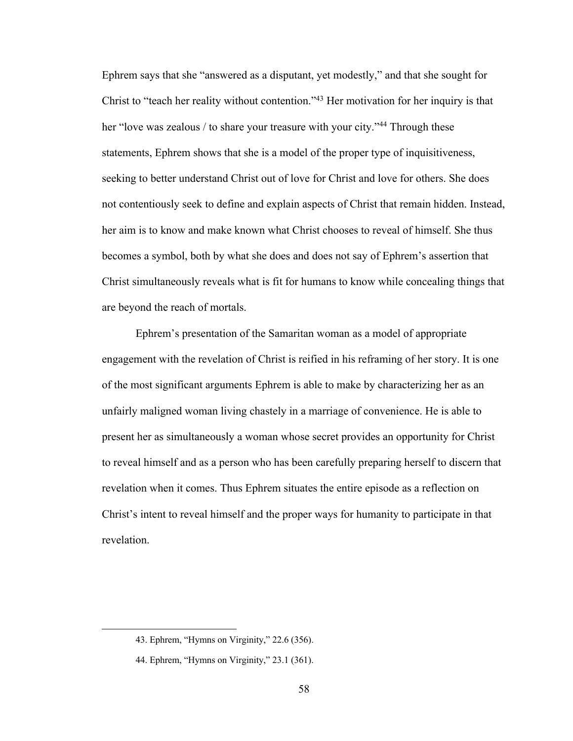Ephrem says that she "answered as a disputant, yet modestly," and that she sought for Christ to "teach her reality without contention."43 Her motivation for her inquiry is that her "love was zealous / to share your treasure with your city."<sup>44</sup> Through these statements, Ephrem shows that she is a model of the proper type of inquisitiveness, seeking to better understand Christ out of love for Christ and love for others. She does not contentiously seek to define and explain aspects of Christ that remain hidden. Instead, her aim is to know and make known what Christ chooses to reveal of himself. She thus becomes a symbol, both by what she does and does not say of Ephrem's assertion that Christ simultaneously reveals what is fit for humans to know while concealing things that are beyond the reach of mortals.

Ephrem's presentation of the Samaritan woman as a model of appropriate engagement with the revelation of Christ is reified in his reframing of her story. It is one of the most significant arguments Ephrem is able to make by characterizing her as an unfairly maligned woman living chastely in a marriage of convenience. He is able to present her as simultaneously a woman whose secret provides an opportunity for Christ to reveal himself and as a person who has been carefully preparing herself to discern that revelation when it comes. Thus Ephrem situates the entire episode as a reflection on Christ's intent to reveal himself and the proper ways for humanity to participate in that revelation.

<sup>43.</sup> Ephrem, "Hymns on Virginity," 22.6 (356).

<sup>44.</sup> Ephrem, "Hymns on Virginity," 23.1 (361).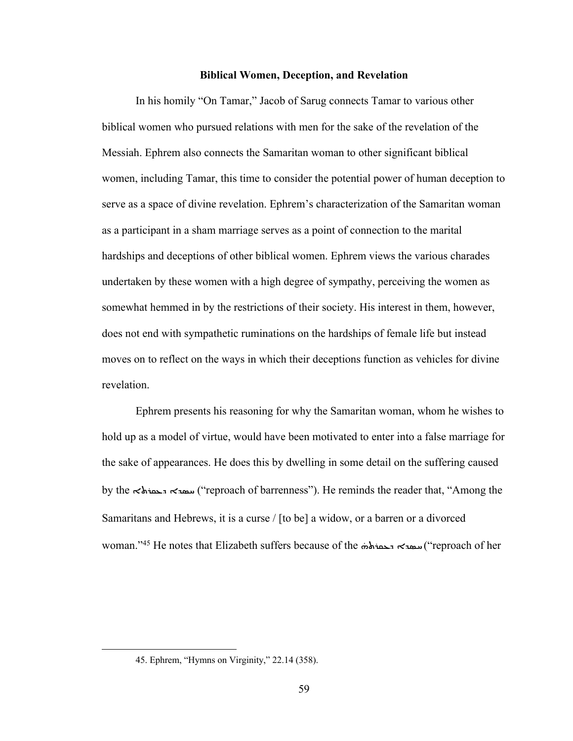#### **Biblical Women, Deception, and Revelation**

In his homily "On Tamar," Jacob of Sarug connects Tamar to various other biblical women who pursued relations with men for the sake of the revelation of the Messiah. Ephrem also connects the Samaritan woman to other significant biblical women, including Tamar, this time to consider the potential power of human deception to serve as a space of divine revelation. Ephrem's characterization of the Samaritan woman as a participant in a sham marriage serves as a point of connection to the marital hardships and deceptions of other biblical women. Ephrem views the various charades undertaken by these women with a high degree of sympathy, perceiving the women as somewhat hemmed in by the restrictions of their society. His interest in them, however, does not end with sympathetic ruminations on the hardships of female life but instead moves on to reflect on the ways in which their deceptions function as vehicles for divine revelation.

Ephrem presents his reasoning for why the Samaritan woman, whom he wishes to hold up as a model of virtue, would have been motivated to enter into a false marriage for the sake of appearances. He does this by dwelling in some detail on the suffering caused by the  $\prec$   $\prec$   $\prec$   $\prec$   $\prec$   $\prec$  ("reproach of barrenness"). He reminds the reader that, "Among the Samaritans and Hebrews, it is a curse / [to be] a widow, or a barren or a divorced woman."<sup>45</sup> He notes that Elizabeth suffers because of the همة به هفته reproach of her

<sup>45.</sup> Ephrem, "Hymns on Virginity," 22.14 (358).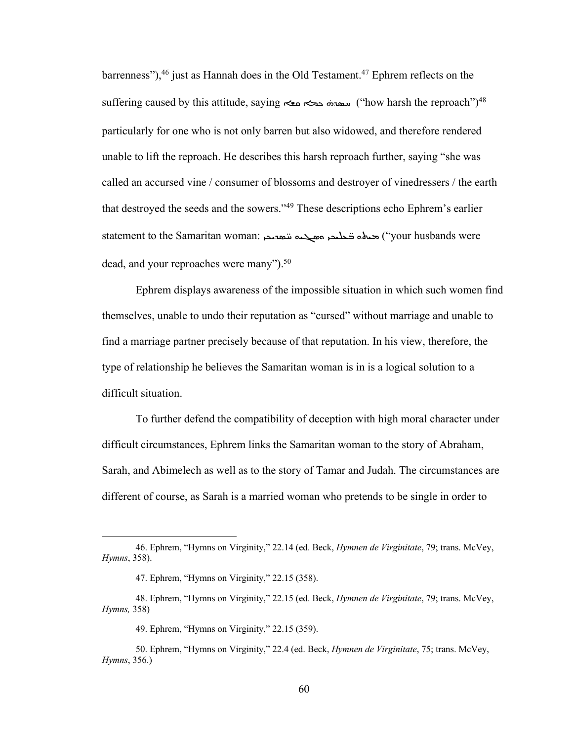barrenness"), $46$  just as Hannah does in the Old Testament. $47$  Ephrem reflects on the  $\text{suffix}$  ("how harsh the reproach") سعده حجم معه ("how harsh the reproach") whatsh the reproach")  $\text{Answer}$ particularly for one who is not only barren but also widowed, and therefore rendered unable to lift the reproach. He describes this harsh reproach further, saying "she was called an accursed vine / consumer of blossoms and destroyer of vinedressers / the earth that destroyed the seeds and the sowers."49 These descriptions echo Ephrem's earlier statement to the Samaritan woman: حمامه تحليم مسجمة تنعيمون ("your husbands were dead, and your reproaches were many").<sup>50</sup>

Ephrem displays awareness of the impossible situation in which such women find themselves, unable to undo their reputation as "cursed" without marriage and unable to find a marriage partner precisely because of that reputation. In his view, therefore, the type of relationship he believes the Samaritan woman is in is a logical solution to a difficult situation.

To further defend the compatibility of deception with high moral character under difficult circumstances, Ephrem links the Samaritan woman to the story of Abraham, Sarah, and Abimelech as well as to the story of Tamar and Judah. The circumstances are different of course, as Sarah is a married woman who pretends to be single in order to

<sup>46.</sup> Ephrem, "Hymns on Virginity," 22.14 (ed. Beck, *Hymnen de Virginitate*, 79; trans. McVey, *Hymns*, 358).

<sup>47.</sup> Ephrem, "Hymns on Virginity," 22.15 (358).

<sup>48.</sup> Ephrem, "Hymns on Virginity," 22.15 (ed. Beck, *Hymnen de Virginitate*, 79; trans. McVey, *Hymns,* 358)

<sup>49.</sup> Ephrem, "Hymns on Virginity," 22.15 (359).

<sup>50.</sup> Ephrem, "Hymns on Virginity," 22.4 (ed. Beck, *Hymnen de Virginitate*, 75; trans. McVey, *Hymns*, 356.)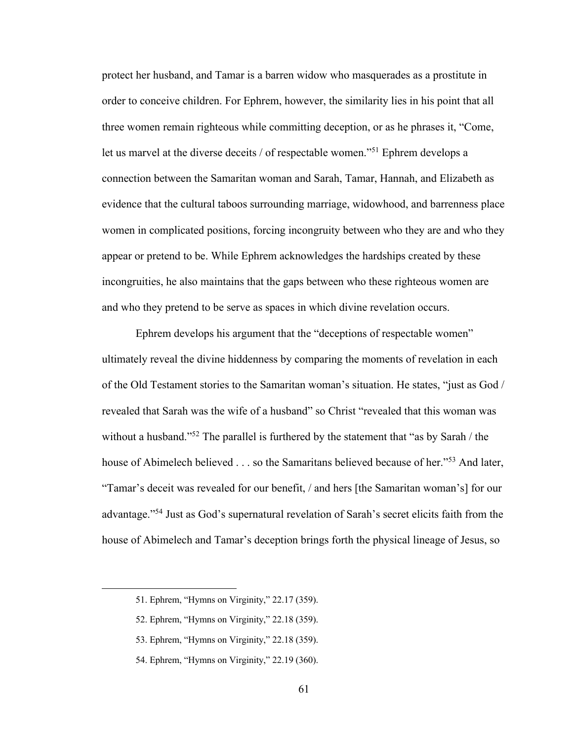protect her husband, and Tamar is a barren widow who masquerades as a prostitute in order to conceive children. For Ephrem, however, the similarity lies in his point that all three women remain righteous while committing deception, or as he phrases it, "Come, let us marvel at the diverse deceits / of respectable women."51 Ephrem develops a connection between the Samaritan woman and Sarah, Tamar, Hannah, and Elizabeth as evidence that the cultural taboos surrounding marriage, widowhood, and barrenness place women in complicated positions, forcing incongruity between who they are and who they appear or pretend to be. While Ephrem acknowledges the hardships created by these incongruities, he also maintains that the gaps between who these righteous women are and who they pretend to be serve as spaces in which divine revelation occurs.

Ephrem develops his argument that the "deceptions of respectable women" ultimately reveal the divine hiddenness by comparing the moments of revelation in each of the Old Testament stories to the Samaritan woman's situation. He states, "just as God / revealed that Sarah was the wife of a husband" so Christ "revealed that this woman was without a husband."<sup>52</sup> The parallel is furthered by the statement that "as by Sarah / the house of Abimelech believed . . . so the Samaritans believed because of her."<sup>53</sup> And later, "Tamar's deceit was revealed for our benefit, / and hers [the Samaritan woman's] for our advantage."54 Just as God's supernatural revelation of Sarah's secret elicits faith from the house of Abimelech and Tamar's deception brings forth the physical lineage of Jesus, so

- 53. Ephrem, "Hymns on Virginity," 22.18 (359).
- 54. Ephrem, "Hymns on Virginity," 22.19 (360).

<sup>51.</sup> Ephrem, "Hymns on Virginity," 22.17 (359).

<sup>52.</sup> Ephrem, "Hymns on Virginity," 22.18 (359).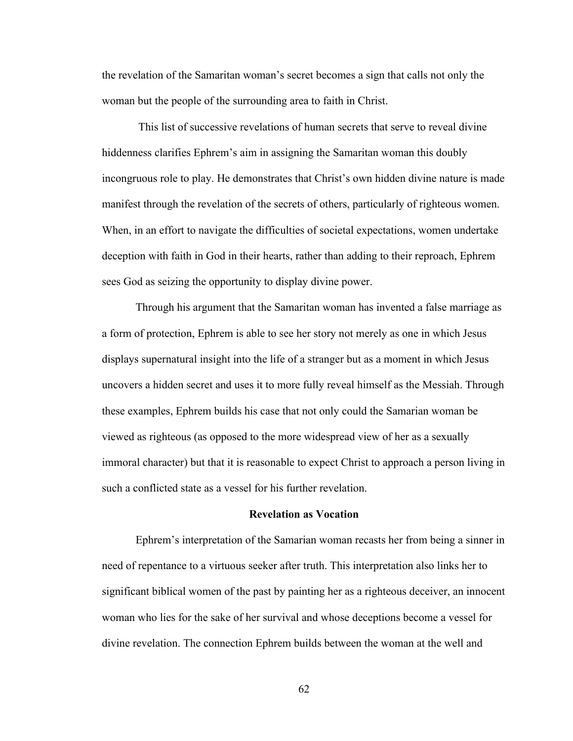the revelation of the Samaritan woman's secret becomes a sign that calls not only the woman but the people of the surrounding area to faith in Christ.

This list of successive revelations of human secrets that serve to reveal divine hiddenness clarifies Ephrem's aim in assigning the Samaritan woman this doubly incongruous role to play. He demonstrates that Christ's own hidden divine nature is made manifest through the revelation of the secrets of others, particularly of righteous women. When, in an effort to navigate the difficulties of societal expectations, women undertake deception with faith in God in their hearts, rather than adding to their reproach, Ephrem sees God as seizing the opportunity to display divine power.

Through his argument that the Samaritan woman has invented a false marriage as a form of protection, Ephrem is able to see her story not merely as one in which Jesus displays supernatural insight into the life of a stranger but as a moment in which Jesus uncovers a hidden secret and uses it to more fully reveal himself as the Messiah. Through these examples, Ephrem builds his case that not only could the Samarian woman be viewed as righteous (as opposed to the more widespread view of her as a sexually immoral character) but that it is reasonable to expect Christ to approach a person living in such a conflicted state as a vessel for his further revelation.

### **Revelation as Vocation**

Ephrem's interpretation of the Samarian woman recasts her from being a sinner in need of repentance to a virtuous seeker after truth. This interpretation also links her to significant biblical women of the past by painting her as a righteous deceiver, an innocent woman who lies for the sake of her survival and whose deceptions become a vessel for divine revelation. The connection Ephrem builds between the woman at the well and

62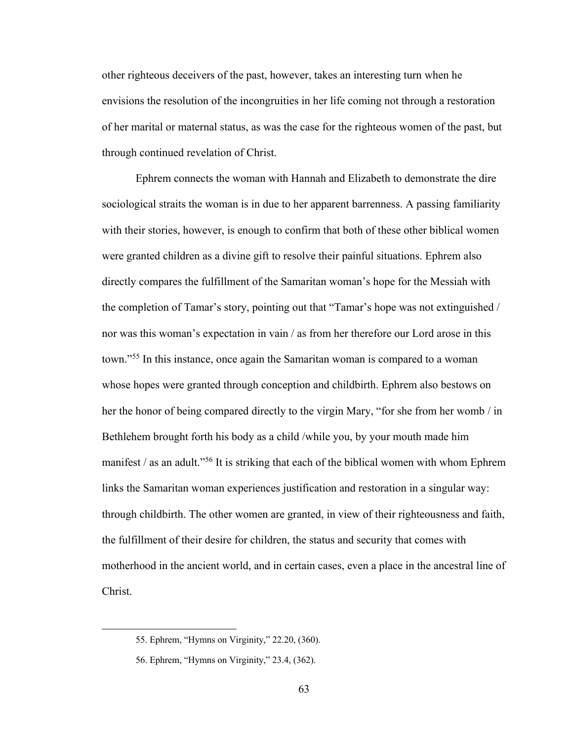other righteous deceivers of the past, however, takes an interesting turn when he envisions the resolution of the incongruities in her life coming not through a restoration of her marital or maternal status, as was the case for the righteous women of the past, but through continued revelation of Christ.

Ephrem connects the woman with Hannah and Elizabeth to demonstrate the dire sociological straits the woman is in due to her apparent barrenness. A passing familiarity with their stories, however, is enough to confirm that both of these other biblical women were granted children as a divine gift to resolve their painful situations. Ephrem also directly compares the fulfillment of the Samaritan woman's hope for the Messiah with the completion of Tamar's story, pointing out that "Tamar's hope was not extinguished / nor was this woman's expectation in vain / as from her therefore our Lord arose in this town."55 In this instance, once again the Samaritan woman is compared to a woman whose hopes were granted through conception and childbirth. Ephrem also bestows on her the honor of being compared directly to the virgin Mary, "for she from her womb / in Bethlehem brought forth his body as a child /while you, by your mouth made him manifest / as an adult."56 It is striking that each of the biblical women with whom Ephrem links the Samaritan woman experiences justification and restoration in a singular way: through childbirth. The other women are granted, in view of their righteousness and faith, the fulfillment of their desire for children, the status and security that comes with motherhood in the ancient world, and in certain cases, even a place in the ancestral line of Christ.

<sup>55.</sup> Ephrem, "Hymns on Virginity," 22.20, (360).

<sup>56.</sup> Ephrem, "Hymns on Virginity," 23.4, (362).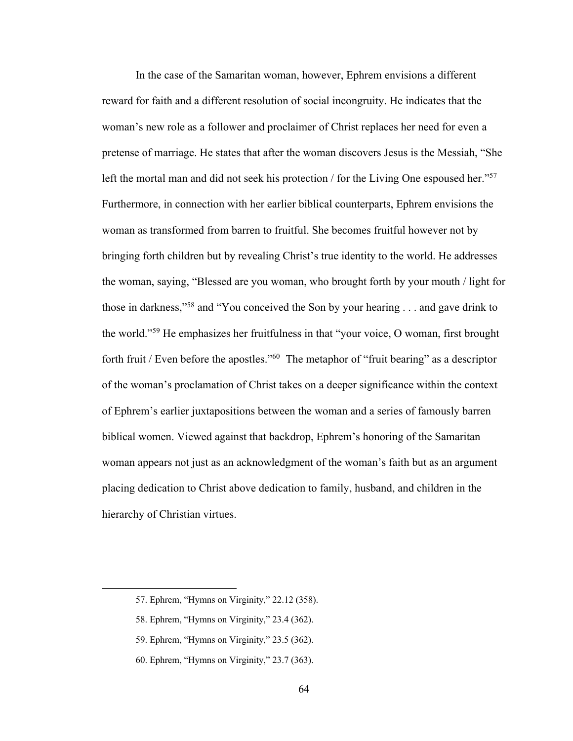In the case of the Samaritan woman, however, Ephrem envisions a different reward for faith and a different resolution of social incongruity. He indicates that the woman's new role as a follower and proclaimer of Christ replaces her need for even a pretense of marriage. He states that after the woman discovers Jesus is the Messiah, "She left the mortal man and did not seek his protection / for the Living One espoused her."<sup>57</sup> Furthermore, in connection with her earlier biblical counterparts, Ephrem envisions the woman as transformed from barren to fruitful. She becomes fruitful however not by bringing forth children but by revealing Christ's true identity to the world. He addresses the woman, saying, "Blessed are you woman, who brought forth by your mouth / light for those in darkness,"58 and "You conceived the Son by your hearing . . . and gave drink to the world."59 He emphasizes her fruitfulness in that "your voice, O woman, first brought forth fruit / Even before the apostles."<sup>60</sup> The metaphor of "fruit bearing" as a descriptor of the woman's proclamation of Christ takes on a deeper significance within the context of Ephrem's earlier juxtapositions between the woman and a series of famously barren biblical women. Viewed against that backdrop, Ephrem's honoring of the Samaritan woman appears not just as an acknowledgment of the woman's faith but as an argument placing dedication to Christ above dedication to family, husband, and children in the hierarchy of Christian virtues.

<sup>57.</sup> Ephrem, "Hymns on Virginity," 22.12 (358).

<sup>58.</sup> Ephrem, "Hymns on Virginity," 23.4 (362).

<sup>59.</sup> Ephrem, "Hymns on Virginity," 23.5 (362).

<sup>60.</sup> Ephrem, "Hymns on Virginity," 23.7 (363).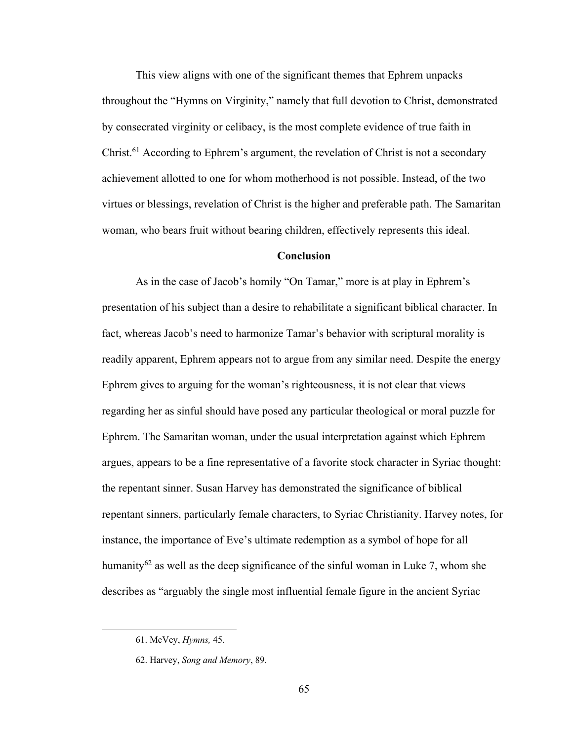This view aligns with one of the significant themes that Ephrem unpacks throughout the "Hymns on Virginity," namely that full devotion to Christ, demonstrated by consecrated virginity or celibacy, is the most complete evidence of true faith in Christ.61 According to Ephrem's argument, the revelation of Christ is not a secondary achievement allotted to one for whom motherhood is not possible. Instead, of the two virtues or blessings, revelation of Christ is the higher and preferable path. The Samaritan woman, who bears fruit without bearing children, effectively represents this ideal.

## **Conclusion**

As in the case of Jacob's homily "On Tamar," more is at play in Ephrem's presentation of his subject than a desire to rehabilitate a significant biblical character. In fact, whereas Jacob's need to harmonize Tamar's behavior with scriptural morality is readily apparent, Ephrem appears not to argue from any similar need. Despite the energy Ephrem gives to arguing for the woman's righteousness, it is not clear that views regarding her as sinful should have posed any particular theological or moral puzzle for Ephrem. The Samaritan woman, under the usual interpretation against which Ephrem argues, appears to be a fine representative of a favorite stock character in Syriac thought: the repentant sinner. Susan Harvey has demonstrated the significance of biblical repentant sinners, particularly female characters, to Syriac Christianity. Harvey notes, for instance, the importance of Eve's ultimate redemption as a symbol of hope for all humanity<sup>62</sup> as well as the deep significance of the sinful woman in Luke 7, whom she describes as "arguably the single most influential female figure in the ancient Syriac

<sup>61.</sup> McVey, *Hymns,* 45.

<sup>62.</sup> Harvey, *Song and Memory*, 89.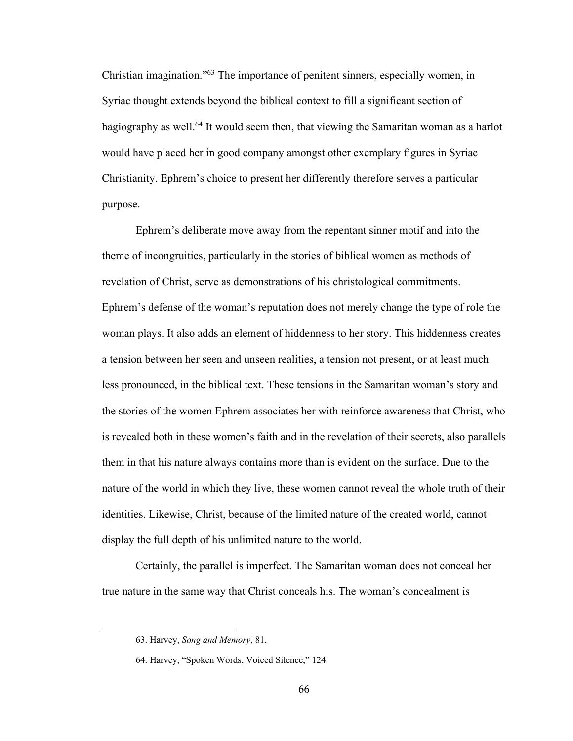Christian imagination."63 The importance of penitent sinners, especially women, in Syriac thought extends beyond the biblical context to fill a significant section of hagiography as well.<sup>64</sup> It would seem then, that viewing the Samaritan woman as a harlot would have placed her in good company amongst other exemplary figures in Syriac Christianity. Ephrem's choice to present her differently therefore serves a particular purpose.

Ephrem's deliberate move away from the repentant sinner motif and into the theme of incongruities, particularly in the stories of biblical women as methods of revelation of Christ, serve as demonstrations of his christological commitments. Ephrem's defense of the woman's reputation does not merely change the type of role the woman plays. It also adds an element of hiddenness to her story. This hiddenness creates a tension between her seen and unseen realities, a tension not present, or at least much less pronounced, in the biblical text. These tensions in the Samaritan woman's story and the stories of the women Ephrem associates her with reinforce awareness that Christ, who is revealed both in these women's faith and in the revelation of their secrets, also parallels them in that his nature always contains more than is evident on the surface. Due to the nature of the world in which they live, these women cannot reveal the whole truth of their identities. Likewise, Christ, because of the limited nature of the created world, cannot display the full depth of his unlimited nature to the world.

Certainly, the parallel is imperfect. The Samaritan woman does not conceal her true nature in the same way that Christ conceals his. The woman's concealment is

<sup>63.</sup> Harvey, *Song and Memory*, 81.

<sup>64.</sup> Harvey, "Spoken Words, Voiced Silence," 124.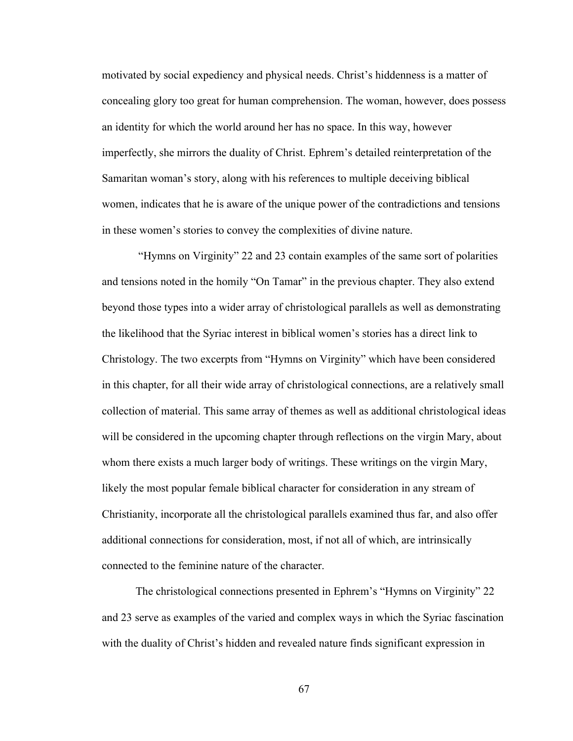motivated by social expediency and physical needs. Christ's hiddenness is a matter of concealing glory too great for human comprehension. The woman, however, does possess an identity for which the world around her has no space. In this way, however imperfectly, she mirrors the duality of Christ. Ephrem's detailed reinterpretation of the Samaritan woman's story, along with his references to multiple deceiving biblical women, indicates that he is aware of the unique power of the contradictions and tensions in these women's stories to convey the complexities of divine nature.

"Hymns on Virginity" 22 and 23 contain examples of the same sort of polarities and tensions noted in the homily "On Tamar" in the previous chapter. They also extend beyond those types into a wider array of christological parallels as well as demonstrating the likelihood that the Syriac interest in biblical women's stories has a direct link to Christology. The two excerpts from "Hymns on Virginity" which have been considered in this chapter, for all their wide array of christological connections, are a relatively small collection of material. This same array of themes as well as additional christological ideas will be considered in the upcoming chapter through reflections on the virgin Mary, about whom there exists a much larger body of writings. These writings on the virgin Mary, likely the most popular female biblical character for consideration in any stream of Christianity, incorporate all the christological parallels examined thus far, and also offer additional connections for consideration, most, if not all of which, are intrinsically connected to the feminine nature of the character.

The christological connections presented in Ephrem's "Hymns on Virginity" 22 and 23 serve as examples of the varied and complex ways in which the Syriac fascination with the duality of Christ's hidden and revealed nature finds significant expression in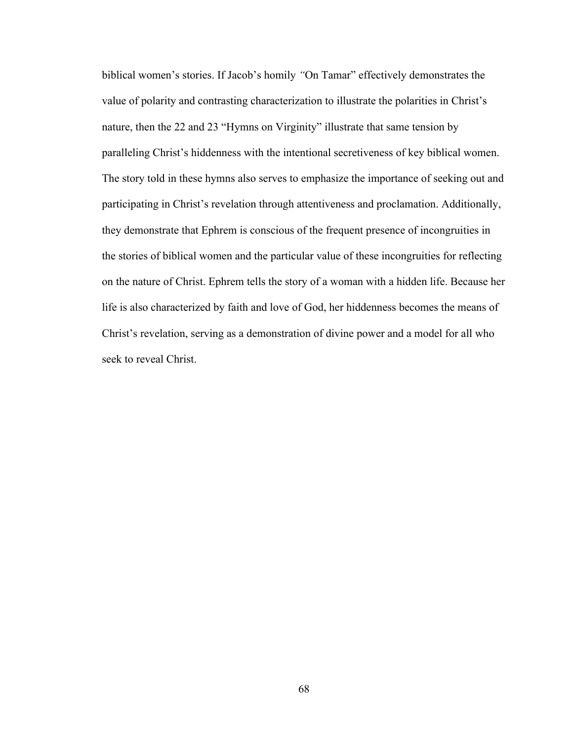biblical women's stories. If Jacob's homily *"*On Tamar" effectively demonstrates the value of polarity and contrasting characterization to illustrate the polarities in Christ's nature, then the 22 and 23 "Hymns on Virginity" illustrate that same tension by paralleling Christ's hiddenness with the intentional secretiveness of key biblical women. The story told in these hymns also serves to emphasize the importance of seeking out and participating in Christ's revelation through attentiveness and proclamation. Additionally, they demonstrate that Ephrem is conscious of the frequent presence of incongruities in the stories of biblical women and the particular value of these incongruities for reflecting on the nature of Christ. Ephrem tells the story of a woman with a hidden life. Because her life is also characterized by faith and love of God, her hiddenness becomes the means of Christ's revelation, serving as a demonstration of divine power and a model for all who seek to reveal Christ.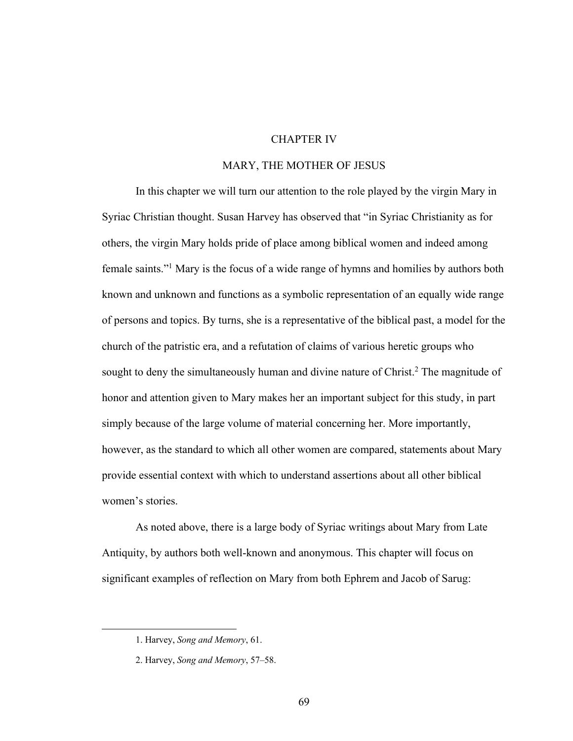# CHAPTER IV

## MARY, THE MOTHER OF JESUS

In this chapter we will turn our attention to the role played by the virgin Mary in Syriac Christian thought. Susan Harvey has observed that "in Syriac Christianity as for others, the virgin Mary holds pride of place among biblical women and indeed among female saints."1 Mary is the focus of a wide range of hymns and homilies by authors both known and unknown and functions as a symbolic representation of an equally wide range of persons and topics. By turns, she is a representative of the biblical past, a model for the church of the patristic era, and a refutation of claims of various heretic groups who sought to deny the simultaneously human and divine nature of Christ.<sup>2</sup> The magnitude of honor and attention given to Mary makes her an important subject for this study, in part simply because of the large volume of material concerning her. More importantly, however, as the standard to which all other women are compared, statements about Mary provide essential context with which to understand assertions about all other biblical women's stories.

As noted above, there is a large body of Syriac writings about Mary from Late Antiquity, by authors both well-known and anonymous. This chapter will focus on significant examples of reflection on Mary from both Ephrem and Jacob of Sarug:

<sup>1.</sup> Harvey, *Song and Memory*, 61.

<sup>2.</sup> Harvey, *Song and Memory*, 57–58.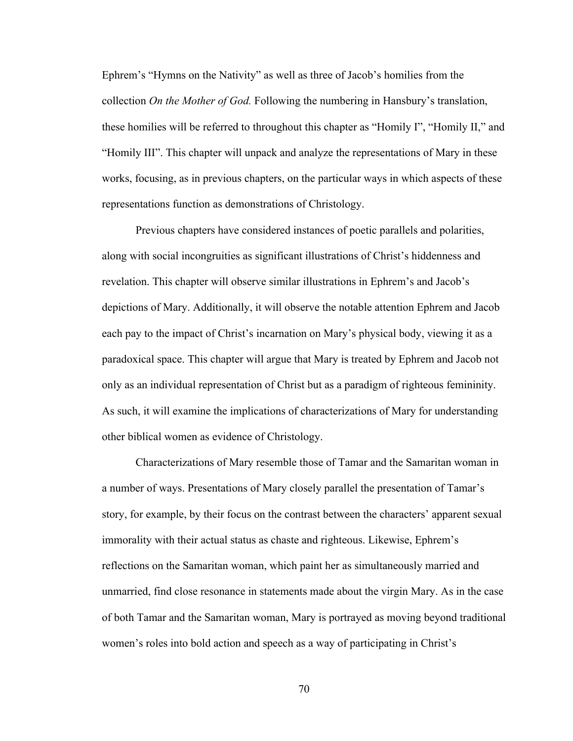Ephrem's "Hymns on the Nativity" as well as three of Jacob's homilies from the collection *On the Mother of God.* Following the numbering in Hansbury's translation, these homilies will be referred to throughout this chapter as "Homily I", "Homily II," and "Homily III". This chapter will unpack and analyze the representations of Mary in these works, focusing, as in previous chapters, on the particular ways in which aspects of these representations function as demonstrations of Christology.

Previous chapters have considered instances of poetic parallels and polarities, along with social incongruities as significant illustrations of Christ's hiddenness and revelation. This chapter will observe similar illustrations in Ephrem's and Jacob's depictions of Mary. Additionally, it will observe the notable attention Ephrem and Jacob each pay to the impact of Christ's incarnation on Mary's physical body, viewing it as a paradoxical space. This chapter will argue that Mary is treated by Ephrem and Jacob not only as an individual representation of Christ but as a paradigm of righteous femininity. As such, it will examine the implications of characterizations of Mary for understanding other biblical women as evidence of Christology.

Characterizations of Mary resemble those of Tamar and the Samaritan woman in a number of ways. Presentations of Mary closely parallel the presentation of Tamar's story, for example, by their focus on the contrast between the characters' apparent sexual immorality with their actual status as chaste and righteous. Likewise, Ephrem's reflections on the Samaritan woman, which paint her as simultaneously married and unmarried, find close resonance in statements made about the virgin Mary. As in the case of both Tamar and the Samaritan woman, Mary is portrayed as moving beyond traditional women's roles into bold action and speech as a way of participating in Christ's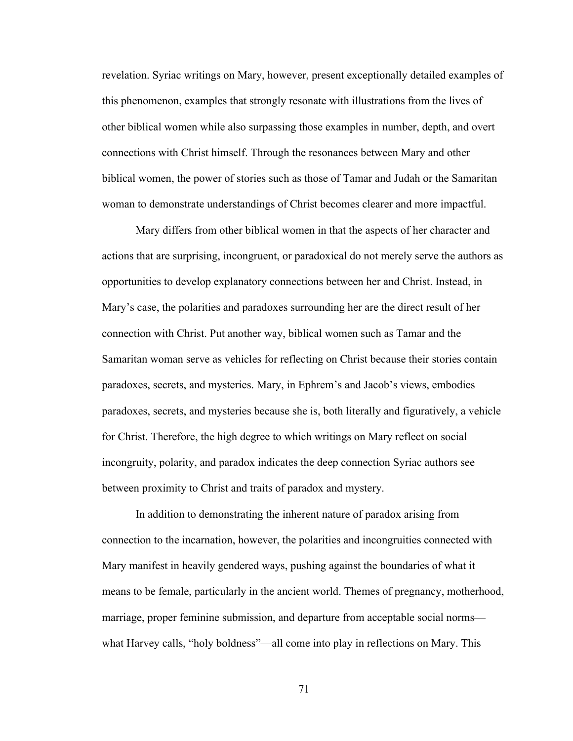revelation. Syriac writings on Mary, however, present exceptionally detailed examples of this phenomenon, examples that strongly resonate with illustrations from the lives of other biblical women while also surpassing those examples in number, depth, and overt connections with Christ himself. Through the resonances between Mary and other biblical women, the power of stories such as those of Tamar and Judah or the Samaritan woman to demonstrate understandings of Christ becomes clearer and more impactful.

Mary differs from other biblical women in that the aspects of her character and actions that are surprising, incongruent, or paradoxical do not merely serve the authors as opportunities to develop explanatory connections between her and Christ. Instead, in Mary's case, the polarities and paradoxes surrounding her are the direct result of her connection with Christ. Put another way, biblical women such as Tamar and the Samaritan woman serve as vehicles for reflecting on Christ because their stories contain paradoxes, secrets, and mysteries. Mary, in Ephrem's and Jacob's views, embodies paradoxes, secrets, and mysteries because she is, both literally and figuratively, a vehicle for Christ. Therefore, the high degree to which writings on Mary reflect on social incongruity, polarity, and paradox indicates the deep connection Syriac authors see between proximity to Christ and traits of paradox and mystery.

In addition to demonstrating the inherent nature of paradox arising from connection to the incarnation, however, the polarities and incongruities connected with Mary manifest in heavily gendered ways, pushing against the boundaries of what it means to be female, particularly in the ancient world. Themes of pregnancy, motherhood, marriage, proper feminine submission, and departure from acceptable social norms what Harvey calls, "holy boldness"—all come into play in reflections on Mary. This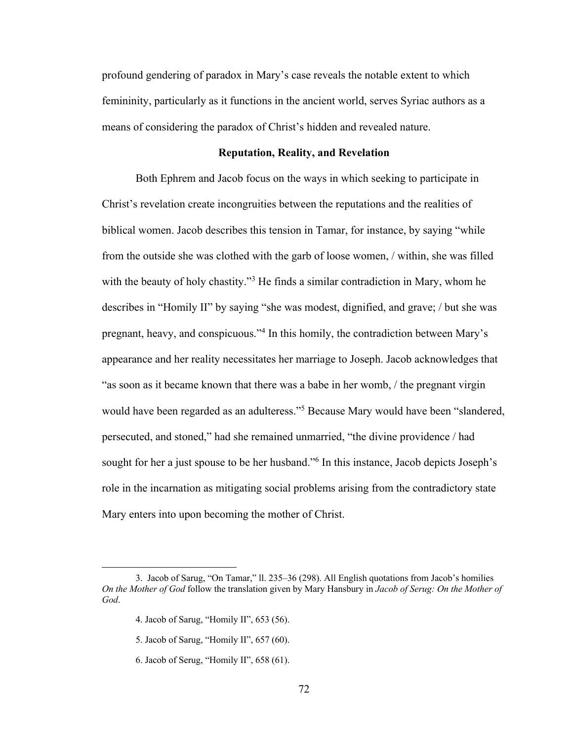profound gendering of paradox in Mary's case reveals the notable extent to which femininity, particularly as it functions in the ancient world, serves Syriac authors as a means of considering the paradox of Christ's hidden and revealed nature.

#### **Reputation, Reality, and Revelation**

Both Ephrem and Jacob focus on the ways in which seeking to participate in Christ's revelation create incongruities between the reputations and the realities of biblical women. Jacob describes this tension in Tamar, for instance, by saying "while from the outside she was clothed with the garb of loose women, / within, she was filled with the beauty of holy chastity."<sup>3</sup> He finds a similar contradiction in Mary, whom he describes in "Homily II" by saying "she was modest, dignified, and grave; / but she was pregnant, heavy, and conspicuous."4 In this homily, the contradiction between Mary's appearance and her reality necessitates her marriage to Joseph. Jacob acknowledges that "as soon as it became known that there was a babe in her womb, / the pregnant virgin would have been regarded as an adulteress."5 Because Mary would have been "slandered, persecuted, and stoned," had she remained unmarried, "the divine providence / had sought for her a just spouse to be her husband."<sup>6</sup> In this instance, Jacob depicts Joseph's role in the incarnation as mitigating social problems arising from the contradictory state Mary enters into upon becoming the mother of Christ.

<sup>3.</sup> Jacob of Sarug, "On Tamar," ll. 235–36 (298). All English quotations from Jacob's homilies *On the Mother of God* follow the translation given by Mary Hansbury in *Jacob of Serug: On the Mother of God*.

<sup>4.</sup> Jacob of Sarug, "Homily II", 653 (56).

<sup>5.</sup> Jacob of Sarug, "Homily II", 657 (60).

<sup>6.</sup> Jacob of Serug, "Homily II", 658 (61).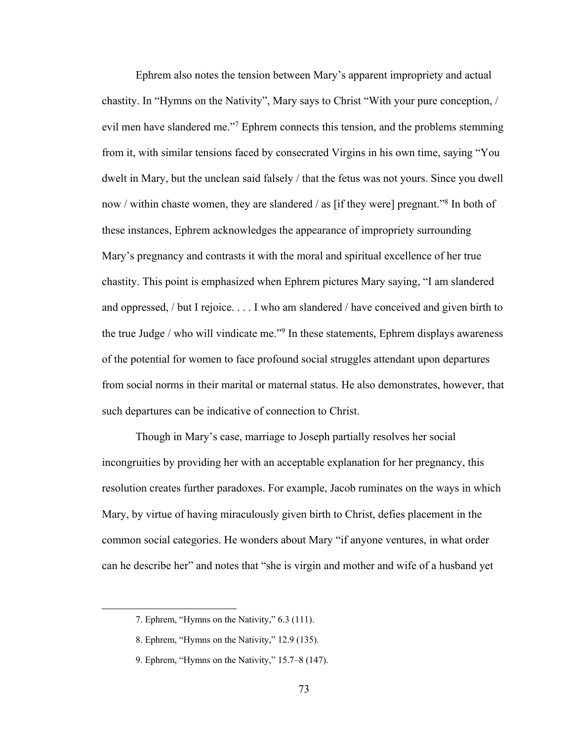Ephrem also notes the tension between Mary's apparent impropriety and actual chastity. In "Hymns on the Nativity", Mary says to Christ "With your pure conception, / evil men have slandered me."7 Ephrem connects this tension, and the problems stemming from it, with similar tensions faced by consecrated Virgins in his own time, saying "You dwelt in Mary, but the unclean said falsely / that the fetus was not yours. Since you dwell now / within chaste women, they are slandered / as [if they were] pregnant."8 In both of these instances, Ephrem acknowledges the appearance of impropriety surrounding Mary's pregnancy and contrasts it with the moral and spiritual excellence of her true chastity. This point is emphasized when Ephrem pictures Mary saying, "I am slandered and oppressed, / but I rejoice. . . . I who am slandered / have conceived and given birth to the true Judge / who will vindicate me."<sup>9</sup> In these statements, Ephrem displays awareness of the potential for women to face profound social struggles attendant upon departures from social norms in their marital or maternal status. He also demonstrates, however, that such departures can be indicative of connection to Christ.

Though in Mary's case, marriage to Joseph partially resolves her social incongruities by providing her with an acceptable explanation for her pregnancy, this resolution creates further paradoxes. For example, Jacob ruminates on the ways in which Mary, by virtue of having miraculously given birth to Christ, defies placement in the common social categories. He wonders about Mary "if anyone ventures, in what order can he describe her" and notes that "she is virgin and mother and wife of a husband yet

<sup>7.</sup> Ephrem, "Hymns on the Nativity," 6.3 (111).

<sup>8.</sup> Ephrem, "Hymns on the Nativity," 12.9 (135).

<sup>9.</sup> Ephrem, "Hymns on the Nativity," 15.7–8 (147).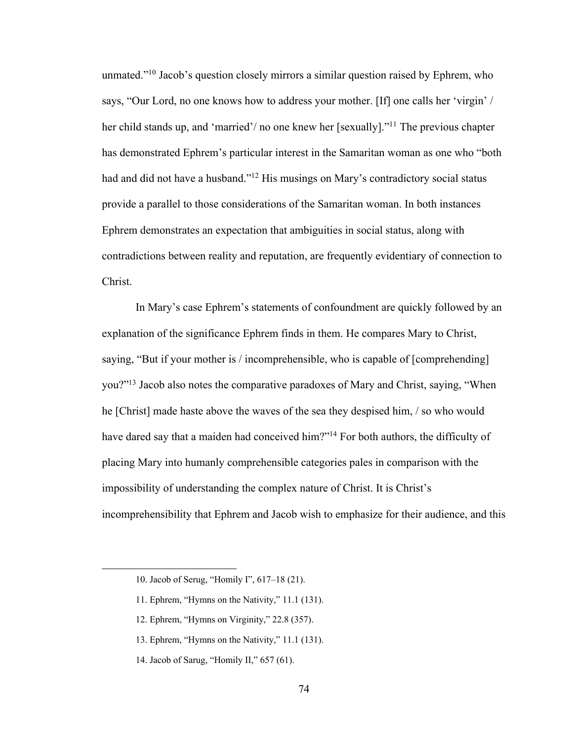unmated."10 Jacob's question closely mirrors a similar question raised by Ephrem, who says, "Our Lord, no one knows how to address your mother. [If] one calls her 'virgin' / her child stands up, and 'married'/ no one knew her [sexually]."<sup>11</sup> The previous chapter has demonstrated Ephrem's particular interest in the Samaritan woman as one who "both had and did not have a husband."<sup>12</sup> His musings on Mary's contradictory social status provide a parallel to those considerations of the Samaritan woman. In both instances Ephrem demonstrates an expectation that ambiguities in social status, along with contradictions between reality and reputation, are frequently evidentiary of connection to Christ.

In Mary's case Ephrem's statements of confoundment are quickly followed by an explanation of the significance Ephrem finds in them. He compares Mary to Christ, saying, "But if your mother is / incomprehensible, who is capable of [comprehending] you?"13 Jacob also notes the comparative paradoxes of Mary and Christ, saying, "When he [Christ] made haste above the waves of the sea they despised him, / so who would have dared say that a maiden had conceived him?"14 For both authors, the difficulty of placing Mary into humanly comprehensible categories pales in comparison with the impossibility of understanding the complex nature of Christ. It is Christ's incomprehensibility that Ephrem and Jacob wish to emphasize for their audience, and this

14. Jacob of Sarug, "Homily II," 657 (61).

<sup>10.</sup> Jacob of Serug, "Homily I", 617–18 (21).

<sup>11.</sup> Ephrem, "Hymns on the Nativity," 11.1 (131).

<sup>12.</sup> Ephrem, "Hymns on Virginity," 22.8 (357).

<sup>13.</sup> Ephrem, "Hymns on the Nativity," 11.1 (131).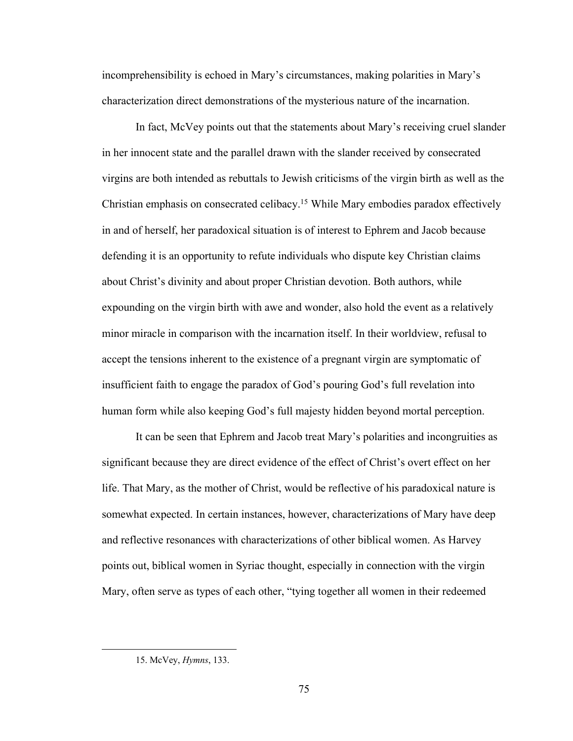incomprehensibility is echoed in Mary's circumstances, making polarities in Mary's characterization direct demonstrations of the mysterious nature of the incarnation.

In fact, McVey points out that the statements about Mary's receiving cruel slander in her innocent state and the parallel drawn with the slander received by consecrated virgins are both intended as rebuttals to Jewish criticisms of the virgin birth as well as the Christian emphasis on consecrated celibacy.15 While Mary embodies paradox effectively in and of herself, her paradoxical situation is of interest to Ephrem and Jacob because defending it is an opportunity to refute individuals who dispute key Christian claims about Christ's divinity and about proper Christian devotion. Both authors, while expounding on the virgin birth with awe and wonder, also hold the event as a relatively minor miracle in comparison with the incarnation itself. In their worldview, refusal to accept the tensions inherent to the existence of a pregnant virgin are symptomatic of insufficient faith to engage the paradox of God's pouring God's full revelation into human form while also keeping God's full majesty hidden beyond mortal perception.

It can be seen that Ephrem and Jacob treat Mary's polarities and incongruities as significant because they are direct evidence of the effect of Christ's overt effect on her life. That Mary, as the mother of Christ, would be reflective of his paradoxical nature is somewhat expected. In certain instances, however, characterizations of Mary have deep and reflective resonances with characterizations of other biblical women. As Harvey points out, biblical women in Syriac thought, especially in connection with the virgin Mary, often serve as types of each other, "tying together all women in their redeemed

<sup>15.</sup> McVey, *Hymns*, 133.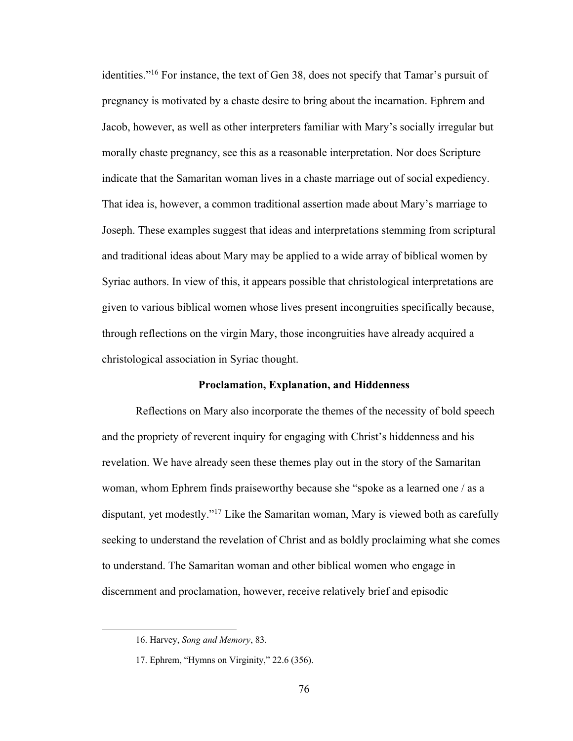identities."16 For instance, the text of Gen 38, does not specify that Tamar's pursuit of pregnancy is motivated by a chaste desire to bring about the incarnation. Ephrem and Jacob, however, as well as other interpreters familiar with Mary's socially irregular but morally chaste pregnancy, see this as a reasonable interpretation. Nor does Scripture indicate that the Samaritan woman lives in a chaste marriage out of social expediency. That idea is, however, a common traditional assertion made about Mary's marriage to Joseph. These examples suggest that ideas and interpretations stemming from scriptural and traditional ideas about Mary may be applied to a wide array of biblical women by Syriac authors. In view of this, it appears possible that christological interpretations are given to various biblical women whose lives present incongruities specifically because, through reflections on the virgin Mary, those incongruities have already acquired a christological association in Syriac thought.

## **Proclamation, Explanation, and Hiddenness**

Reflections on Mary also incorporate the themes of the necessity of bold speech and the propriety of reverent inquiry for engaging with Christ's hiddenness and his revelation. We have already seen these themes play out in the story of the Samaritan woman, whom Ephrem finds praiseworthy because she "spoke as a learned one / as a disputant, yet modestly."17 Like the Samaritan woman, Mary is viewed both as carefully seeking to understand the revelation of Christ and as boldly proclaiming what she comes to understand. The Samaritan woman and other biblical women who engage in discernment and proclamation, however, receive relatively brief and episodic

<sup>16.</sup> Harvey, *Song and Memory*, 83.

<sup>17.</sup> Ephrem, "Hymns on Virginity," 22.6 (356).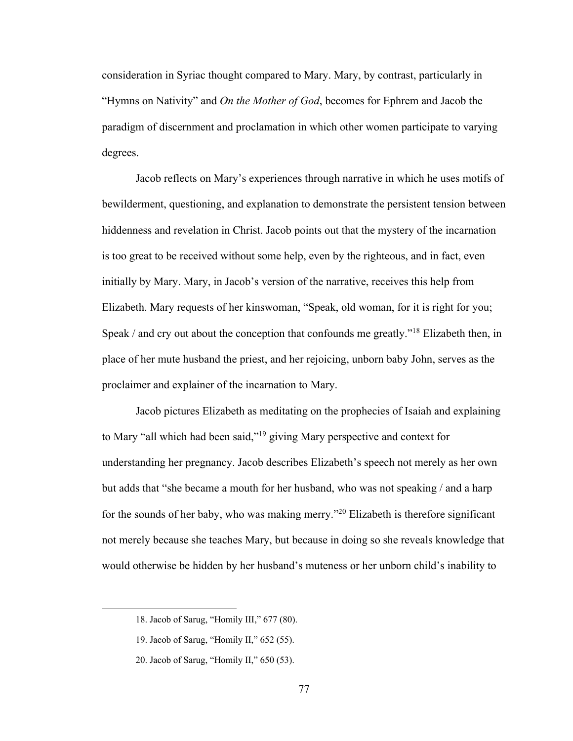consideration in Syriac thought compared to Mary. Mary, by contrast, particularly in "Hymns on Nativity" and *On the Mother of God*, becomes for Ephrem and Jacob the paradigm of discernment and proclamation in which other women participate to varying degrees.

Jacob reflects on Mary's experiences through narrative in which he uses motifs of bewilderment, questioning, and explanation to demonstrate the persistent tension between hiddenness and revelation in Christ. Jacob points out that the mystery of the incarnation is too great to be received without some help, even by the righteous, and in fact, even initially by Mary. Mary, in Jacob's version of the narrative, receives this help from Elizabeth. Mary requests of her kinswoman, "Speak, old woman, for it is right for you; Speak / and cry out about the conception that confounds me greatly."18 Elizabeth then, in place of her mute husband the priest, and her rejoicing, unborn baby John, serves as the proclaimer and explainer of the incarnation to Mary.

Jacob pictures Elizabeth as meditating on the prophecies of Isaiah and explaining to Mary "all which had been said,"19 giving Mary perspective and context for understanding her pregnancy. Jacob describes Elizabeth's speech not merely as her own but adds that "she became a mouth for her husband, who was not speaking / and a harp for the sounds of her baby, who was making merry."20 Elizabeth is therefore significant not merely because she teaches Mary, but because in doing so she reveals knowledge that would otherwise be hidden by her husband's muteness or her unborn child's inability to

<sup>18.</sup> Jacob of Sarug, "Homily III," 677 (80).

<sup>19.</sup> Jacob of Sarug, "Homily II," 652 (55).

<sup>20.</sup> Jacob of Sarug, "Homily II," 650 (53).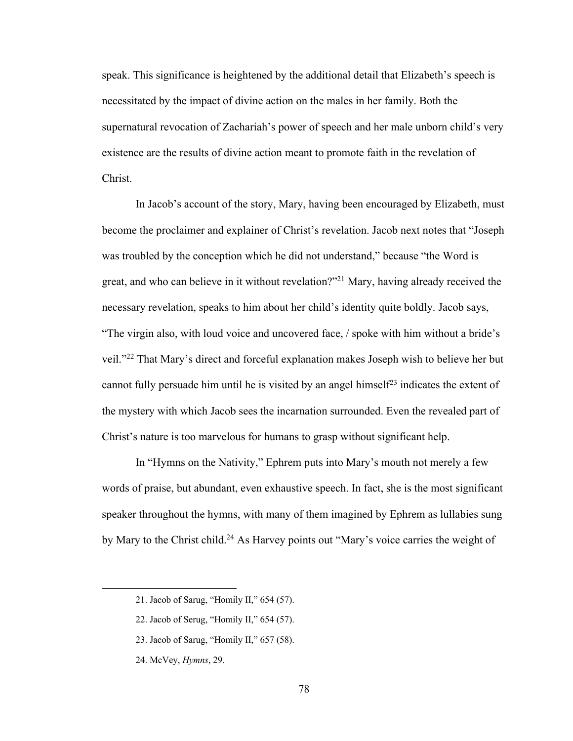speak. This significance is heightened by the additional detail that Elizabeth's speech is necessitated by the impact of divine action on the males in her family. Both the supernatural revocation of Zachariah's power of speech and her male unborn child's very existence are the results of divine action meant to promote faith in the revelation of Christ.

In Jacob's account of the story, Mary, having been encouraged by Elizabeth, must become the proclaimer and explainer of Christ's revelation. Jacob next notes that "Joseph was troubled by the conception which he did not understand," because "the Word is great, and who can believe in it without revelation?"21 Mary, having already received the necessary revelation, speaks to him about her child's identity quite boldly. Jacob says, "The virgin also, with loud voice and uncovered face, / spoke with him without a bride's veil."22 That Mary's direct and forceful explanation makes Joseph wish to believe her but cannot fully persuade him until he is visited by an angel himself<sup>23</sup> indicates the extent of the mystery with which Jacob sees the incarnation surrounded. Even the revealed part of Christ's nature is too marvelous for humans to grasp without significant help.

In "Hymns on the Nativity," Ephrem puts into Mary's mouth not merely a few words of praise, but abundant, even exhaustive speech. In fact, she is the most significant speaker throughout the hymns, with many of them imagined by Ephrem as lullabies sung by Mary to the Christ child.<sup>24</sup> As Harvey points out "Mary's voice carries the weight of

- 23. Jacob of Sarug, "Homily II," 657 (58).
- 24. McVey, *Hymns*, 29.

<sup>21.</sup> Jacob of Sarug, "Homily II," 654 (57).

<sup>22.</sup> Jacob of Serug, "Homily II," 654 (57).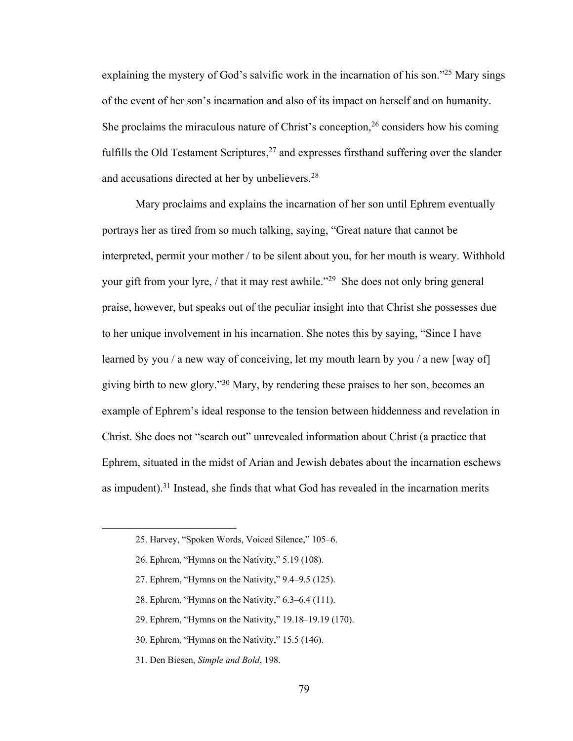explaining the mystery of God's salvific work in the incarnation of his son."25 Mary sings of the event of her son's incarnation and also of its impact on herself and on humanity. She proclaims the miraculous nature of Christ's conception,  $26$  considers how his coming fulfills the Old Testament Scriptures, $27$  and expresses firsthand suffering over the slander and accusations directed at her by unbelievers.<sup>28</sup>

Mary proclaims and explains the incarnation of her son until Ephrem eventually portrays her as tired from so much talking, saying, "Great nature that cannot be interpreted, permit your mother / to be silent about you, for her mouth is weary. Withhold your gift from your lyre, / that it may rest awhile."29 She does not only bring general praise, however, but speaks out of the peculiar insight into that Christ she possesses due to her unique involvement in his incarnation. She notes this by saying, "Since I have learned by you / a new way of conceiving, let my mouth learn by you / a new [way of] giving birth to new glory."30 Mary, by rendering these praises to her son, becomes an example of Ephrem's ideal response to the tension between hiddenness and revelation in Christ. She does not "search out" unrevealed information about Christ (a practice that Ephrem, situated in the midst of Arian and Jewish debates about the incarnation eschews as impudent).<sup>31</sup> Instead, she finds that what God has revealed in the incarnation merits

- 27. Ephrem, "Hymns on the Nativity," 9.4–9.5 (125).
- 28. Ephrem, "Hymns on the Nativity," 6.3–6.4 (111).
- 29. Ephrem, "Hymns on the Nativity," 19.18–19.19 (170).
- 30. Ephrem, "Hymns on the Nativity," 15.5 (146).
- 31. Den Biesen, *Simple and Bold*, 198.

<sup>25.</sup> Harvey, "Spoken Words, Voiced Silence," 105–6.

<sup>26.</sup> Ephrem, "Hymns on the Nativity," 5.19 (108).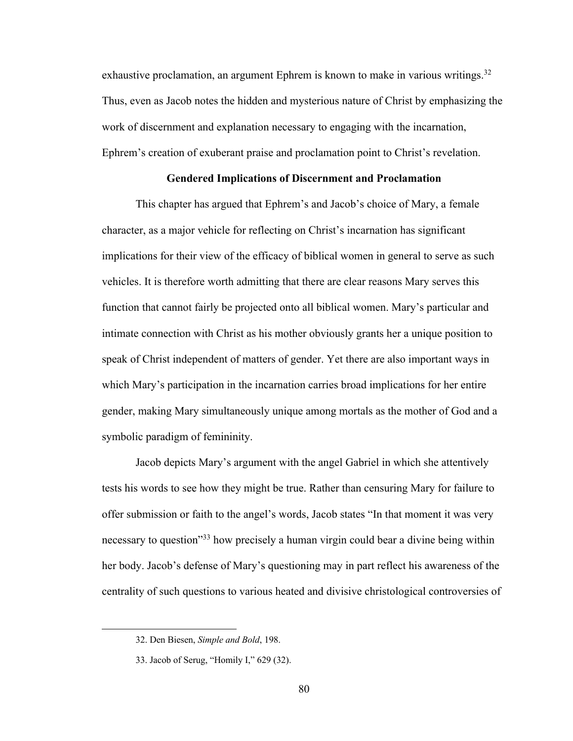exhaustive proclamation, an argument Ephrem is known to make in various writings.<sup>32</sup> Thus, even as Jacob notes the hidden and mysterious nature of Christ by emphasizing the work of discernment and explanation necessary to engaging with the incarnation, Ephrem's creation of exuberant praise and proclamation point to Christ's revelation.

## **Gendered Implications of Discernment and Proclamation**

This chapter has argued that Ephrem's and Jacob's choice of Mary, a female character, as a major vehicle for reflecting on Christ's incarnation has significant implications for their view of the efficacy of biblical women in general to serve as such vehicles. It is therefore worth admitting that there are clear reasons Mary serves this function that cannot fairly be projected onto all biblical women. Mary's particular and intimate connection with Christ as his mother obviously grants her a unique position to speak of Christ independent of matters of gender. Yet there are also important ways in which Mary's participation in the incarnation carries broad implications for her entire gender, making Mary simultaneously unique among mortals as the mother of God and a symbolic paradigm of femininity.

Jacob depicts Mary's argument with the angel Gabriel in which she attentively tests his words to see how they might be true. Rather than censuring Mary for failure to offer submission or faith to the angel's words, Jacob states "In that moment it was very necessary to question"33 how precisely a human virgin could bear a divine being within her body. Jacob's defense of Mary's questioning may in part reflect his awareness of the centrality of such questions to various heated and divisive christological controversies of

<sup>32.</sup> Den Biesen, *Simple and Bold*, 198.

<sup>33.</sup> Jacob of Serug, "Homily I," 629 (32).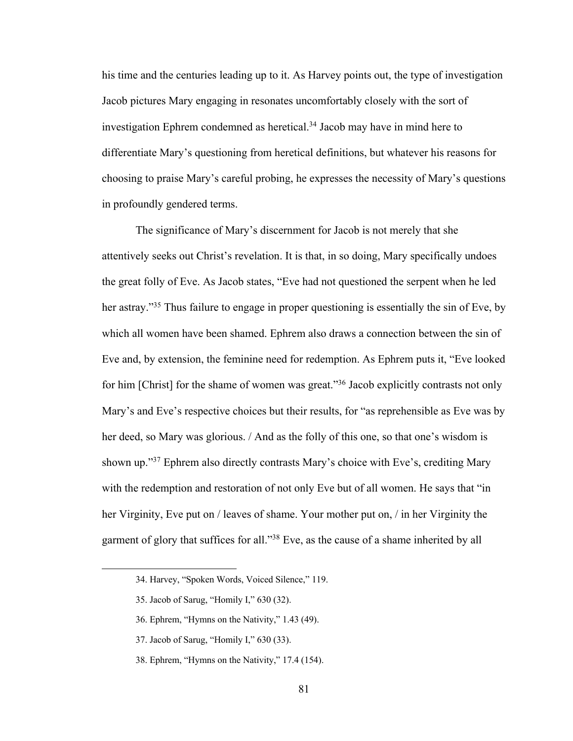his time and the centuries leading up to it. As Harvey points out, the type of investigation Jacob pictures Mary engaging in resonates uncomfortably closely with the sort of investigation Ephrem condemned as heretical.<sup>34</sup> Jacob may have in mind here to differentiate Mary's questioning from heretical definitions, but whatever his reasons for choosing to praise Mary's careful probing, he expresses the necessity of Mary's questions in profoundly gendered terms.

The significance of Mary's discernment for Jacob is not merely that she attentively seeks out Christ's revelation. It is that, in so doing, Mary specifically undoes the great folly of Eve. As Jacob states, "Eve had not questioned the serpent when he led her astray."<sup>35</sup> Thus failure to engage in proper questioning is essentially the sin of Eve, by which all women have been shamed. Ephrem also draws a connection between the sin of Eve and, by extension, the feminine need for redemption. As Ephrem puts it, "Eve looked for him [Christ] for the shame of women was great."<sup>36</sup> Jacob explicitly contrasts not only Mary's and Eve's respective choices but their results, for "as reprehensible as Eve was by her deed, so Mary was glorious. / And as the folly of this one, so that one's wisdom is shown up."37 Ephrem also directly contrasts Mary's choice with Eve's, crediting Mary with the redemption and restoration of not only Eve but of all women. He says that "in her Virginity, Eve put on / leaves of shame. Your mother put on, / in her Virginity the garment of glory that suffices for all."38 Eve, as the cause of a shame inherited by all

- 37. Jacob of Sarug, "Homily I," 630 (33).
- 38. Ephrem, "Hymns on the Nativity," 17.4 (154).

<sup>34.</sup> Harvey, "Spoken Words, Voiced Silence," 119.

<sup>35.</sup> Jacob of Sarug, "Homily I," 630 (32).

<sup>36.</sup> Ephrem, "Hymns on the Nativity," 1.43 (49).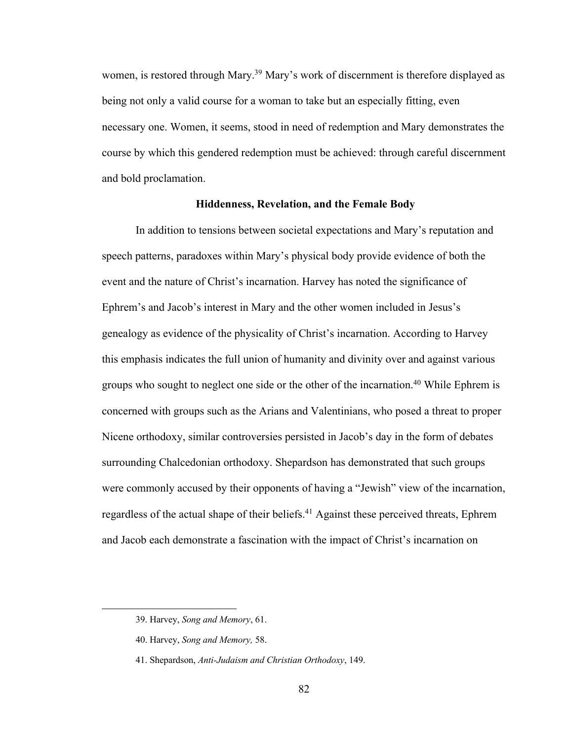women, is restored through Mary.<sup>39</sup> Mary's work of discernment is therefore displayed as being not only a valid course for a woman to take but an especially fitting, even necessary one. Women, it seems, stood in need of redemption and Mary demonstrates the course by which this gendered redemption must be achieved: through careful discernment and bold proclamation.

#### **Hiddenness, Revelation, and the Female Body**

In addition to tensions between societal expectations and Mary's reputation and speech patterns, paradoxes within Mary's physical body provide evidence of both the event and the nature of Christ's incarnation. Harvey has noted the significance of Ephrem's and Jacob's interest in Mary and the other women included in Jesus's genealogy as evidence of the physicality of Christ's incarnation. According to Harvey this emphasis indicates the full union of humanity and divinity over and against various groups who sought to neglect one side or the other of the incarnation.<sup>40</sup> While Ephrem is concerned with groups such as the Arians and Valentinians, who posed a threat to proper Nicene orthodoxy, similar controversies persisted in Jacob's day in the form of debates surrounding Chalcedonian orthodoxy. Shepardson has demonstrated that such groups were commonly accused by their opponents of having a "Jewish" view of the incarnation, regardless of the actual shape of their beliefs.<sup>41</sup> Against these perceived threats, Ephrem and Jacob each demonstrate a fascination with the impact of Christ's incarnation on

<sup>39.</sup> Harvey, *Song and Memory*, 61.

<sup>40.</sup> Harvey, *Song and Memory,* 58.

<sup>41.</sup> Shepardson, *Anti-Judaism and Christian Orthodoxy*, 149.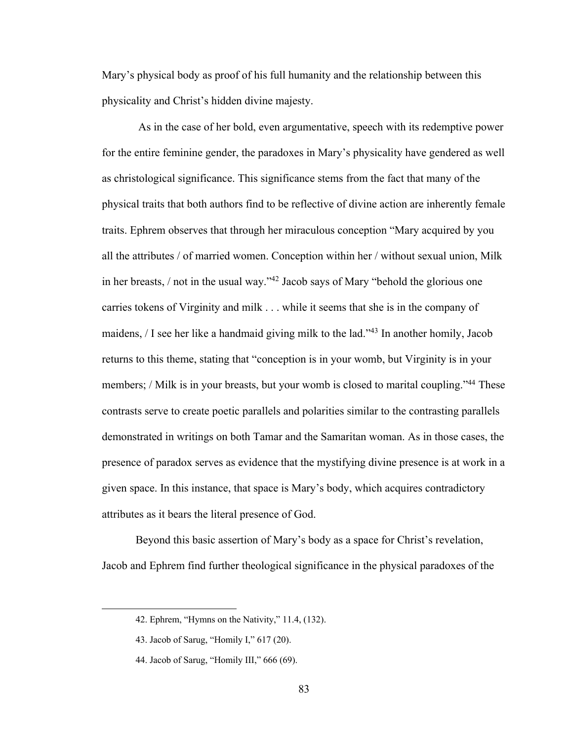Mary's physical body as proof of his full humanity and the relationship between this physicality and Christ's hidden divine majesty.

As in the case of her bold, even argumentative, speech with its redemptive power for the entire feminine gender, the paradoxes in Mary's physicality have gendered as well as christological significance. This significance stems from the fact that many of the physical traits that both authors find to be reflective of divine action are inherently female traits. Ephrem observes that through her miraculous conception "Mary acquired by you all the attributes / of married women. Conception within her / without sexual union, Milk in her breasts, / not in the usual way."42 Jacob says of Mary "behold the glorious one carries tokens of Virginity and milk . . . while it seems that she is in the company of maidens, / I see her like a handmaid giving milk to the lad."43 In another homily, Jacob returns to this theme, stating that "conception is in your womb, but Virginity is in your members; / Milk is in your breasts, but your womb is closed to marital coupling."<sup>44</sup> These contrasts serve to create poetic parallels and polarities similar to the contrasting parallels demonstrated in writings on both Tamar and the Samaritan woman. As in those cases, the presence of paradox serves as evidence that the mystifying divine presence is at work in a given space. In this instance, that space is Mary's body, which acquires contradictory attributes as it bears the literal presence of God.

Beyond this basic assertion of Mary's body as a space for Christ's revelation, Jacob and Ephrem find further theological significance in the physical paradoxes of the

<sup>42.</sup> Ephrem, "Hymns on the Nativity," 11.4, (132).

<sup>43.</sup> Jacob of Sarug, "Homily I," 617 (20).

<sup>44.</sup> Jacob of Sarug, "Homily III," 666 (69).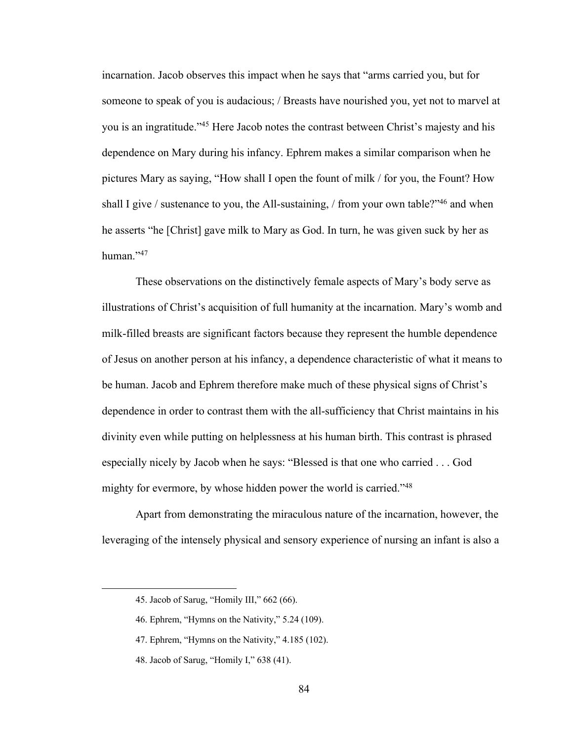incarnation. Jacob observes this impact when he says that "arms carried you, but for someone to speak of you is audacious; / Breasts have nourished you, yet not to marvel at you is an ingratitude."45 Here Jacob notes the contrast between Christ's majesty and his dependence on Mary during his infancy. Ephrem makes a similar comparison when he pictures Mary as saying, "How shall I open the fount of milk / for you, the Fount? How shall I give / sustenance to you, the All-sustaining, / from your own table?"<sup>46</sup> and when he asserts "he [Christ] gave milk to Mary as God. In turn, he was given suck by her as human."<sup>47</sup>

These observations on the distinctively female aspects of Mary's body serve as illustrations of Christ's acquisition of full humanity at the incarnation. Mary's womb and milk-filled breasts are significant factors because they represent the humble dependence of Jesus on another person at his infancy, a dependence characteristic of what it means to be human. Jacob and Ephrem therefore make much of these physical signs of Christ's dependence in order to contrast them with the all-sufficiency that Christ maintains in his divinity even while putting on helplessness at his human birth. This contrast is phrased especially nicely by Jacob when he says: "Blessed is that one who carried . . . God mighty for evermore, by whose hidden power the world is carried."<sup>48</sup>

Apart from demonstrating the miraculous nature of the incarnation, however, the leveraging of the intensely physical and sensory experience of nursing an infant is also a

<sup>45.</sup> Jacob of Sarug, "Homily III," 662 (66).

<sup>46.</sup> Ephrem, "Hymns on the Nativity," 5.24 (109).

<sup>47.</sup> Ephrem, "Hymns on the Nativity," 4.185 (102).

<sup>48.</sup> Jacob of Sarug, "Homily I," 638 (41).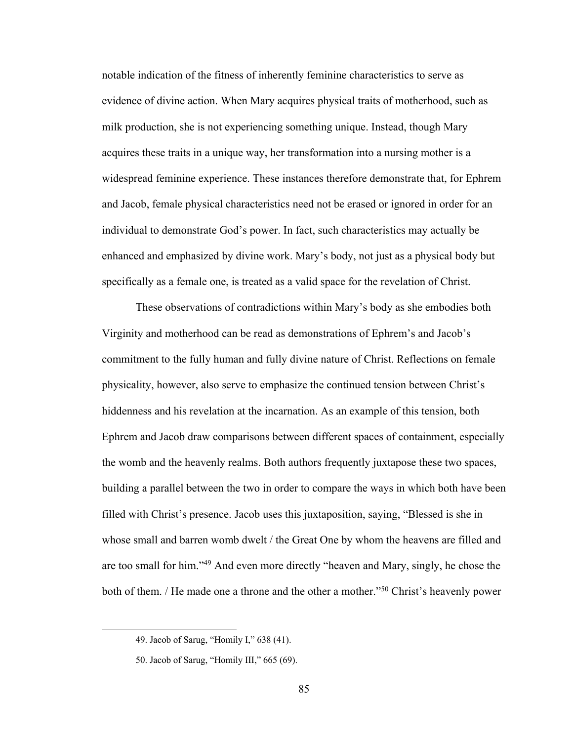notable indication of the fitness of inherently feminine characteristics to serve as evidence of divine action. When Mary acquires physical traits of motherhood, such as milk production, she is not experiencing something unique. Instead, though Mary acquires these traits in a unique way, her transformation into a nursing mother is a widespread feminine experience. These instances therefore demonstrate that, for Ephrem and Jacob, female physical characteristics need not be erased or ignored in order for an individual to demonstrate God's power. In fact, such characteristics may actually be enhanced and emphasized by divine work. Mary's body, not just as a physical body but specifically as a female one, is treated as a valid space for the revelation of Christ.

These observations of contradictions within Mary's body as she embodies both Virginity and motherhood can be read as demonstrations of Ephrem's and Jacob's commitment to the fully human and fully divine nature of Christ. Reflections on female physicality, however, also serve to emphasize the continued tension between Christ's hiddenness and his revelation at the incarnation. As an example of this tension, both Ephrem and Jacob draw comparisons between different spaces of containment, especially the womb and the heavenly realms. Both authors frequently juxtapose these two spaces, building a parallel between the two in order to compare the ways in which both have been filled with Christ's presence. Jacob uses this juxtaposition, saying, "Blessed is she in whose small and barren womb dwelt / the Great One by whom the heavens are filled and are too small for him."49 And even more directly "heaven and Mary, singly, he chose the both of them. / He made one a throne and the other a mother."50 Christ's heavenly power

<sup>49.</sup> Jacob of Sarug, "Homily I," 638 (41).

<sup>50.</sup> Jacob of Sarug, "Homily III," 665 (69).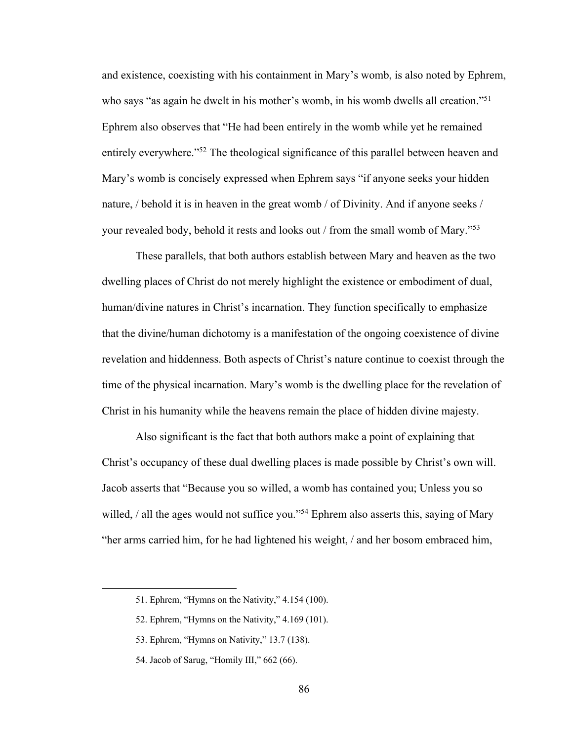and existence, coexisting with his containment in Mary's womb, is also noted by Ephrem, who says "as again he dwelt in his mother's womb, in his womb dwells all creation."<sup>51</sup> Ephrem also observes that "He had been entirely in the womb while yet he remained entirely everywhere."52 The theological significance of this parallel between heaven and Mary's womb is concisely expressed when Ephrem says "if anyone seeks your hidden nature, / behold it is in heaven in the great womb / of Divinity. And if anyone seeks / your revealed body, behold it rests and looks out / from the small womb of Mary."53

These parallels, that both authors establish between Mary and heaven as the two dwelling places of Christ do not merely highlight the existence or embodiment of dual, human/divine natures in Christ's incarnation. They function specifically to emphasize that the divine/human dichotomy is a manifestation of the ongoing coexistence of divine revelation and hiddenness. Both aspects of Christ's nature continue to coexist through the time of the physical incarnation. Mary's womb is the dwelling place for the revelation of Christ in his humanity while the heavens remain the place of hidden divine majesty.

Also significant is the fact that both authors make a point of explaining that Christ's occupancy of these dual dwelling places is made possible by Christ's own will. Jacob asserts that "Because you so willed, a womb has contained you; Unless you so willed, / all the ages would not suffice you."<sup>54</sup> Ephrem also asserts this, saying of Mary "her arms carried him, for he had lightened his weight, / and her bosom embraced him,

- 53. Ephrem, "Hymns on Nativity," 13.7 (138).
- 54. Jacob of Sarug, "Homily III," 662 (66).

<sup>51.</sup> Ephrem, "Hymns on the Nativity," 4.154 (100).

<sup>52.</sup> Ephrem, "Hymns on the Nativity," 4.169 (101).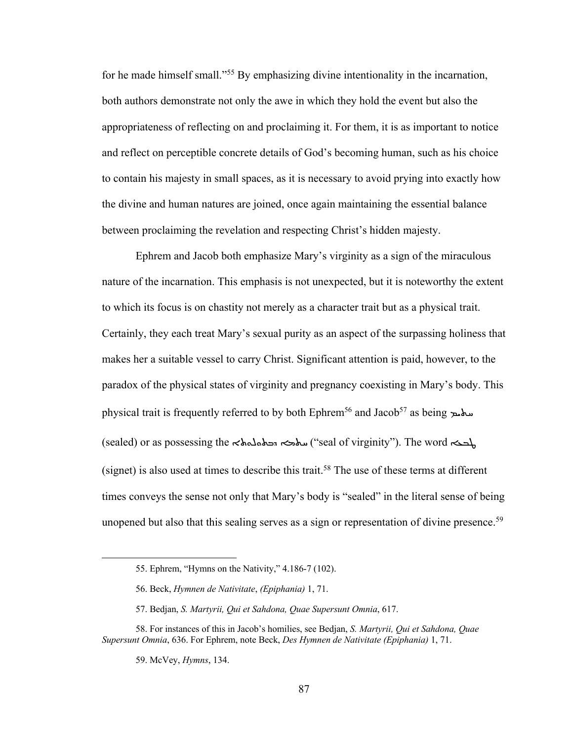for he made himself small."55 By emphasizing divine intentionality in the incarnation, both authors demonstrate not only the awe in which they hold the event but also the appropriateness of reflecting on and proclaiming it. For them, it is as important to notice and reflect on perceptible concrete details of God's becoming human, such as his choice to contain his majesty in small spaces, as it is necessary to avoid prying into exactly how the divine and human natures are joined, once again maintaining the essential balance between proclaiming the revelation and respecting Christ's hidden majesty.

Ephrem and Jacob both emphasize Mary's virginity as a sign of the miraculous nature of the incarnation. This emphasis is not unexpected, but it is noteworthy the extent to which its focus is on chastity not merely as a character trait but as a physical trait. Certainly, they each treat Mary's sexual purity as an aspect of the surpassing holiness that makes her a suitable vessel to carry Christ. Significant attention is paid, however, to the paradox of the physical states of virginity and pregnancy coexisting in Mary's body. This physical trait is frequently referred to by both Ephrem<sup>56</sup> and Jacob<sup>57</sup> as being  $\mu$ (sealed) or as possessing the <br/>ملمهم الله (seal of virginity"). The word  $\leftarrow$ (signet) is also used at times to describe this trait.<sup>58</sup> The use of these terms at different times conveys the sense not only that Mary's body is "sealed" in the literal sense of being unopened but also that this sealing serves as a sign or representation of divine presence.<sup>59</sup>

<sup>55.</sup> Ephrem, "Hymns on the Nativity," 4.186-7 (102).

<sup>56.</sup> Beck, *Hymnen de Nativitate*, *(Epiphania)* 1, 71.

<sup>57.</sup> Bedjan, *S. Martyrii, Qui et Sahdona, Quae Supersunt Omnia*, 617.

<sup>58.</sup> For instances of this in Jacob's homilies, see Bedjan, *S. Martyrii, Qui et Sahdona, Quae Supersunt Omnia*, 636. For Ephrem, note Beck, *Des Hymnen de Nativitate (Epiphania)* 1, 71.

<sup>59.</sup> McVey, *Hymns*, 134.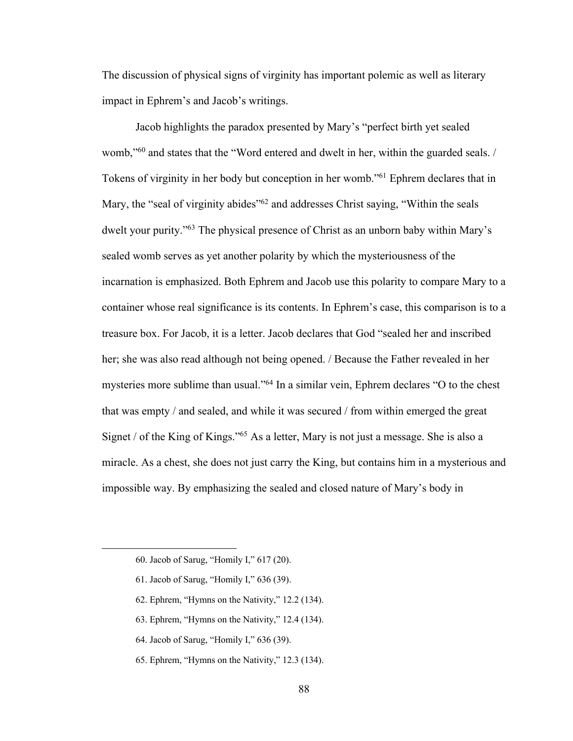The discussion of physical signs of virginity has important polemic as well as literary impact in Ephrem's and Jacob's writings.

Jacob highlights the paradox presented by Mary's "perfect birth yet sealed womb,"60 and states that the "Word entered and dwelt in her, within the guarded seals. / Tokens of virginity in her body but conception in her womb."61 Ephrem declares that in Mary, the "seal of virginity abides"<sup>62</sup> and addresses Christ saying, "Within the seals" dwelt your purity."63 The physical presence of Christ as an unborn baby within Mary's sealed womb serves as yet another polarity by which the mysteriousness of the incarnation is emphasized. Both Ephrem and Jacob use this polarity to compare Mary to a container whose real significance is its contents. In Ephrem's case, this comparison is to a treasure box. For Jacob, it is a letter. Jacob declares that God "sealed her and inscribed her; she was also read although not being opened. / Because the Father revealed in her mysteries more sublime than usual."64 In a similar vein, Ephrem declares "O to the chest that was empty / and sealed, and while it was secured / from within emerged the great Signet / of the King of Kings."65 As a letter, Mary is not just a message. She is also a miracle. As a chest, she does not just carry the King, but contains him in a mysterious and impossible way. By emphasizing the sealed and closed nature of Mary's body in

- 61. Jacob of Sarug, "Homily I," 636 (39).
- 62. Ephrem, "Hymns on the Nativity," 12.2 (134).
- 63. Ephrem, "Hymns on the Nativity," 12.4 (134).
- 64. Jacob of Sarug, "Homily I," 636 (39).
- 65. Ephrem, "Hymns on the Nativity," 12.3 (134).

<sup>60.</sup> Jacob of Sarug, "Homily I," 617 (20).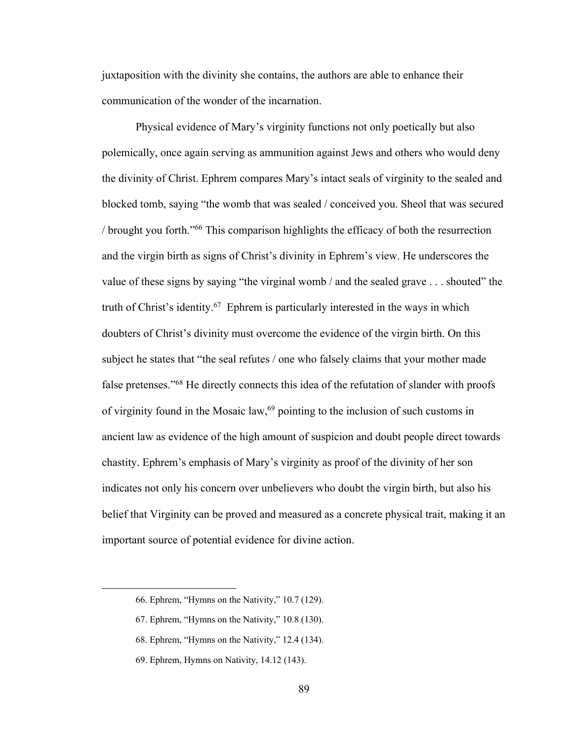juxtaposition with the divinity she contains, the authors are able to enhance their communication of the wonder of the incarnation.

Physical evidence of Mary's virginity functions not only poetically but also polemically, once again serving as ammunition against Jews and others who would deny the divinity of Christ. Ephrem compares Mary's intact seals of virginity to the sealed and blocked tomb, saying "the womb that was sealed / conceived you. Sheol that was secured / brought you forth."66 This comparison highlights the efficacy of both the resurrection and the virgin birth as signs of Christ's divinity in Ephrem's view. He underscores the value of these signs by saying "the virginal womb / and the sealed grave . . . shouted" the truth of Christ's identity.67 Ephrem is particularly interested in the ways in which doubters of Christ's divinity must overcome the evidence of the virgin birth. On this subject he states that "the seal refutes / one who falsely claims that your mother made false pretenses."68 He directly connects this idea of the refutation of slander with proofs of virginity found in the Mosaic law,<sup>69</sup> pointing to the inclusion of such customs in ancient law as evidence of the high amount of suspicion and doubt people direct towards chastity. Ephrem's emphasis of Mary's virginity as proof of the divinity of her son indicates not only his concern over unbelievers who doubt the virgin birth, but also his belief that Virginity can be proved and measured as a concrete physical trait, making it an important source of potential evidence for divine action.

<sup>66.</sup> Ephrem, "Hymns on the Nativity," 10.7 (129).

<sup>67.</sup> Ephrem, "Hymns on the Nativity," 10.8 (130).

<sup>68.</sup> Ephrem, "Hymns on the Nativity," 12.4 (134).

<sup>69.</sup> Ephrem, Hymns on Nativity, 14.12 (143).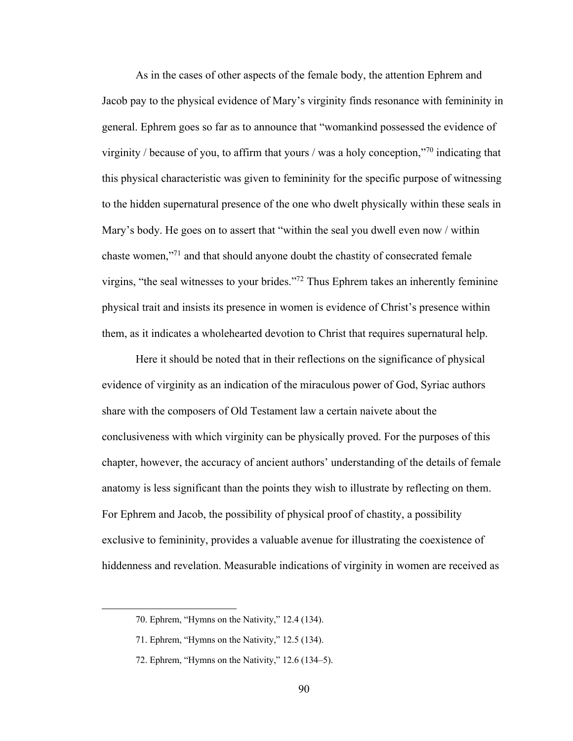As in the cases of other aspects of the female body, the attention Ephrem and Jacob pay to the physical evidence of Mary's virginity finds resonance with femininity in general. Ephrem goes so far as to announce that "womankind possessed the evidence of virginity / because of you, to affirm that yours / was a holy conception,"70 indicating that this physical characteristic was given to femininity for the specific purpose of witnessing to the hidden supernatural presence of the one who dwelt physically within these seals in Mary's body. He goes on to assert that "within the seal you dwell even now / within chaste women,"71 and that should anyone doubt the chastity of consecrated female virgins, "the seal witnesses to your brides."72 Thus Ephrem takes an inherently feminine physical trait and insists its presence in women is evidence of Christ's presence within them, as it indicates a wholehearted devotion to Christ that requires supernatural help.

Here it should be noted that in their reflections on the significance of physical evidence of virginity as an indication of the miraculous power of God, Syriac authors share with the composers of Old Testament law a certain naivete about the conclusiveness with which virginity can be physically proved. For the purposes of this chapter, however, the accuracy of ancient authors' understanding of the details of female anatomy is less significant than the points they wish to illustrate by reflecting on them. For Ephrem and Jacob, the possibility of physical proof of chastity, a possibility exclusive to femininity, provides a valuable avenue for illustrating the coexistence of hiddenness and revelation. Measurable indications of virginity in women are received as

<sup>70.</sup> Ephrem, "Hymns on the Nativity," 12.4 (134).

<sup>71.</sup> Ephrem, "Hymns on the Nativity," 12.5 (134).

<sup>72.</sup> Ephrem, "Hymns on the Nativity," 12.6 (134–5).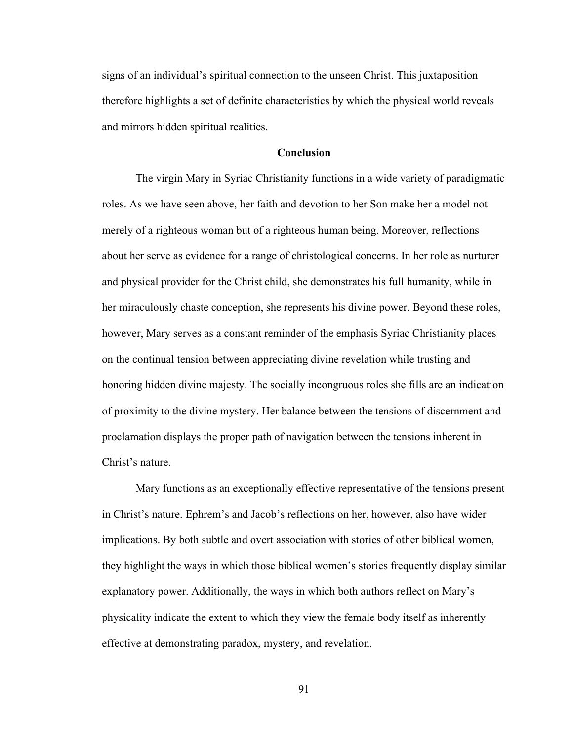signs of an individual's spiritual connection to the unseen Christ. This juxtaposition therefore highlights a set of definite characteristics by which the physical world reveals and mirrors hidden spiritual realities.

## **Conclusion**

The virgin Mary in Syriac Christianity functions in a wide variety of paradigmatic roles. As we have seen above, her faith and devotion to her Son make her a model not merely of a righteous woman but of a righteous human being. Moreover, reflections about her serve as evidence for a range of christological concerns. In her role as nurturer and physical provider for the Christ child, she demonstrates his full humanity, while in her miraculously chaste conception, she represents his divine power. Beyond these roles, however, Mary serves as a constant reminder of the emphasis Syriac Christianity places on the continual tension between appreciating divine revelation while trusting and honoring hidden divine majesty. The socially incongruous roles she fills are an indication of proximity to the divine mystery. Her balance between the tensions of discernment and proclamation displays the proper path of navigation between the tensions inherent in Christ's nature.

Mary functions as an exceptionally effective representative of the tensions present in Christ's nature. Ephrem's and Jacob's reflections on her, however, also have wider implications. By both subtle and overt association with stories of other biblical women, they highlight the ways in which those biblical women's stories frequently display similar explanatory power. Additionally, the ways in which both authors reflect on Mary's physicality indicate the extent to which they view the female body itself as inherently effective at demonstrating paradox, mystery, and revelation.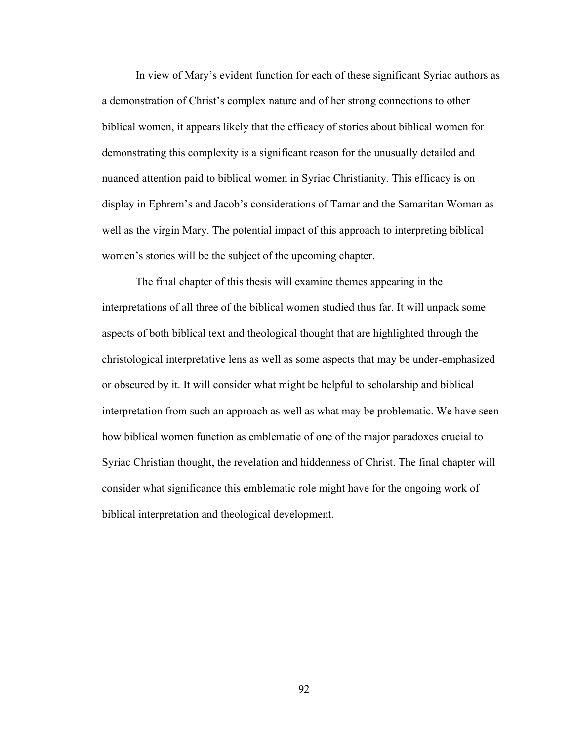In view of Mary's evident function for each of these significant Syriac authors as a demonstration of Christ's complex nature and of her strong connections to other biblical women, it appears likely that the efficacy of stories about biblical women for demonstrating this complexity is a significant reason for the unusually detailed and nuanced attention paid to biblical women in Syriac Christianity. This efficacy is on display in Ephrem's and Jacob's considerations of Tamar and the Samaritan Woman as well as the virgin Mary. The potential impact of this approach to interpreting biblical women's stories will be the subject of the upcoming chapter.

The final chapter of this thesis will examine themes appearing in the interpretations of all three of the biblical women studied thus far. It will unpack some aspects of both biblical text and theological thought that are highlighted through the christological interpretative lens as well as some aspects that may be under-emphasized or obscured by it. It will consider what might be helpful to scholarship and biblical interpretation from such an approach as well as what may be problematic. We have seen how biblical women function as emblematic of one of the major paradoxes crucial to Syriac Christian thought, the revelation and hiddenness of Christ. The final chapter will consider what significance this emblematic role might have for the ongoing work of biblical interpretation and theological development.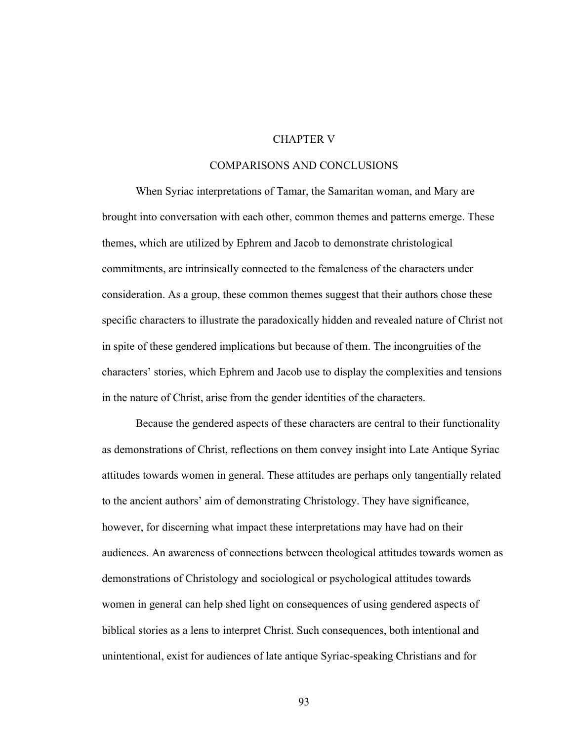# CHAPTER V

## COMPARISONS AND CONCLUSIONS

When Syriac interpretations of Tamar, the Samaritan woman, and Mary are brought into conversation with each other, common themes and patterns emerge. These themes, which are utilized by Ephrem and Jacob to demonstrate christological commitments, are intrinsically connected to the femaleness of the characters under consideration. As a group, these common themes suggest that their authors chose these specific characters to illustrate the paradoxically hidden and revealed nature of Christ not in spite of these gendered implications but because of them. The incongruities of the characters' stories, which Ephrem and Jacob use to display the complexities and tensions in the nature of Christ, arise from the gender identities of the characters.

Because the gendered aspects of these characters are central to their functionality as demonstrations of Christ, reflections on them convey insight into Late Antique Syriac attitudes towards women in general. These attitudes are perhaps only tangentially related to the ancient authors' aim of demonstrating Christology. They have significance, however, for discerning what impact these interpretations may have had on their audiences. An awareness of connections between theological attitudes towards women as demonstrations of Christology and sociological or psychological attitudes towards women in general can help shed light on consequences of using gendered aspects of biblical stories as a lens to interpret Christ. Such consequences, both intentional and unintentional, exist for audiences of late antique Syriac-speaking Christians and for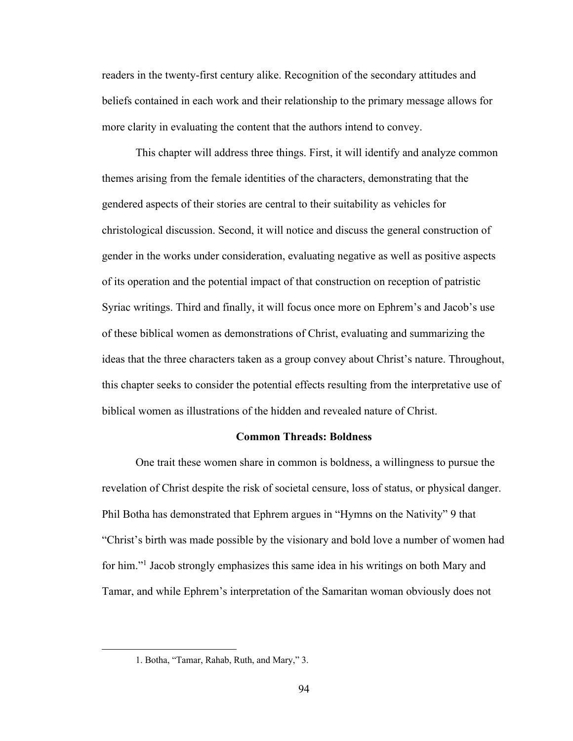readers in the twenty-first century alike. Recognition of the secondary attitudes and beliefs contained in each work and their relationship to the primary message allows for more clarity in evaluating the content that the authors intend to convey.

This chapter will address three things. First, it will identify and analyze common themes arising from the female identities of the characters, demonstrating that the gendered aspects of their stories are central to their suitability as vehicles for christological discussion. Second, it will notice and discuss the general construction of gender in the works under consideration, evaluating negative as well as positive aspects of its operation and the potential impact of that construction on reception of patristic Syriac writings. Third and finally, it will focus once more on Ephrem's and Jacob's use of these biblical women as demonstrations of Christ, evaluating and summarizing the ideas that the three characters taken as a group convey about Christ's nature. Throughout, this chapter seeks to consider the potential effects resulting from the interpretative use of biblical women as illustrations of the hidden and revealed nature of Christ.

## **Common Threads: Boldness**

One trait these women share in common is boldness, a willingness to pursue the revelation of Christ despite the risk of societal censure, loss of status, or physical danger. Phil Botha has demonstrated that Ephrem argues in "Hymns on the Nativity" 9 that "Christ's birth was made possible by the visionary and bold love a number of women had for him."1 Jacob strongly emphasizes this same idea in his writings on both Mary and Tamar, and while Ephrem's interpretation of the Samaritan woman obviously does not

<sup>1.</sup> Botha, "Tamar, Rahab, Ruth, and Mary," 3.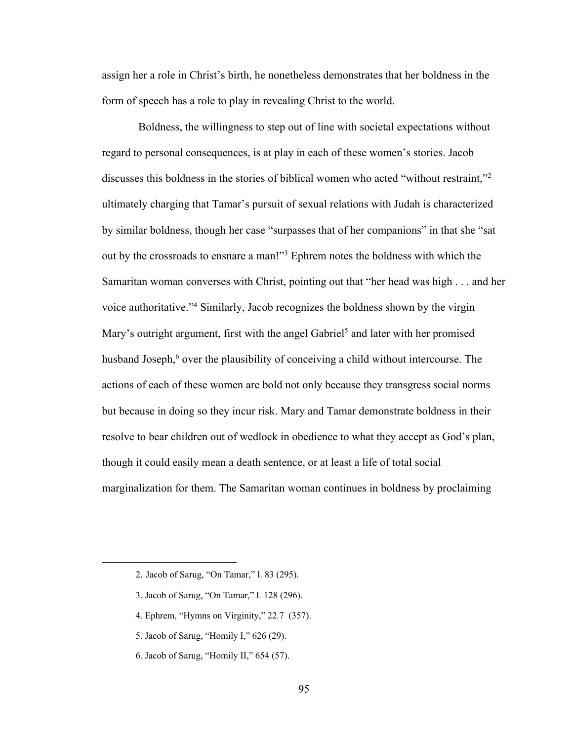assign her a role in Christ's birth, he nonetheless demonstrates that her boldness in the form of speech has a role to play in revealing Christ to the world.

Boldness, the willingness to step out of line with societal expectations without regard to personal consequences, is at play in each of these women's stories. Jacob discusses this boldness in the stories of biblical women who acted "without restraint,"2 ultimately charging that Tamar's pursuit of sexual relations with Judah is characterized by similar boldness, though her case "surpasses that of her companions" in that she "sat out by the crossroads to ensnare a man!"3 Ephrem notes the boldness with which the Samaritan woman converses with Christ, pointing out that "her head was high . . . and her voice authoritative."4 Similarly, Jacob recognizes the boldness shown by the virgin Mary's outright argument, first with the angel Gabriel<sup>5</sup> and later with her promised husband Joseph,<sup>6</sup> over the plausibility of conceiving a child without intercourse. The actions of each of these women are bold not only because they transgress social norms but because in doing so they incur risk. Mary and Tamar demonstrate boldness in their resolve to bear children out of wedlock in obedience to what they accept as God's plan, though it could easily mean a death sentence, or at least a life of total social marginalization for them. The Samaritan woman continues in boldness by proclaiming

- 3. Jacob of Sarug, "On Tamar," l. 128 (296).
- 4. Ephrem, "Hymns on Virginity," 22*.*7 (357).
- 5. Jacob of Sarug, "Homily I," 626 (29).
- 6. Jacob of Sarug, "Homily II," 654 (57).

<sup>2.</sup> Jacob of Sarug, "On Tamar," l. 83 (295).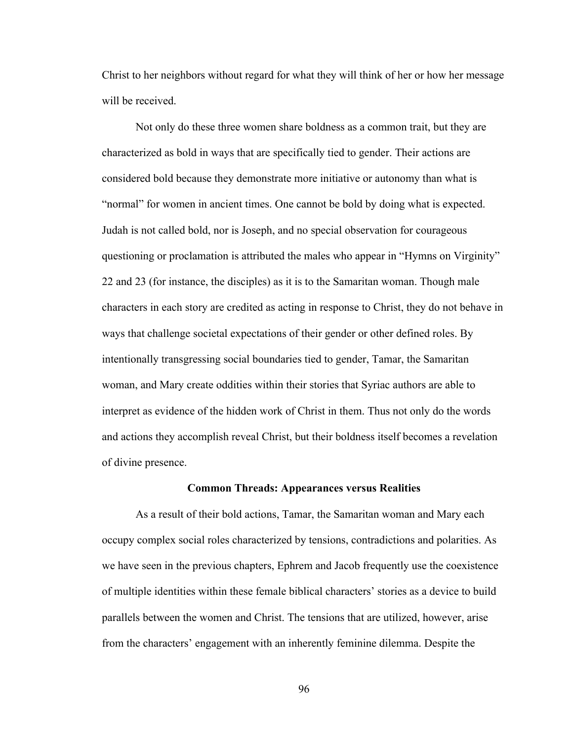Christ to her neighbors without regard for what they will think of her or how her message will be received.

Not only do these three women share boldness as a common trait, but they are characterized as bold in ways that are specifically tied to gender. Their actions are considered bold because they demonstrate more initiative or autonomy than what is "normal" for women in ancient times. One cannot be bold by doing what is expected. Judah is not called bold, nor is Joseph, and no special observation for courageous questioning or proclamation is attributed the males who appear in "Hymns on Virginity" 22 and 23 (for instance, the disciples) as it is to the Samaritan woman. Though male characters in each story are credited as acting in response to Christ, they do not behave in ways that challenge societal expectations of their gender or other defined roles. By intentionally transgressing social boundaries tied to gender, Tamar, the Samaritan woman, and Mary create oddities within their stories that Syriac authors are able to interpret as evidence of the hidden work of Christ in them. Thus not only do the words and actions they accomplish reveal Christ, but their boldness itself becomes a revelation of divine presence.

#### **Common Threads: Appearances versus Realities**

As a result of their bold actions, Tamar, the Samaritan woman and Mary each occupy complex social roles characterized by tensions, contradictions and polarities. As we have seen in the previous chapters, Ephrem and Jacob frequently use the coexistence of multiple identities within these female biblical characters' stories as a device to build parallels between the women and Christ. The tensions that are utilized, however, arise from the characters' engagement with an inherently feminine dilemma. Despite the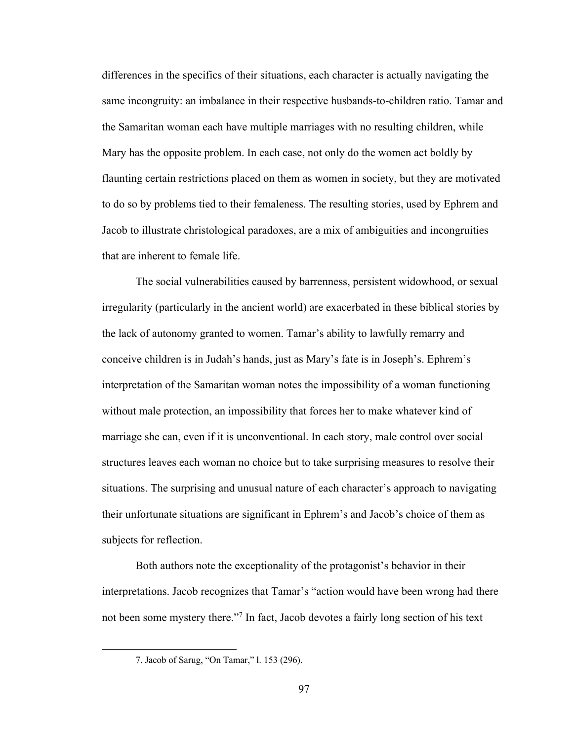differences in the specifics of their situations, each character is actually navigating the same incongruity: an imbalance in their respective husbands-to-children ratio. Tamar and the Samaritan woman each have multiple marriages with no resulting children, while Mary has the opposite problem. In each case, not only do the women act boldly by flaunting certain restrictions placed on them as women in society, but they are motivated to do so by problems tied to their femaleness. The resulting stories, used by Ephrem and Jacob to illustrate christological paradoxes, are a mix of ambiguities and incongruities that are inherent to female life.

The social vulnerabilities caused by barrenness, persistent widowhood, or sexual irregularity (particularly in the ancient world) are exacerbated in these biblical stories by the lack of autonomy granted to women. Tamar's ability to lawfully remarry and conceive children is in Judah's hands, just as Mary's fate is in Joseph's. Ephrem's interpretation of the Samaritan woman notes the impossibility of a woman functioning without male protection, an impossibility that forces her to make whatever kind of marriage she can, even if it is unconventional. In each story, male control over social structures leaves each woman no choice but to take surprising measures to resolve their situations. The surprising and unusual nature of each character's approach to navigating their unfortunate situations are significant in Ephrem's and Jacob's choice of them as subjects for reflection.

Both authors note the exceptionality of the protagonist's behavior in their interpretations. Jacob recognizes that Tamar's "action would have been wrong had there not been some mystery there."7 In fact, Jacob devotes a fairly long section of his text

<sup>7.</sup> Jacob of Sarug, "On Tamar," l. 153 (296).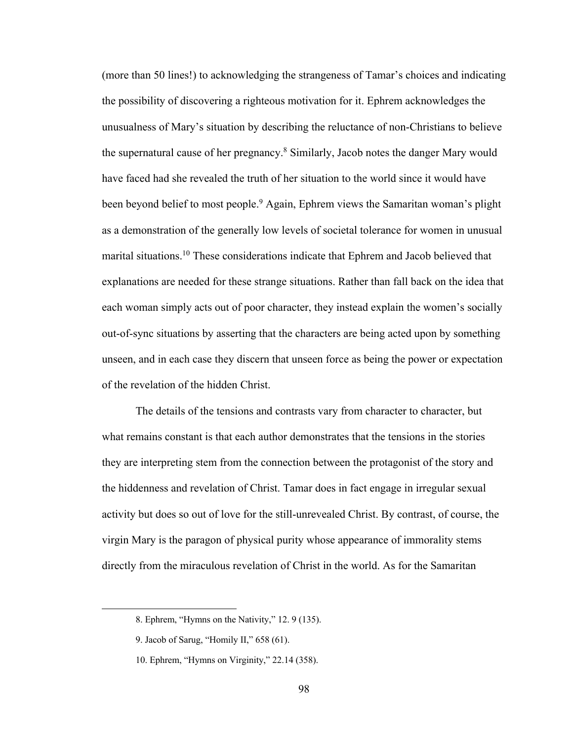(more than 50 lines!) to acknowledging the strangeness of Tamar's choices and indicating the possibility of discovering a righteous motivation for it. Ephrem acknowledges the unusualness of Mary's situation by describing the reluctance of non-Christians to believe the supernatural cause of her pregnancy.8 Similarly, Jacob notes the danger Mary would have faced had she revealed the truth of her situation to the world since it would have been beyond belief to most people.<sup>9</sup> Again, Ephrem views the Samaritan woman's plight as a demonstration of the generally low levels of societal tolerance for women in unusual marital situations.10 These considerations indicate that Ephrem and Jacob believed that explanations are needed for these strange situations. Rather than fall back on the idea that each woman simply acts out of poor character, they instead explain the women's socially out-of-sync situations by asserting that the characters are being acted upon by something unseen, and in each case they discern that unseen force as being the power or expectation of the revelation of the hidden Christ.

The details of the tensions and contrasts vary from character to character, but what remains constant is that each author demonstrates that the tensions in the stories they are interpreting stem from the connection between the protagonist of the story and the hiddenness and revelation of Christ. Tamar does in fact engage in irregular sexual activity but does so out of love for the still-unrevealed Christ. By contrast, of course, the virgin Mary is the paragon of physical purity whose appearance of immorality stems directly from the miraculous revelation of Christ in the world. As for the Samaritan

<sup>8.</sup> Ephrem, "Hymns on the Nativity," 12. 9 (135).

<sup>9.</sup> Jacob of Sarug, "Homily II," 658 (61).

<sup>10.</sup> Ephrem, "Hymns on Virginity," 22.14 (358).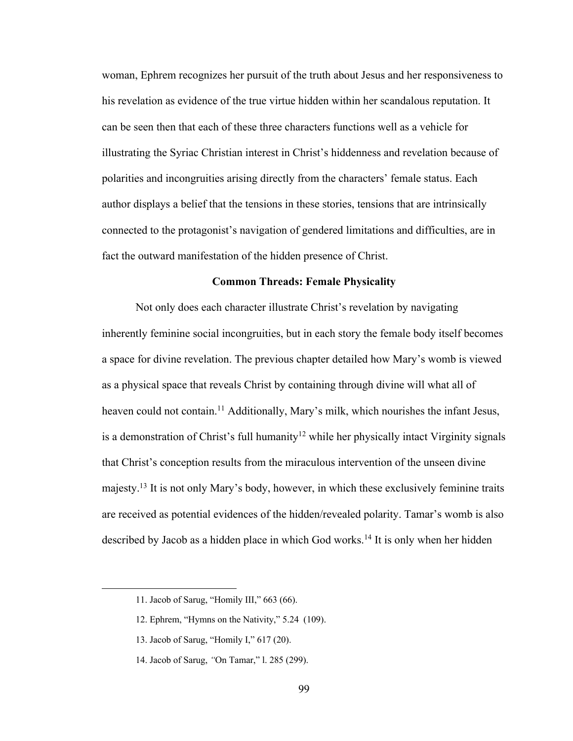woman, Ephrem recognizes her pursuit of the truth about Jesus and her responsiveness to his revelation as evidence of the true virtue hidden within her scandalous reputation. It can be seen then that each of these three characters functions well as a vehicle for illustrating the Syriac Christian interest in Christ's hiddenness and revelation because of polarities and incongruities arising directly from the characters' female status. Each author displays a belief that the tensions in these stories, tensions that are intrinsically connected to the protagonist's navigation of gendered limitations and difficulties, are in fact the outward manifestation of the hidden presence of Christ.

#### **Common Threads: Female Physicality**

Not only does each character illustrate Christ's revelation by navigating inherently feminine social incongruities, but in each story the female body itself becomes a space for divine revelation. The previous chapter detailed how Mary's womb is viewed as a physical space that reveals Christ by containing through divine will what all of heaven could not contain.<sup>11</sup> Additionally, Mary's milk, which nourishes the infant Jesus, is a demonstration of Christ's full humanity<sup>12</sup> while her physically intact Virginity signals that Christ's conception results from the miraculous intervention of the unseen divine majesty.<sup>13</sup> It is not only Mary's body, however, in which these exclusively feminine traits are received as potential evidences of the hidden/revealed polarity. Tamar's womb is also described by Jacob as a hidden place in which God works.14 It is only when her hidden

<sup>11.</sup> Jacob of Sarug, "Homily III," 663 (66).

<sup>12.</sup> Ephrem, "Hymns on the Nativity," 5.24 (109).

<sup>13.</sup> Jacob of Sarug, "Homily I," 617 (20).

<sup>14.</sup> Jacob of Sarug, *"*On Tamar," l. 285 (299).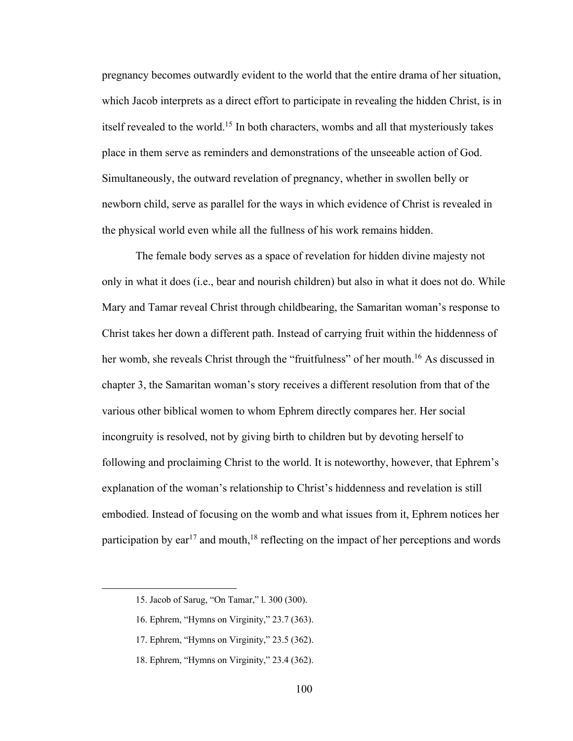pregnancy becomes outwardly evident to the world that the entire drama of her situation, which Jacob interprets as a direct effort to participate in revealing the hidden Christ, is in itself revealed to the world.15 In both characters, wombs and all that mysteriously takes place in them serve as reminders and demonstrations of the unseeable action of God. Simultaneously, the outward revelation of pregnancy, whether in swollen belly or newborn child, serve as parallel for the ways in which evidence of Christ is revealed in the physical world even while all the fullness of his work remains hidden.

The female body serves as a space of revelation for hidden divine majesty not only in what it does (i.e., bear and nourish children) but also in what it does not do. While Mary and Tamar reveal Christ through childbearing, the Samaritan woman's response to Christ takes her down a different path. Instead of carrying fruit within the hiddenness of her womb, she reveals Christ through the "fruitfulness" of her mouth.<sup>16</sup> As discussed in chapter 3, the Samaritan woman's story receives a different resolution from that of the various other biblical women to whom Ephrem directly compares her. Her social incongruity is resolved, not by giving birth to children but by devoting herself to following and proclaiming Christ to the world. It is noteworthy, however, that Ephrem's explanation of the woman's relationship to Christ's hiddenness and revelation is still embodied. Instead of focusing on the womb and what issues from it, Ephrem notices her participation by  $ear^{17}$  and mouth,<sup>18</sup> reflecting on the impact of her perceptions and words

<sup>15.</sup> Jacob of Sarug, "On Tamar," l. 300 (300).

<sup>16.</sup> Ephrem, "Hymns on Virginity," 23.7 (363).

<sup>17.</sup> Ephrem, "Hymns on Virginity," 23.5 (362).

<sup>18.</sup> Ephrem, "Hymns on Virginity," 23.4 (362).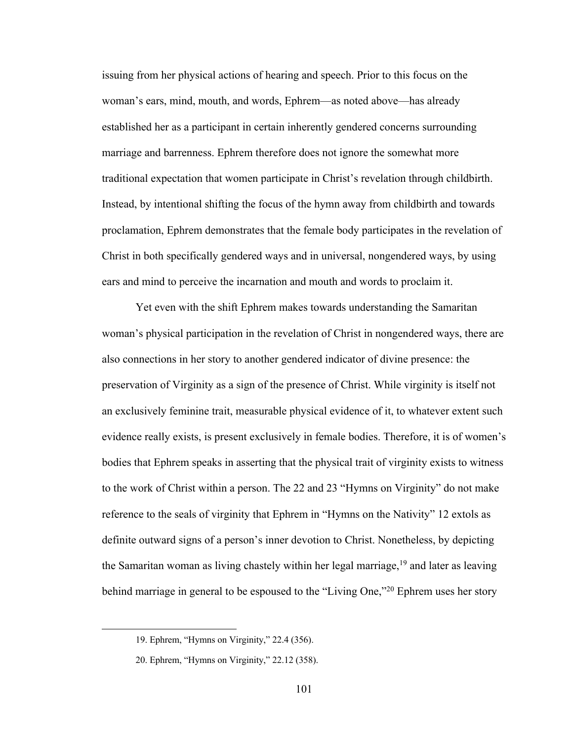issuing from her physical actions of hearing and speech. Prior to this focus on the woman's ears, mind, mouth, and words, Ephrem—as noted above—has already established her as a participant in certain inherently gendered concerns surrounding marriage and barrenness. Ephrem therefore does not ignore the somewhat more traditional expectation that women participate in Christ's revelation through childbirth. Instead, by intentional shifting the focus of the hymn away from childbirth and towards proclamation, Ephrem demonstrates that the female body participates in the revelation of Christ in both specifically gendered ways and in universal, nongendered ways, by using ears and mind to perceive the incarnation and mouth and words to proclaim it.

Yet even with the shift Ephrem makes towards understanding the Samaritan woman's physical participation in the revelation of Christ in nongendered ways, there are also connections in her story to another gendered indicator of divine presence: the preservation of Virginity as a sign of the presence of Christ. While virginity is itself not an exclusively feminine trait, measurable physical evidence of it, to whatever extent such evidence really exists, is present exclusively in female bodies. Therefore, it is of women's bodies that Ephrem speaks in asserting that the physical trait of virginity exists to witness to the work of Christ within a person. The 22 and 23 "Hymns on Virginity" do not make reference to the seals of virginity that Ephrem in "Hymns on the Nativity" 12 extols as definite outward signs of a person's inner devotion to Christ. Nonetheless, by depicting the Samaritan woman as living chastely within her legal marriage,  $19$  and later as leaving behind marriage in general to be espoused to the "Living One,"<sup>20</sup> Ephrem uses her story

<sup>19.</sup> Ephrem, "Hymns on Virginity," 22.4 (356).

<sup>20.</sup> Ephrem, "Hymns on Virginity," 22.12 (358).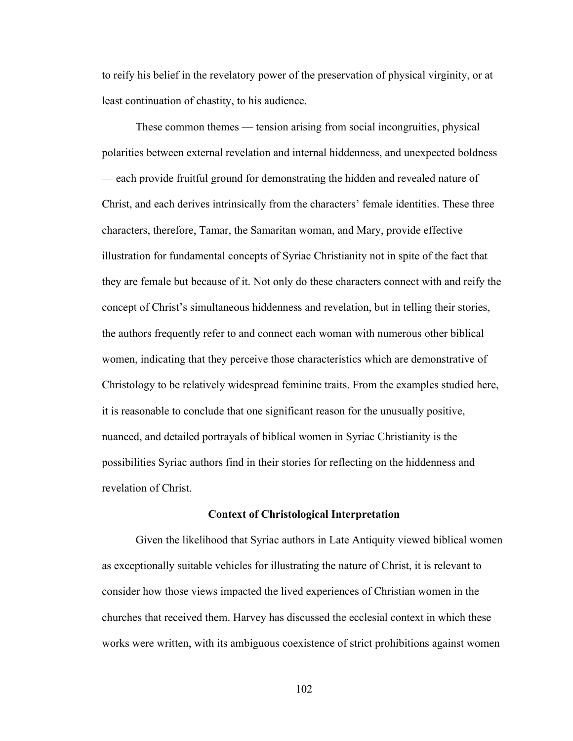to reify his belief in the revelatory power of the preservation of physical virginity, or at least continuation of chastity, to his audience.

These common themes — tension arising from social incongruities, physical polarities between external revelation and internal hiddenness, and unexpected boldness — each provide fruitful ground for demonstrating the hidden and revealed nature of Christ, and each derives intrinsically from the characters' female identities. These three characters, therefore, Tamar, the Samaritan woman, and Mary, provide effective illustration for fundamental concepts of Syriac Christianity not in spite of the fact that they are female but because of it. Not only do these characters connect with and reify the concept of Christ's simultaneous hiddenness and revelation, but in telling their stories, the authors frequently refer to and connect each woman with numerous other biblical women, indicating that they perceive those characteristics which are demonstrative of Christology to be relatively widespread feminine traits. From the examples studied here, it is reasonable to conclude that one significant reason for the unusually positive, nuanced, and detailed portrayals of biblical women in Syriac Christianity is the possibilities Syriac authors find in their stories for reflecting on the hiddenness and revelation of Christ.

# **Context of Christological Interpretation**

Given the likelihood that Syriac authors in Late Antiquity viewed biblical women as exceptionally suitable vehicles for illustrating the nature of Christ, it is relevant to consider how those views impacted the lived experiences of Christian women in the churches that received them. Harvey has discussed the ecclesial context in which these works were written, with its ambiguous coexistence of strict prohibitions against women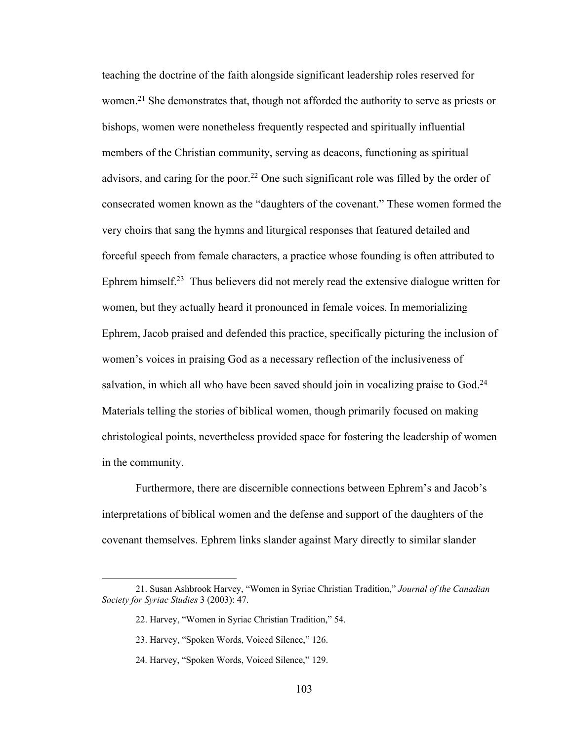teaching the doctrine of the faith alongside significant leadership roles reserved for women.<sup>21</sup> She demonstrates that, though not afforded the authority to serve as priests or bishops, women were nonetheless frequently respected and spiritually influential members of the Christian community, serving as deacons, functioning as spiritual advisors, and caring for the poor.<sup>22</sup> One such significant role was filled by the order of consecrated women known as the "daughters of the covenant." These women formed the very choirs that sang the hymns and liturgical responses that featured detailed and forceful speech from female characters, a practice whose founding is often attributed to Ephrem himself.23 Thus believers did not merely read the extensive dialogue written for women, but they actually heard it pronounced in female voices. In memorializing Ephrem, Jacob praised and defended this practice, specifically picturing the inclusion of women's voices in praising God as a necessary reflection of the inclusiveness of salvation, in which all who have been saved should join in vocalizing praise to God.<sup>24</sup> Materials telling the stories of biblical women, though primarily focused on making christological points, nevertheless provided space for fostering the leadership of women in the community.

Furthermore, there are discernible connections between Ephrem's and Jacob's interpretations of biblical women and the defense and support of the daughters of the covenant themselves. Ephrem links slander against Mary directly to similar slander

<sup>21.</sup> Susan Ashbrook Harvey, "Women in Syriac Christian Tradition," *Journal of the Canadian Society for Syriac Studies* 3 (2003): 47.

<sup>22.</sup> Harvey, "Women in Syriac Christian Tradition," 54.

<sup>23.</sup> Harvey, "Spoken Words, Voiced Silence," 126.

<sup>24.</sup> Harvey, "Spoken Words, Voiced Silence," 129.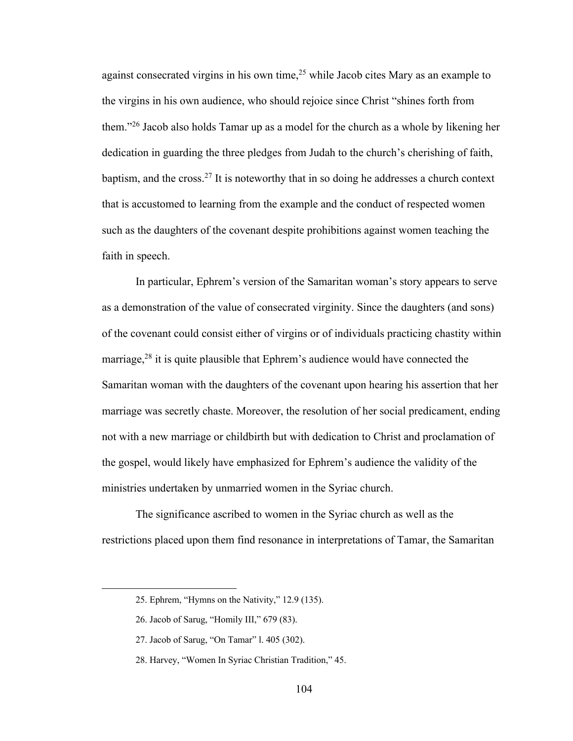against consecrated virgins in his own time, $2<sup>5</sup>$  while Jacob cites Mary as an example to the virgins in his own audience, who should rejoice since Christ "shines forth from them."26 Jacob also holds Tamar up as a model for the church as a whole by likening her dedication in guarding the three pledges from Judah to the church's cherishing of faith, baptism, and the cross.<sup>27</sup> It is noteworthy that in so doing he addresses a church context that is accustomed to learning from the example and the conduct of respected women such as the daughters of the covenant despite prohibitions against women teaching the faith in speech.

In particular, Ephrem's version of the Samaritan woman's story appears to serve as a demonstration of the value of consecrated virginity. Since the daughters (and sons) of the covenant could consist either of virgins or of individuals practicing chastity within marriage,<sup>28</sup> it is quite plausible that Ephrem's audience would have connected the Samaritan woman with the daughters of the covenant upon hearing his assertion that her marriage was secretly chaste. Moreover, the resolution of her social predicament, ending not with a new marriage or childbirth but with dedication to Christ and proclamation of the gospel, would likely have emphasized for Ephrem's audience the validity of the ministries undertaken by unmarried women in the Syriac church.

The significance ascribed to women in the Syriac church as well as the restrictions placed upon them find resonance in interpretations of Tamar, the Samaritan

<sup>25.</sup> Ephrem, "Hymns on the Nativity," 12.9 (135).

<sup>26.</sup> Jacob of Sarug, "Homily III," 679 (83).

<sup>27.</sup> Jacob of Sarug, "On Tamar" l. 405 (302).

<sup>28.</sup> Harvey, "Women In Syriac Christian Tradition," 45.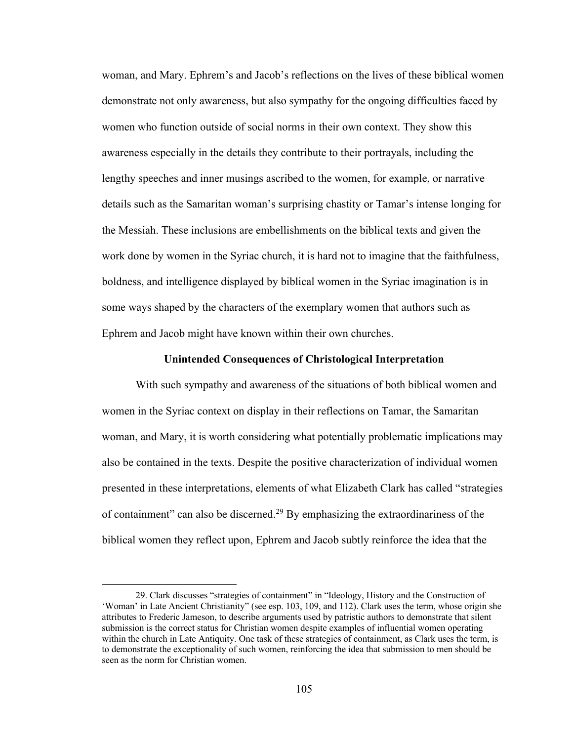woman, and Mary. Ephrem's and Jacob's reflections on the lives of these biblical women demonstrate not only awareness, but also sympathy for the ongoing difficulties faced by women who function outside of social norms in their own context. They show this awareness especially in the details they contribute to their portrayals, including the lengthy speeches and inner musings ascribed to the women, for example, or narrative details such as the Samaritan woman's surprising chastity or Tamar's intense longing for the Messiah. These inclusions are embellishments on the biblical texts and given the work done by women in the Syriac church, it is hard not to imagine that the faithfulness, boldness, and intelligence displayed by biblical women in the Syriac imagination is in some ways shaped by the characters of the exemplary women that authors such as Ephrem and Jacob might have known within their own churches.

## **Unintended Consequences of Christological Interpretation**

With such sympathy and awareness of the situations of both biblical women and women in the Syriac context on display in their reflections on Tamar, the Samaritan woman, and Mary, it is worth considering what potentially problematic implications may also be contained in the texts. Despite the positive characterization of individual women presented in these interpretations, elements of what Elizabeth Clark has called "strategies of containment" can also be discerned.29 By emphasizing the extraordinariness of the biblical women they reflect upon, Ephrem and Jacob subtly reinforce the idea that the

<sup>29.</sup> Clark discusses "strategies of containment" in "Ideology, History and the Construction of 'Woman' in Late Ancient Christianity" (see esp. 103, 109, and 112). Clark uses the term, whose origin she attributes to Frederic Jameson, to describe arguments used by patristic authors to demonstrate that silent submission is the correct status for Christian women despite examples of influential women operating within the church in Late Antiquity. One task of these strategies of containment, as Clark uses the term, is to demonstrate the exceptionality of such women, reinforcing the idea that submission to men should be seen as the norm for Christian women.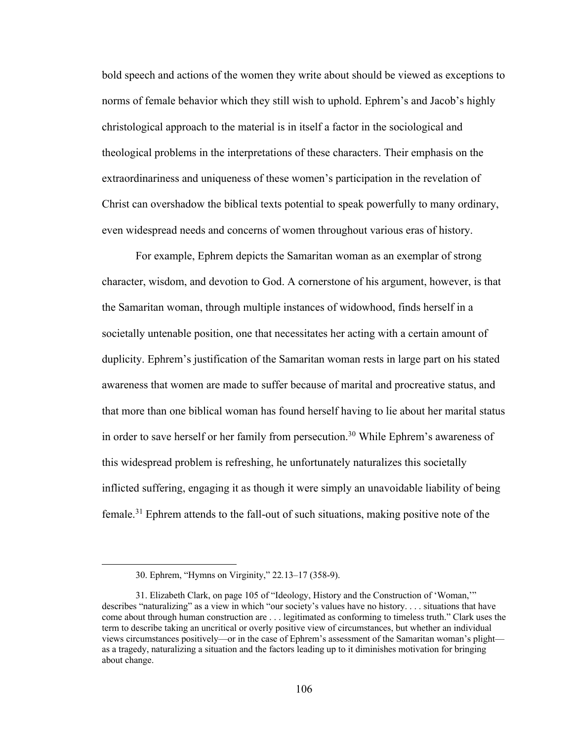bold speech and actions of the women they write about should be viewed as exceptions to norms of female behavior which they still wish to uphold. Ephrem's and Jacob's highly christological approach to the material is in itself a factor in the sociological and theological problems in the interpretations of these characters. Their emphasis on the extraordinariness and uniqueness of these women's participation in the revelation of Christ can overshadow the biblical texts potential to speak powerfully to many ordinary, even widespread needs and concerns of women throughout various eras of history.

For example, Ephrem depicts the Samaritan woman as an exemplar of strong character, wisdom, and devotion to God. A cornerstone of his argument, however, is that the Samaritan woman, through multiple instances of widowhood, finds herself in a societally untenable position, one that necessitates her acting with a certain amount of duplicity. Ephrem's justification of the Samaritan woman rests in large part on his stated awareness that women are made to suffer because of marital and procreative status, and that more than one biblical woman has found herself having to lie about her marital status in order to save herself or her family from persecution.<sup>30</sup> While Ephrem's awareness of this widespread problem is refreshing, he unfortunately naturalizes this societally inflicted suffering, engaging it as though it were simply an unavoidable liability of being female.<sup>31</sup> Ephrem attends to the fall-out of such situations, making positive note of the

<sup>30.</sup> Ephrem, "Hymns on Virginity," 22*.*13–17 (358-9).

<sup>31.</sup> Elizabeth Clark, on page 105 of "Ideology, History and the Construction of 'Woman,'" describes "naturalizing" as a view in which "our society's values have no history. . . . situations that have come about through human construction are . . . legitimated as conforming to timeless truth." Clark uses the term to describe taking an uncritical or overly positive view of circumstances, but whether an individual views circumstances positively—or in the case of Ephrem's assessment of the Samaritan woman's plight as a tragedy, naturalizing a situation and the factors leading up to it diminishes motivation for bringing about change.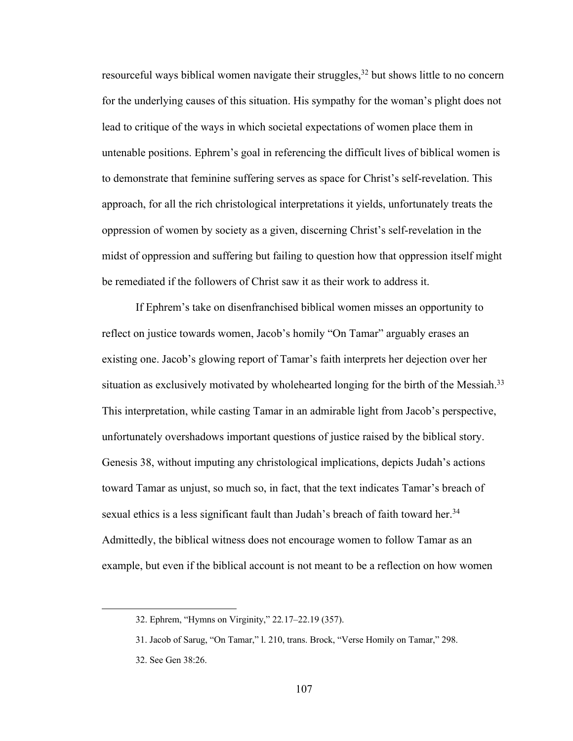resourceful ways biblical women navigate their struggles,  $32$  but shows little to no concern for the underlying causes of this situation. His sympathy for the woman's plight does not lead to critique of the ways in which societal expectations of women place them in untenable positions. Ephrem's goal in referencing the difficult lives of biblical women is to demonstrate that feminine suffering serves as space for Christ's self-revelation. This approach, for all the rich christological interpretations it yields, unfortunately treats the oppression of women by society as a given, discerning Christ's self-revelation in the midst of oppression and suffering but failing to question how that oppression itself might be remediated if the followers of Christ saw it as their work to address it.

If Ephrem's take on disenfranchised biblical women misses an opportunity to reflect on justice towards women, Jacob's homily "On Tamar" arguably erases an existing one. Jacob's glowing report of Tamar's faith interprets her dejection over her situation as exclusively motivated by wholehearted longing for the birth of the Messiah.<sup>33</sup> This interpretation, while casting Tamar in an admirable light from Jacob's perspective, unfortunately overshadows important questions of justice raised by the biblical story. Genesis 38, without imputing any christological implications, depicts Judah's actions toward Tamar as unjust, so much so, in fact, that the text indicates Tamar's breach of sexual ethics is a less significant fault than Judah's breach of faith toward her.<sup>34</sup> Admittedly, the biblical witness does not encourage women to follow Tamar as an example, but even if the biblical account is not meant to be a reflection on how women

<sup>32.</sup> Ephrem, "Hymns on Virginity," 22*.*17–22.19 (357).

<sup>31.</sup> Jacob of Sarug, "On Tamar," l. 210, trans. Brock, "Verse Homily on Tamar," 298.

<sup>32.</sup> See Gen 38:26.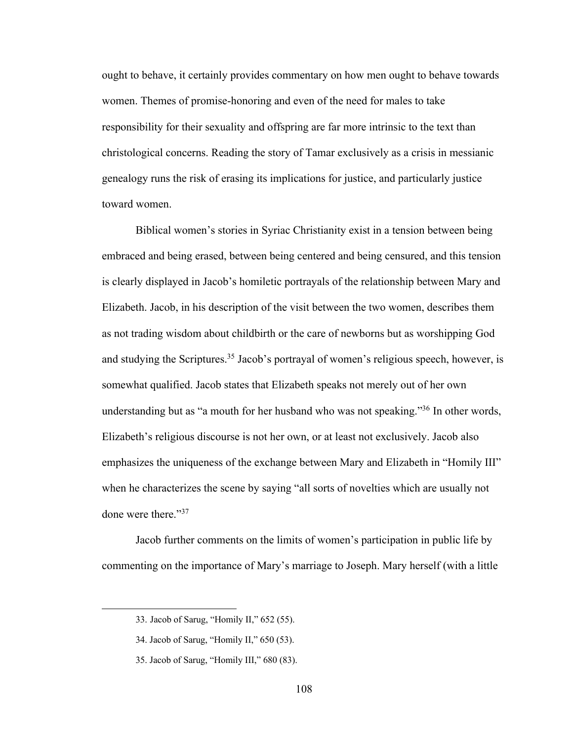ought to behave, it certainly provides commentary on how men ought to behave towards women. Themes of promise-honoring and even of the need for males to take responsibility for their sexuality and offspring are far more intrinsic to the text than christological concerns. Reading the story of Tamar exclusively as a crisis in messianic genealogy runs the risk of erasing its implications for justice, and particularly justice toward women.

Biblical women's stories in Syriac Christianity exist in a tension between being embraced and being erased, between being centered and being censured, and this tension is clearly displayed in Jacob's homiletic portrayals of the relationship between Mary and Elizabeth. Jacob, in his description of the visit between the two women, describes them as not trading wisdom about childbirth or the care of newborns but as worshipping God and studying the Scriptures.<sup>35</sup> Jacob's portrayal of women's religious speech, however, is somewhat qualified. Jacob states that Elizabeth speaks not merely out of her own understanding but as "a mouth for her husband who was not speaking."36 In other words, Elizabeth's religious discourse is not her own, or at least not exclusively. Jacob also emphasizes the uniqueness of the exchange between Mary and Elizabeth in "Homily III" when he characterizes the scene by saying "all sorts of novelties which are usually not done were there."37

Jacob further comments on the limits of women's participation in public life by commenting on the importance of Mary's marriage to Joseph. Mary herself (with a little

<sup>33.</sup> Jacob of Sarug, "Homily II," 652 (55).

<sup>34.</sup> Jacob of Sarug, "Homily II," 650 (53).

<sup>35.</sup> Jacob of Sarug, "Homily III," 680 (83).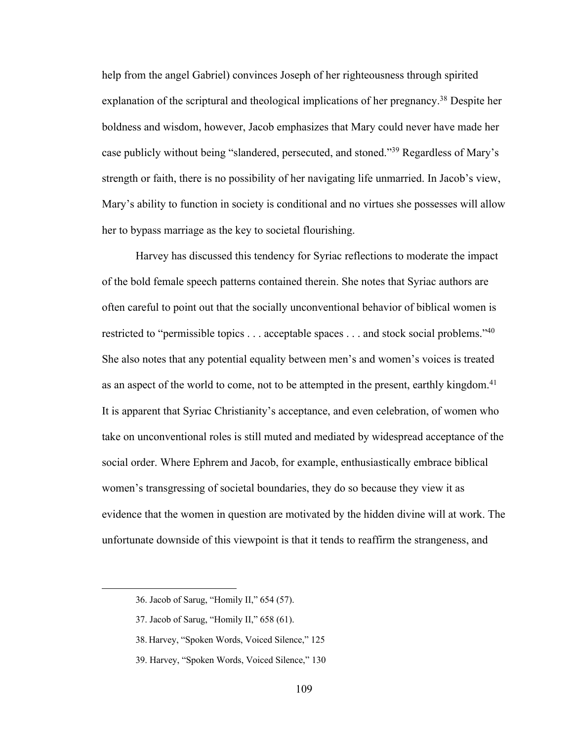help from the angel Gabriel) convinces Joseph of her righteousness through spirited explanation of the scriptural and theological implications of her pregnancy.<sup>38</sup> Despite her boldness and wisdom, however, Jacob emphasizes that Mary could never have made her case publicly without being "slandered, persecuted, and stoned."39 Regardless of Mary's strength or faith, there is no possibility of her navigating life unmarried. In Jacob's view, Mary's ability to function in society is conditional and no virtues she possesses will allow her to bypass marriage as the key to societal flourishing.

Harvey has discussed this tendency for Syriac reflections to moderate the impact of the bold female speech patterns contained therein. She notes that Syriac authors are often careful to point out that the socially unconventional behavior of biblical women is restricted to "permissible topics . . . acceptable spaces . . . and stock social problems."<sup>40</sup> She also notes that any potential equality between men's and women's voices is treated as an aspect of the world to come, not to be attempted in the present, earthly kingdom.<sup>41</sup> It is apparent that Syriac Christianity's acceptance, and even celebration, of women who take on unconventional roles is still muted and mediated by widespread acceptance of the social order. Where Ephrem and Jacob, for example, enthusiastically embrace biblical women's transgressing of societal boundaries, they do so because they view it as evidence that the women in question are motivated by the hidden divine will at work. The unfortunate downside of this viewpoint is that it tends to reaffirm the strangeness, and

<sup>36.</sup> Jacob of Sarug, "Homily II," 654 (57).

<sup>37.</sup> Jacob of Sarug, "Homily II," 658 (61).

<sup>38.</sup> Harvey, "Spoken Words, Voiced Silence," 125

<sup>39.</sup> Harvey, "Spoken Words, Voiced Silence," 130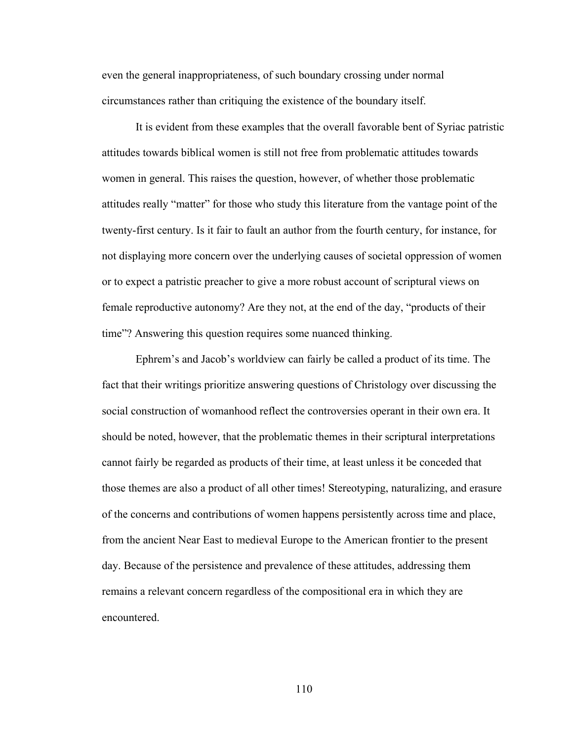even the general inappropriateness, of such boundary crossing under normal circumstances rather than critiquing the existence of the boundary itself.

It is evident from these examples that the overall favorable bent of Syriac patristic attitudes towards biblical women is still not free from problematic attitudes towards women in general. This raises the question, however, of whether those problematic attitudes really "matter" for those who study this literature from the vantage point of the twenty-first century. Is it fair to fault an author from the fourth century, for instance, for not displaying more concern over the underlying causes of societal oppression of women or to expect a patristic preacher to give a more robust account of scriptural views on female reproductive autonomy? Are they not, at the end of the day, "products of their time"? Answering this question requires some nuanced thinking.

Ephrem's and Jacob's worldview can fairly be called a product of its time. The fact that their writings prioritize answering questions of Christology over discussing the social construction of womanhood reflect the controversies operant in their own era. It should be noted, however, that the problematic themes in their scriptural interpretations cannot fairly be regarded as products of their time, at least unless it be conceded that those themes are also a product of all other times! Stereotyping, naturalizing, and erasure of the concerns and contributions of women happens persistently across time and place, from the ancient Near East to medieval Europe to the American frontier to the present day. Because of the persistence and prevalence of these attitudes, addressing them remains a relevant concern regardless of the compositional era in which they are encountered.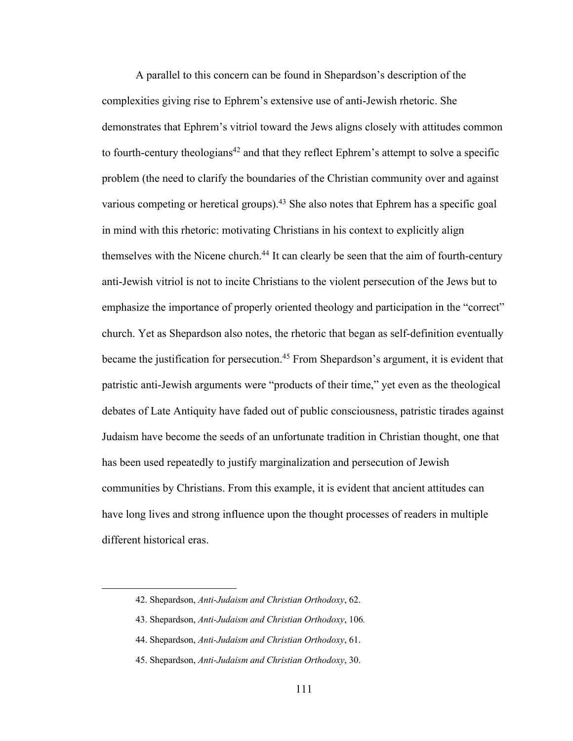A parallel to this concern can be found in Shepardson's description of the complexities giving rise to Ephrem's extensive use of anti-Jewish rhetoric. She demonstrates that Ephrem's vitriol toward the Jews aligns closely with attitudes common to fourth-century theologians<sup>42</sup> and that they reflect Ephrem's attempt to solve a specific problem (the need to clarify the boundaries of the Christian community over and against various competing or heretical groups).<sup>43</sup> She also notes that Ephrem has a specific goal in mind with this rhetoric: motivating Christians in his context to explicitly align themselves with the Nicene church.<sup>44</sup> It can clearly be seen that the aim of fourth-century anti-Jewish vitriol is not to incite Christians to the violent persecution of the Jews but to emphasize the importance of properly oriented theology and participation in the "correct" church. Yet as Shepardson also notes, the rhetoric that began as self-definition eventually became the justification for persecution.<sup>45</sup> From Shepardson's argument, it is evident that patristic anti-Jewish arguments were "products of their time," yet even as the theological debates of Late Antiquity have faded out of public consciousness, patristic tirades against Judaism have become the seeds of an unfortunate tradition in Christian thought, one that has been used repeatedly to justify marginalization and persecution of Jewish communities by Christians. From this example, it is evident that ancient attitudes can have long lives and strong influence upon the thought processes of readers in multiple different historical eras.

<sup>42.</sup> Shepardson, *Anti-Judaism and Christian Orthodoxy*, 62.

<sup>43.</sup> Shepardson, *Anti-Judaism and Christian Orthodoxy*, 106*.*

<sup>44.</sup> Shepardson, *Anti-Judaism and Christian Orthodoxy*, 61.

<sup>45.</sup> Shepardson, *Anti-Judaism and Christian Orthodoxy*, 30.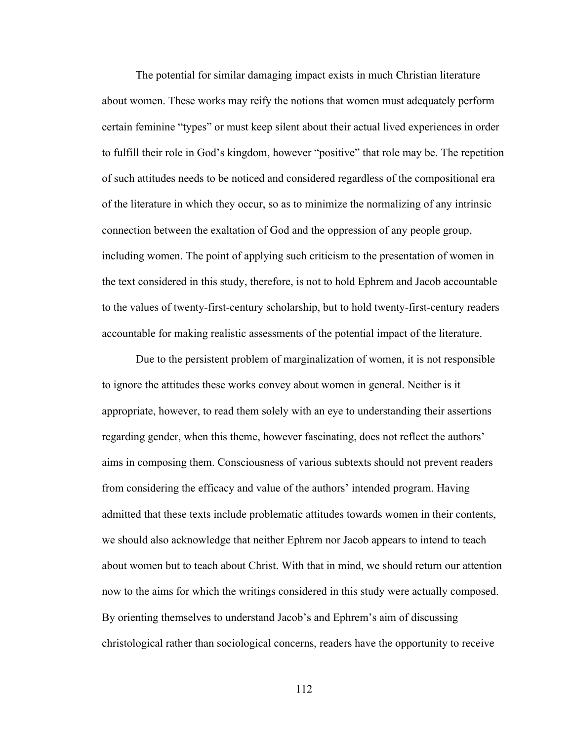The potential for similar damaging impact exists in much Christian literature about women. These works may reify the notions that women must adequately perform certain feminine "types" or must keep silent about their actual lived experiences in order to fulfill their role in God's kingdom, however "positive" that role may be. The repetition of such attitudes needs to be noticed and considered regardless of the compositional era of the literature in which they occur, so as to minimize the normalizing of any intrinsic connection between the exaltation of God and the oppression of any people group, including women. The point of applying such criticism to the presentation of women in the text considered in this study, therefore, is not to hold Ephrem and Jacob accountable to the values of twenty-first-century scholarship, but to hold twenty-first-century readers accountable for making realistic assessments of the potential impact of the literature.

Due to the persistent problem of marginalization of women, it is not responsible to ignore the attitudes these works convey about women in general. Neither is it appropriate, however, to read them solely with an eye to understanding their assertions regarding gender, when this theme, however fascinating, does not reflect the authors' aims in composing them. Consciousness of various subtexts should not prevent readers from considering the efficacy and value of the authors' intended program. Having admitted that these texts include problematic attitudes towards women in their contents, we should also acknowledge that neither Ephrem nor Jacob appears to intend to teach about women but to teach about Christ. With that in mind, we should return our attention now to the aims for which the writings considered in this study were actually composed. By orienting themselves to understand Jacob's and Ephrem's aim of discussing christological rather than sociological concerns, readers have the opportunity to receive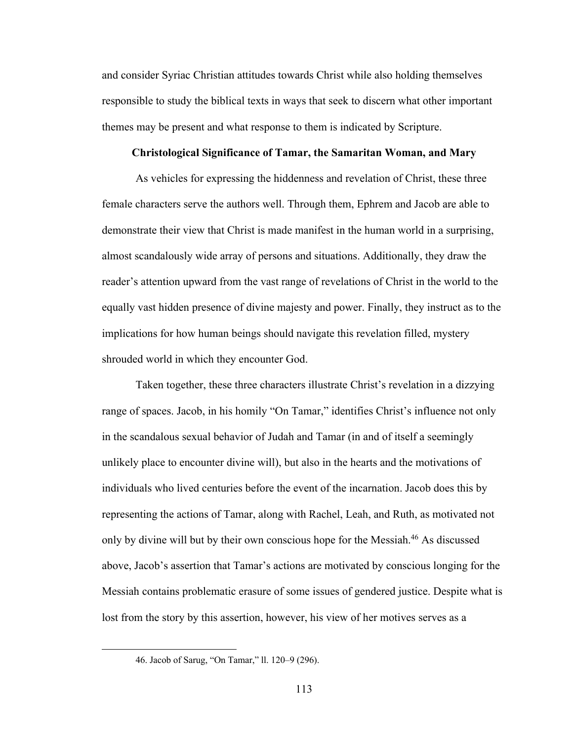and consider Syriac Christian attitudes towards Christ while also holding themselves responsible to study the biblical texts in ways that seek to discern what other important themes may be present and what response to them is indicated by Scripture.

#### **Christological Significance of Tamar, the Samaritan Woman, and Mary**

As vehicles for expressing the hiddenness and revelation of Christ, these three female characters serve the authors well. Through them, Ephrem and Jacob are able to demonstrate their view that Christ is made manifest in the human world in a surprising, almost scandalously wide array of persons and situations. Additionally, they draw the reader's attention upward from the vast range of revelations of Christ in the world to the equally vast hidden presence of divine majesty and power. Finally, they instruct as to the implications for how human beings should navigate this revelation filled, mystery shrouded world in which they encounter God.

Taken together, these three characters illustrate Christ's revelation in a dizzying range of spaces. Jacob, in his homily "On Tamar," identifies Christ's influence not only in the scandalous sexual behavior of Judah and Tamar (in and of itself a seemingly unlikely place to encounter divine will), but also in the hearts and the motivations of individuals who lived centuries before the event of the incarnation. Jacob does this by representing the actions of Tamar, along with Rachel, Leah, and Ruth, as motivated not only by divine will but by their own conscious hope for the Messiah.46 As discussed above, Jacob's assertion that Tamar's actions are motivated by conscious longing for the Messiah contains problematic erasure of some issues of gendered justice. Despite what is lost from the story by this assertion, however, his view of her motives serves as a

<sup>46.</sup> Jacob of Sarug, "On Tamar," ll. 120–9 (296).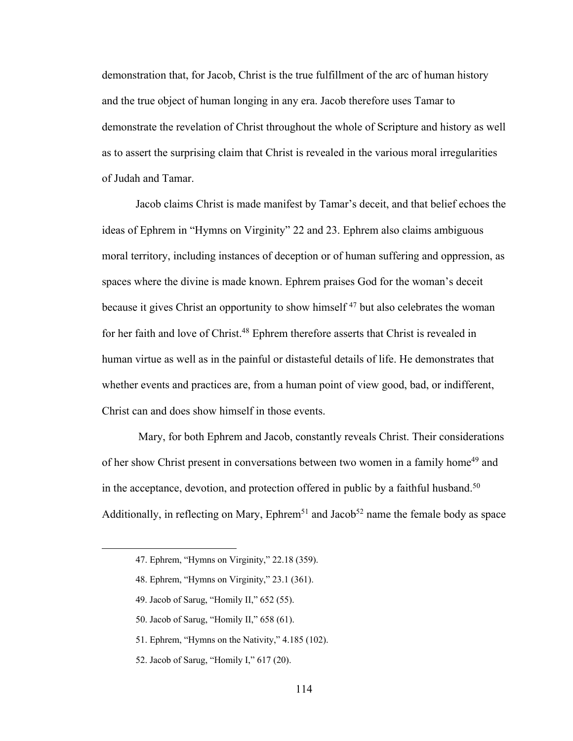demonstration that, for Jacob, Christ is the true fulfillment of the arc of human history and the true object of human longing in any era. Jacob therefore uses Tamar to demonstrate the revelation of Christ throughout the whole of Scripture and history as well as to assert the surprising claim that Christ is revealed in the various moral irregularities of Judah and Tamar.

Jacob claims Christ is made manifest by Tamar's deceit, and that belief echoes the ideas of Ephrem in "Hymns on Virginity" 22 and 23. Ephrem also claims ambiguous moral territory, including instances of deception or of human suffering and oppression, as spaces where the divine is made known. Ephrem praises God for the woman's deceit because it gives Christ an opportunity to show himself<sup>47</sup> but also celebrates the woman for her faith and love of Christ.<sup>48</sup> Ephrem therefore asserts that Christ is revealed in human virtue as well as in the painful or distasteful details of life. He demonstrates that whether events and practices are, from a human point of view good, bad, or indifferent, Christ can and does show himself in those events.

Mary, for both Ephrem and Jacob, constantly reveals Christ. Their considerations of her show Christ present in conversations between two women in a family home<sup>49</sup> and in the acceptance, devotion, and protection offered in public by a faithful husband.<sup>50</sup> Additionally, in reflecting on Mary,  $Ephrem<sup>51</sup>$  and Jacob<sup>52</sup> name the female body as space

<sup>47.</sup> Ephrem, "Hymns on Virginity," 22.18 (359).

<sup>48.</sup> Ephrem, "Hymns on Virginity," 23.1 (361).

<sup>49.</sup> Jacob of Sarug, "Homily II," 652 (55).

<sup>50.</sup> Jacob of Sarug, "Homily II," 658 (61).

<sup>51.</sup> Ephrem, "Hymns on the Nativity," 4.185 (102).

<sup>52.</sup> Jacob of Sarug, "Homily I," 617 (20).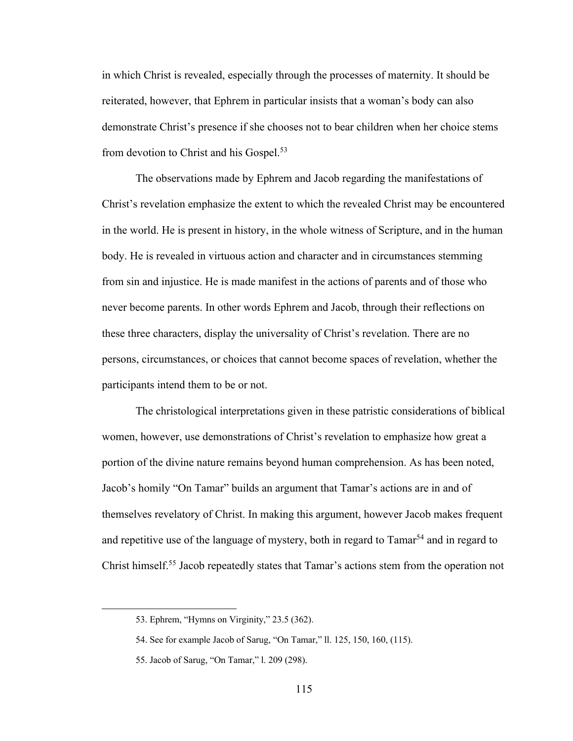in which Christ is revealed, especially through the processes of maternity. It should be reiterated, however, that Ephrem in particular insists that a woman's body can also demonstrate Christ's presence if she chooses not to bear children when her choice stems from devotion to Christ and his Gospel.<sup>53</sup>

The observations made by Ephrem and Jacob regarding the manifestations of Christ's revelation emphasize the extent to which the revealed Christ may be encountered in the world. He is present in history, in the whole witness of Scripture, and in the human body. He is revealed in virtuous action and character and in circumstances stemming from sin and injustice. He is made manifest in the actions of parents and of those who never become parents. In other words Ephrem and Jacob, through their reflections on these three characters, display the universality of Christ's revelation. There are no persons, circumstances, or choices that cannot become spaces of revelation, whether the participants intend them to be or not.

The christological interpretations given in these patristic considerations of biblical women, however, use demonstrations of Christ's revelation to emphasize how great a portion of the divine nature remains beyond human comprehension. As has been noted, Jacob's homily "On Tamar" builds an argument that Tamar's actions are in and of themselves revelatory of Christ. In making this argument, however Jacob makes frequent and repetitive use of the language of mystery, both in regard to Tamar<sup>54</sup> and in regard to Christ himself.55 Jacob repeatedly states that Tamar's actions stem from the operation not

<sup>53.</sup> Ephrem, "Hymns on Virginity," 23.5 (362).

<sup>54.</sup> See for example Jacob of Sarug, "On Tamar," ll. 125, 150, 160, (115).

<sup>55.</sup> Jacob of Sarug, "On Tamar," l. 209 (298).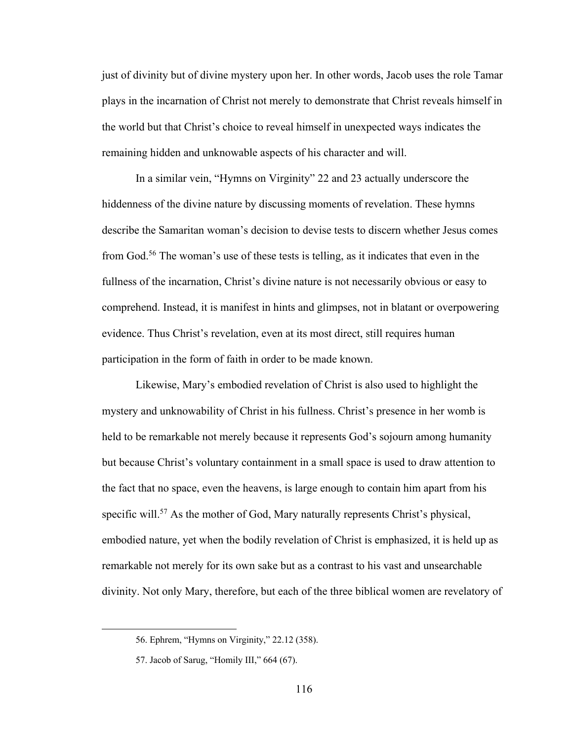just of divinity but of divine mystery upon her. In other words, Jacob uses the role Tamar plays in the incarnation of Christ not merely to demonstrate that Christ reveals himself in the world but that Christ's choice to reveal himself in unexpected ways indicates the remaining hidden and unknowable aspects of his character and will.

In a similar vein, "Hymns on Virginity" 22 and 23 actually underscore the hiddenness of the divine nature by discussing moments of revelation. These hymns describe the Samaritan woman's decision to devise tests to discern whether Jesus comes from God.56 The woman's use of these tests is telling, as it indicates that even in the fullness of the incarnation, Christ's divine nature is not necessarily obvious or easy to comprehend. Instead, it is manifest in hints and glimpses, not in blatant or overpowering evidence. Thus Christ's revelation, even at its most direct, still requires human participation in the form of faith in order to be made known.

Likewise, Mary's embodied revelation of Christ is also used to highlight the mystery and unknowability of Christ in his fullness. Christ's presence in her womb is held to be remarkable not merely because it represents God's sojourn among humanity but because Christ's voluntary containment in a small space is used to draw attention to the fact that no space, even the heavens, is large enough to contain him apart from his specific will.<sup>57</sup> As the mother of God, Mary naturally represents Christ's physical, embodied nature, yet when the bodily revelation of Christ is emphasized, it is held up as remarkable not merely for its own sake but as a contrast to his vast and unsearchable divinity. Not only Mary, therefore, but each of the three biblical women are revelatory of

<sup>56.</sup> Ephrem, "Hymns on Virginity," 22.12 (358).

<sup>57.</sup> Jacob of Sarug, "Homily III," 664 (67).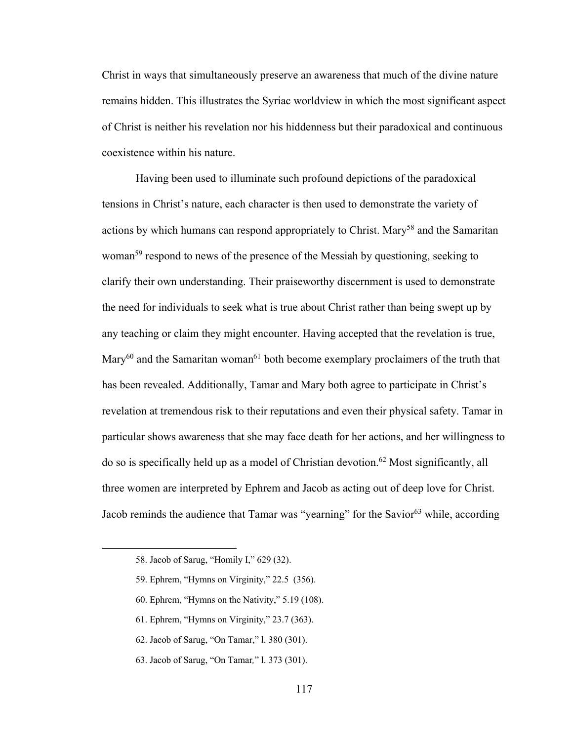Christ in ways that simultaneously preserve an awareness that much of the divine nature remains hidden. This illustrates the Syriac worldview in which the most significant aspect of Christ is neither his revelation nor his hiddenness but their paradoxical and continuous coexistence within his nature.

Having been used to illuminate such profound depictions of the paradoxical tensions in Christ's nature, each character is then used to demonstrate the variety of actions by which humans can respond appropriately to Christ. Mary<sup>58</sup> and the Samaritan woman<sup>59</sup> respond to news of the presence of the Messiah by questioning, seeking to clarify their own understanding. Their praiseworthy discernment is used to demonstrate the need for individuals to seek what is true about Christ rather than being swept up by any teaching or claim they might encounter. Having accepted that the revelation is true, Mary<sup>60</sup> and the Samaritan woman<sup>61</sup> both become exemplary proclaimers of the truth that has been revealed. Additionally, Tamar and Mary both agree to participate in Christ's revelation at tremendous risk to their reputations and even their physical safety. Tamar in particular shows awareness that she may face death for her actions, and her willingness to do so is specifically held up as a model of Christian devotion.62 Most significantly, all three women are interpreted by Ephrem and Jacob as acting out of deep love for Christ. Jacob reminds the audience that Tamar was "yearning" for the Savior<sup>63</sup> while, according

- 59. Ephrem, "Hymns on Virginity," 22.5 (356).
- 60. Ephrem, "Hymns on the Nativity," 5.19 (108).
- 61. Ephrem, "Hymns on Virginity," 23.7 (363).
- 62. Jacob of Sarug, "On Tamar," l. 380 (301).
- 63. Jacob of Sarug, "On Tamar*,*" l. 373 (301).

<sup>58.</sup> Jacob of Sarug, "Homily I," 629 (32).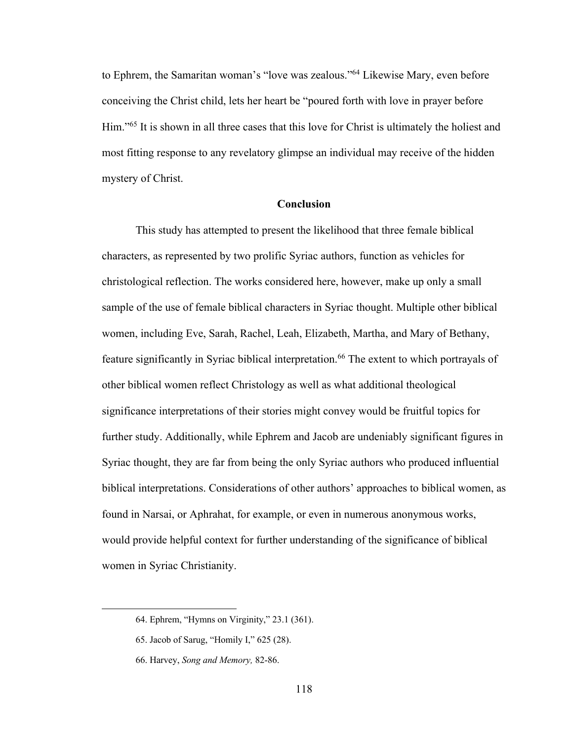to Ephrem, the Samaritan woman's "love was zealous."64 Likewise Mary, even before conceiving the Christ child, lets her heart be "poured forth with love in prayer before Him."65 It is shown in all three cases that this love for Christ is ultimately the holiest and most fitting response to any revelatory glimpse an individual may receive of the hidden mystery of Christ.

# **Conclusion**

This study has attempted to present the likelihood that three female biblical characters, as represented by two prolific Syriac authors, function as vehicles for christological reflection. The works considered here, however, make up only a small sample of the use of female biblical characters in Syriac thought. Multiple other biblical women, including Eve, Sarah, Rachel, Leah, Elizabeth, Martha, and Mary of Bethany, feature significantly in Syriac biblical interpretation.<sup>66</sup> The extent to which portrayals of other biblical women reflect Christology as well as what additional theological significance interpretations of their stories might convey would be fruitful topics for further study. Additionally, while Ephrem and Jacob are undeniably significant figures in Syriac thought, they are far from being the only Syriac authors who produced influential biblical interpretations. Considerations of other authors' approaches to biblical women, as found in Narsai, or Aphrahat, for example, or even in numerous anonymous works, would provide helpful context for further understanding of the significance of biblical women in Syriac Christianity.

<sup>64.</sup> Ephrem, "Hymns on Virginity," 23.1 (361).

<sup>65.</sup> Jacob of Sarug, "Homily I," 625 (28).

<sup>66.</sup> Harvey, *Song and Memory,* 82-86.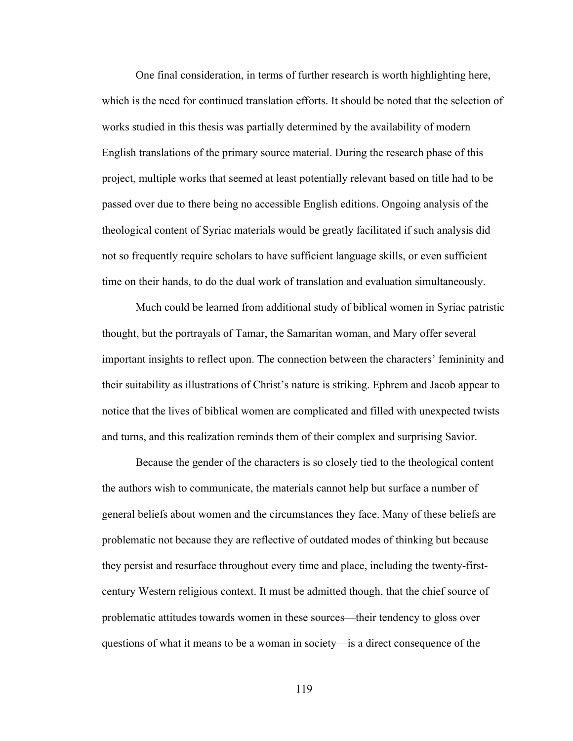One final consideration, in terms of further research is worth highlighting here, which is the need for continued translation efforts. It should be noted that the selection of works studied in this thesis was partially determined by the availability of modern English translations of the primary source material. During the research phase of this project, multiple works that seemed at least potentially relevant based on title had to be passed over due to there being no accessible English editions. Ongoing analysis of the theological content of Syriac materials would be greatly facilitated if such analysis did not so frequently require scholars to have sufficient language skills, or even sufficient time on their hands, to do the dual work of translation and evaluation simultaneously.

Much could be learned from additional study of biblical women in Syriac patristic thought, but the portrayals of Tamar, the Samaritan woman, and Mary offer several important insights to reflect upon. The connection between the characters' femininity and their suitability as illustrations of Christ's nature is striking. Ephrem and Jacob appear to notice that the lives of biblical women are complicated and filled with unexpected twists and turns, and this realization reminds them of their complex and surprising Savior.

Because the gender of the characters is so closely tied to the theological content the authors wish to communicate, the materials cannot help but surface a number of general beliefs about women and the circumstances they face. Many of these beliefs are problematic not because they are reflective of outdated modes of thinking but because they persist and resurface throughout every time and place, including the twenty-firstcentury Western religious context. It must be admitted though, that the chief source of problematic attitudes towards women in these sources—their tendency to gloss over questions of what it means to be a woman in society—is a direct consequence of the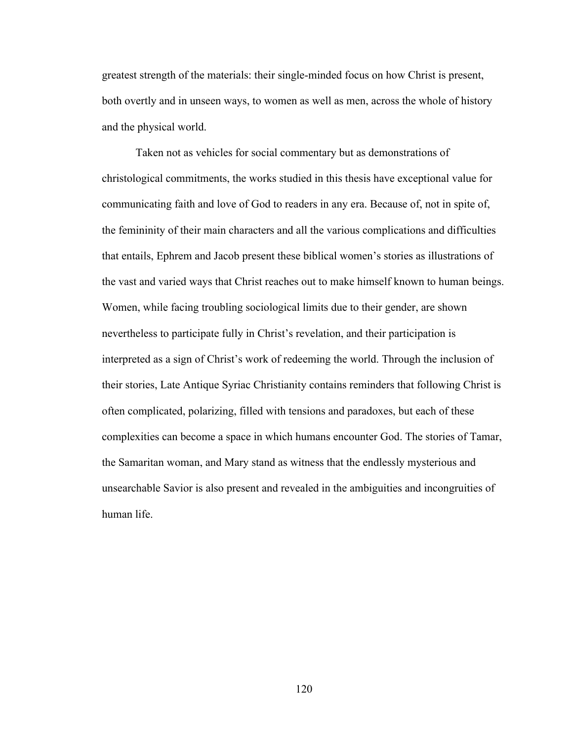greatest strength of the materials: their single-minded focus on how Christ is present, both overtly and in unseen ways, to women as well as men, across the whole of history and the physical world.

Taken not as vehicles for social commentary but as demonstrations of christological commitments, the works studied in this thesis have exceptional value for communicating faith and love of God to readers in any era. Because of, not in spite of, the femininity of their main characters and all the various complications and difficulties that entails, Ephrem and Jacob present these biblical women's stories as illustrations of the vast and varied ways that Christ reaches out to make himself known to human beings. Women, while facing troubling sociological limits due to their gender, are shown nevertheless to participate fully in Christ's revelation, and their participation is interpreted as a sign of Christ's work of redeeming the world. Through the inclusion of their stories, Late Antique Syriac Christianity contains reminders that following Christ is often complicated, polarizing, filled with tensions and paradoxes, but each of these complexities can become a space in which humans encounter God. The stories of Tamar, the Samaritan woman, and Mary stand as witness that the endlessly mysterious and unsearchable Savior is also present and revealed in the ambiguities and incongruities of human life.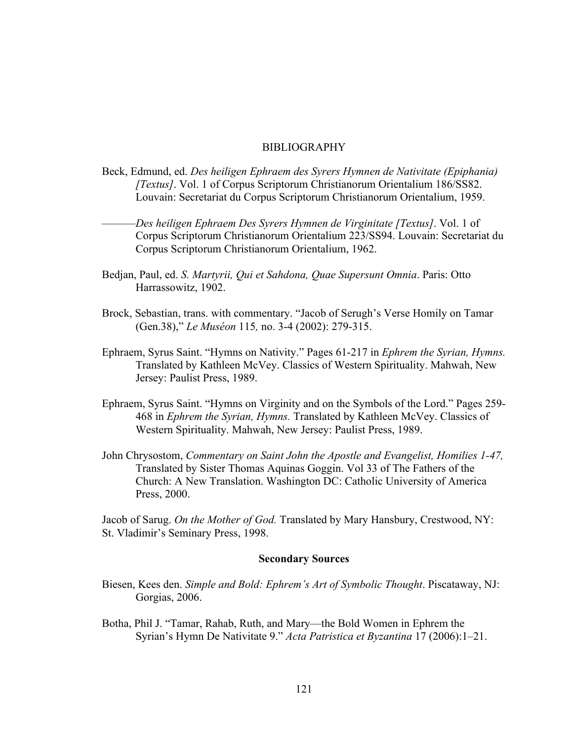# BIBLIOGRAPHY

- Beck, Edmund, ed. *Des heiligen Ephraem des Syrers Hymnen de Nativitate (Epiphania) [Textus]*. Vol. 1 of Corpus Scriptorum Christianorum Orientalium 186/SS82. Louvain: Secretariat du Corpus Scriptorum Christianorum Orientalium, 1959.
- ———*Des heiligen Ephraem Des Syrers Hymnen de Virginitate [Textus]*. Vol. 1 of Corpus Scriptorum Christianorum Orientalium 223/SS94. Louvain: Secretariat du Corpus Scriptorum Christianorum Orientalium, 1962.
- Bedjan, Paul, ed. *S. Martyrii, Qui et Sahdona, Quae Supersunt Omnia*. Paris: Otto Harrassowitz, 1902.
- Brock, Sebastian, trans. with commentary. "Jacob of Serugh's Verse Homily on Tamar (Gen.38)," *Le Muséon* 115*,* no. 3-4 (2002): 279-315.
- Ephraem, Syrus Saint. "Hymns on Nativity." Pages 61-217 in *Ephrem the Syrian, Hymns.* Translated by Kathleen McVey. Classics of Western Spirituality. Mahwah, New Jersey: Paulist Press, 1989.
- Ephraem, Syrus Saint. "Hymns on Virginity and on the Symbols of the Lord." Pages 259- 468 in *Ephrem the Syrian, Hymns.* Translated by Kathleen McVey. Classics of Western Spirituality. Mahwah, New Jersey: Paulist Press, 1989.
- John Chrysostom, *Commentary on Saint John the Apostle and Evangelist, Homilies 1-47,* Translated by Sister Thomas Aquinas Goggin. Vol 33 of The Fathers of the Church: A New Translation. Washington DC: Catholic University of America Press, 2000.

Jacob of Sarug. *On the Mother of God.* Translated by Mary Hansbury, Crestwood, NY: St. Vladimir's Seminary Press, 1998.

## **Secondary Sources**

- Biesen, Kees den. *Simple and Bold: Ephrem's Art of Symbolic Thought*. Piscataway, NJ: Gorgias, 2006.
- Botha, Phil J. "Tamar, Rahab, Ruth, and Mary—the Bold Women in Ephrem the Syrian's Hymn De Nativitate 9." *Acta Patristica et Byzantina* 17 (2006):1–21.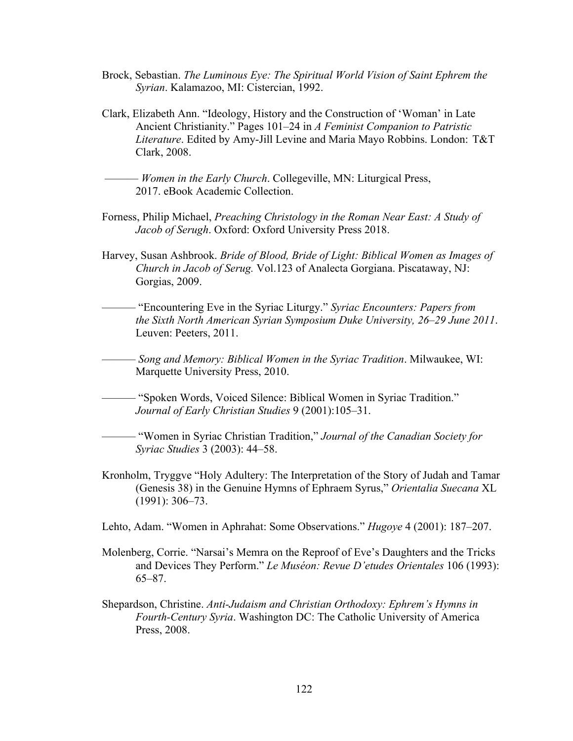- Brock, Sebastian. *The Luminous Eye: The Spiritual World Vision of Saint Ephrem the Syrian*. Kalamazoo, MI: Cistercian, 1992.
- Clark, Elizabeth Ann. "Ideology, History and the Construction of 'Woman' in Late Ancient Christianity." Pages 101–24 in *A Feminist Companion to Patristic Literature*. Edited by Amy-Jill Levine and Maria Mayo Robbins. London: T&T Clark, 2008.

——— *Women in the Early Church*. Collegeville, MN: Liturgical Press, 2017. eBook Academic Collection.

- Forness, Philip Michael, *Preaching Christology in the Roman Near East: A Study of Jacob of Serugh*. Oxford: Oxford University Press 2018.
- Harvey, Susan Ashbrook. *Bride of Blood, Bride of Light: Biblical Women as Images of Church in Jacob of Serug.* Vol.123 of Analecta Gorgiana. Piscataway, NJ: Gorgias, 2009.
- ——— "Encountering Eve in the Syriac Liturgy." *Syriac Encounters: Papers from the Sixth North American Syrian Symposium Duke University, 26*–*29 June 2011*. Leuven: Peeters, 2011.

——— *Song and Memory: Biblical Women in the Syriac Tradition*. Milwaukee, WI: Marquette University Press, 2010.

——— "Spoken Words, Voiced Silence: Biblical Women in Syriac Tradition." *Journal of Early Christian Studies* 9 (2001):105–31.

——— "Women in Syriac Christian Tradition," *Journal of the Canadian Society for Syriac Studies* 3 (2003): 44–58.

Kronholm, Tryggve "Holy Adultery: The Interpretation of the Story of Judah and Tamar (Genesis 38) in the Genuine Hymns of Ephraem Syrus," *Orientalia Suecana* XL (1991): 306–73.

Lehto, Adam. "Women in Aphrahat: Some Observations." *Hugoye* 4 (2001): 187–207.

- Molenberg, Corrie. "Narsai's Memra on the Reproof of Eve's Daughters and the Tricks and Devices They Perform." *Le Muséon: Revue D'etudes Orientales* 106 (1993): 65–87.
- Shepardson, Christine. *Anti-Judaism and Christian Orthodoxy: Ephrem's Hymns in Fourth-Century Syria*. Washington DC: The Catholic University of America Press, 2008.